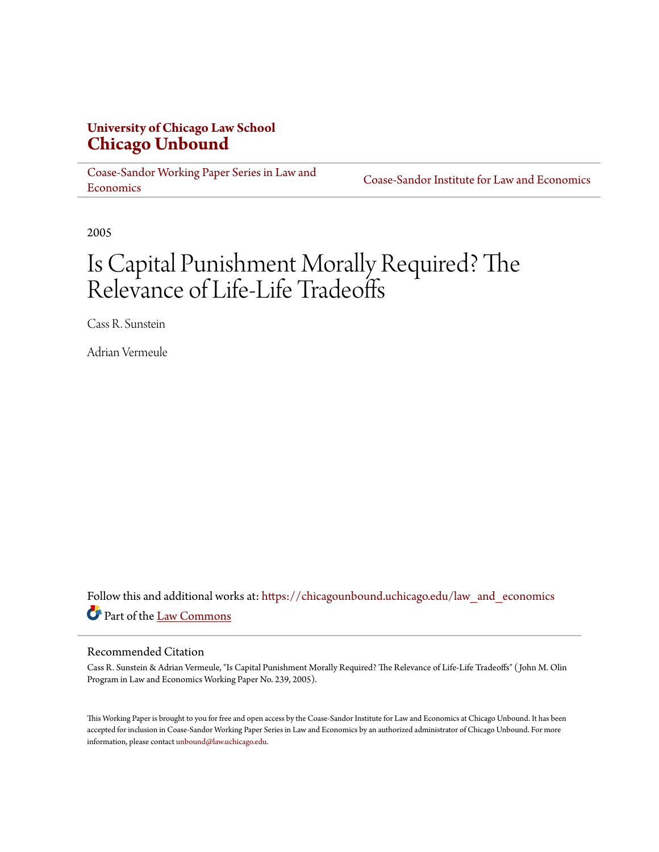# **University of Chicago Law School [Chicago Unbound](https://chicagounbound.uchicago.edu?utm_source=chicagounbound.uchicago.edu%2Flaw_and_economics%2F287&utm_medium=PDF&utm_campaign=PDFCoverPages)**

[Coase-Sandor Working Paper Series in Law and](https://chicagounbound.uchicago.edu/law_and_economics?utm_source=chicagounbound.uchicago.edu%2Flaw_and_economics%2F287&utm_medium=PDF&utm_campaign=PDFCoverPages) [Economics](https://chicagounbound.uchicago.edu/law_and_economics?utm_source=chicagounbound.uchicago.edu%2Flaw_and_economics%2F287&utm_medium=PDF&utm_campaign=PDFCoverPages)

[Coase-Sandor Institute for Law and Economics](https://chicagounbound.uchicago.edu/coase_sandor_institute?utm_source=chicagounbound.uchicago.edu%2Flaw_and_economics%2F287&utm_medium=PDF&utm_campaign=PDFCoverPages)

2005

# Is Capital Punishment Morally Required? The Relevance of Life-Life Tradeoffs

Cass R. Sunstein

Adrian Vermeule

Follow this and additional works at: [https://chicagounbound.uchicago.edu/law\\_and\\_economics](https://chicagounbound.uchicago.edu/law_and_economics?utm_source=chicagounbound.uchicago.edu%2Flaw_and_economics%2F287&utm_medium=PDF&utm_campaign=PDFCoverPages) Part of the [Law Commons](http://network.bepress.com/hgg/discipline/578?utm_source=chicagounbound.uchicago.edu%2Flaw_and_economics%2F287&utm_medium=PDF&utm_campaign=PDFCoverPages)

#### Recommended Citation

Cass R. Sunstein & Adrian Vermeule, "Is Capital Punishment Morally Required? The Relevance of Life-Life Tradeoffs" ( John M. Olin Program in Law and Economics Working Paper No. 239, 2005).

This Working Paper is brought to you for free and open access by the Coase-Sandor Institute for Law and Economics at Chicago Unbound. It has been accepted for inclusion in Coase-Sandor Working Paper Series in Law and Economics by an authorized administrator of Chicago Unbound. For more information, please contact [unbound@law.uchicago.edu.](mailto:unbound@law.uchicago.edu)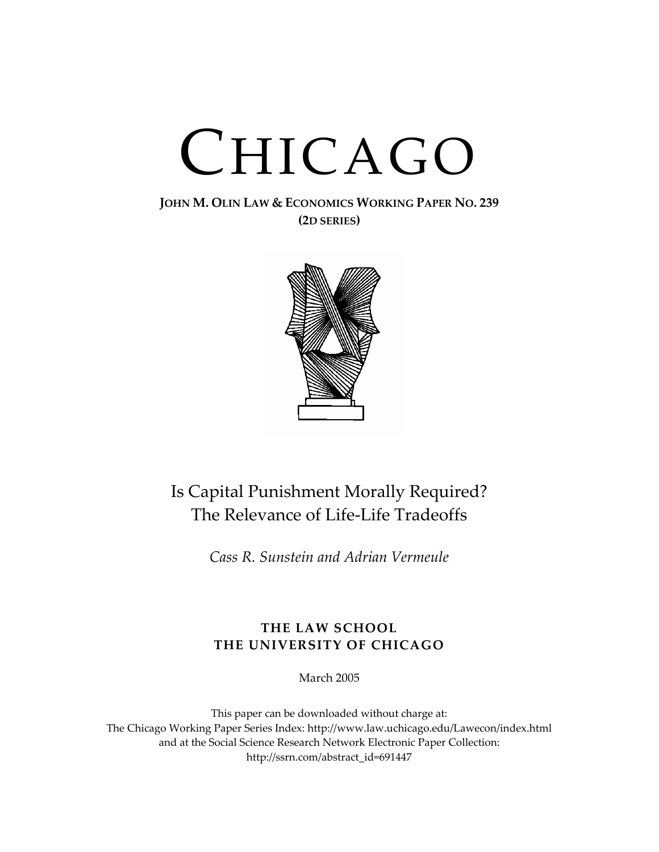# CHICAGO

### **JOHN M. OLIN LAW & ECONOMICS WORKING PAPER NO. 239 (2D SERIES)**



# Is Capital Punishment Morally Required? The Relevance of Life-Life Tradeoffs

*Cass R. Sunstein and Adrian Vermeule*

# **THE LAW SCHOOL THE UNIVERSITY OF CHICAGO**

March 2005

This paper can be downloaded without charge at: The Chicago Working Paper Series Index: http://www.law.uchicago.edu/Lawecon/index.html and at the Social Science Research Network Electronic Paper Collection: http://ssrn.com/abstract\_id=691447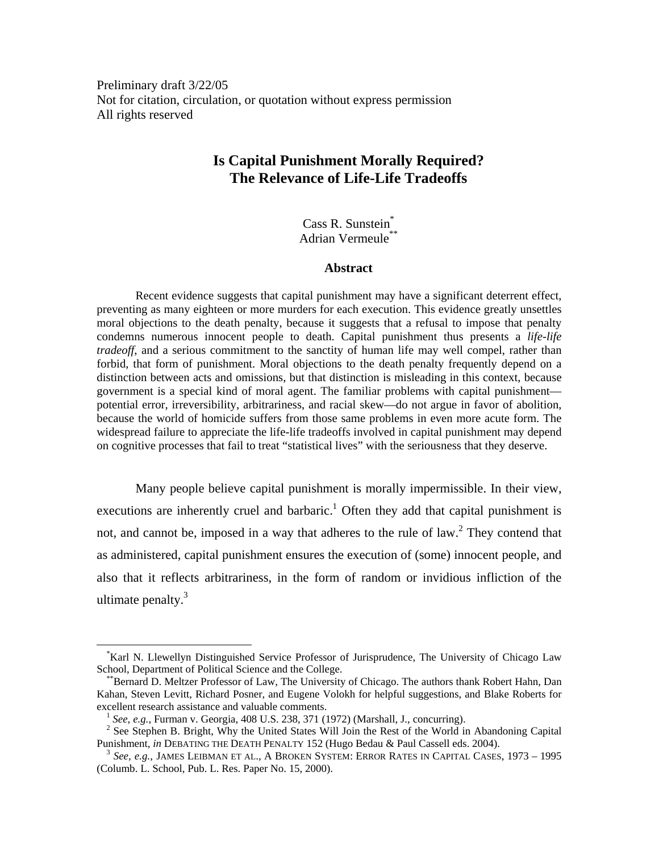Preliminary draft 3/22/05 Not for citation, circulation, or quotation without express permission All rights reserved

## **Is Capital Punishment Morally Required? The Relevance of Life-Life Tradeoffs**

Cass R. Sunstein<sup>\*</sup> Adrian Vermeule<sup>\*</sup>

#### **Abstract**

Recent evidence suggests that capital punishment may have a significant deterrent effect, preventing as many eighteen or more murders for each execution. This evidence greatly unsettles moral objections to the death penalty, because it suggests that a refusal to impose that penalty condemns numerous innocent people to death. Capital punishment thus presents a *life-life tradeoff*, and a serious commitment to the sanctity of human life may well compel, rather than forbid, that form of punishment. Moral objections to the death penalty frequently depend on a distinction between acts and omissions, but that distinction is misleading in this context, because government is a special kind of moral agent. The familiar problems with capital punishment potential error, irreversibility, arbitrariness, and racial skew—do not argue in favor of abolition, because the world of homicide suffers from those same problems in even more acute form. The widespread failure to appreciate the life-life tradeoffs involved in capital punishment may depend on cognitive processes that fail to treat "statistical lives" with the seriousness that they deserve.

Many people believe capital punishment is morally impermissible. In their view, executions are inherently cruel and barbaric.<sup>1</sup> Often they add that capital punishment is not, and cannot be, imposed in a way that adheres to the rule of  $law$ <sup>2</sup>. They contend that as administered, capital punishment ensures the execution of (some) innocent people, and also that it reflects arbitrariness, in the form of random or invidious infliction of the ultimate penalty.<sup>3</sup>

<sup>\*&</sup>lt;br>
\*Karl N. Llewellyn Distinguished Service Professor of Jurisprudence, The University of Chicago Law School, Department of Political Science and the College.<br>\*\*Bernard D. Meltzer Professor of Law, The University of Chicago. The authors thank Robert Hahn, Dan

Kahan, Steven Levitt, Richard Posner, and Eugene Volokh for helpful suggestions, and Blake Roberts for excellent research assistance and valuable comments.<br><sup>1</sup> *See, e.g.*, Furman v. Georgia, 408 U.S. 238, 371 (1972) (Marshall, J., concurring).

<sup>&</sup>lt;sup>2</sup> See Stephen B. Bright, Why the United States Will Join the Rest of the World in Abandoning Capital Punishment, *in* DEBATING THE DEATH PENALTY 152 (Hugo Bedau & Paul Cassell eds. 2004).

<sup>&</sup>lt;sup>3</sup> See, e.g., James Leibman et al., A Broken System: Error Rates in Capital Cases, 1973 – 1995 (Columb. L. School, Pub. L. Res. Paper No. 15, 2000).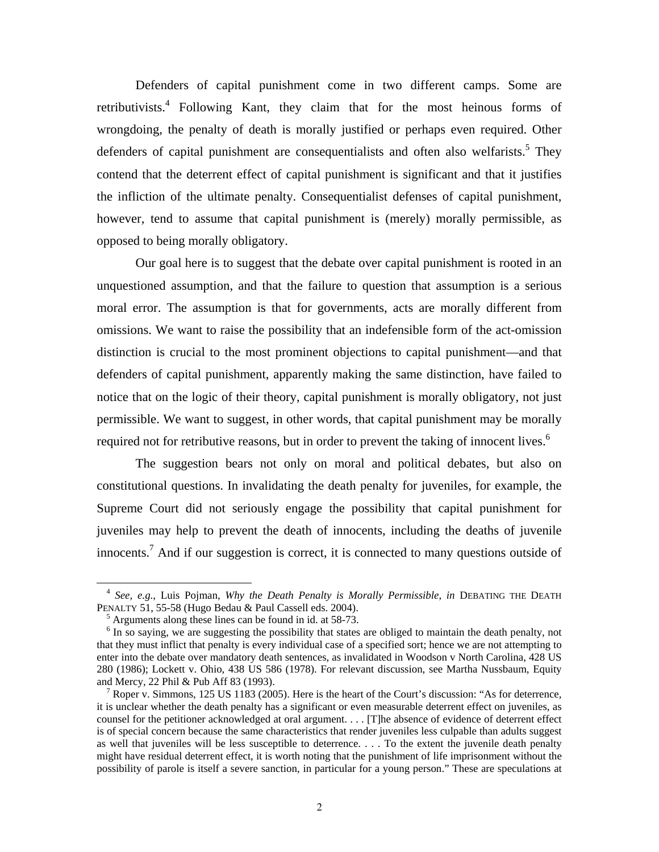Defenders of capital punishment come in two different camps. Some are retributivists.<sup>4</sup> Following Kant, they claim that for the most heinous forms of wrongdoing, the penalty of death is morally justified or perhaps even required. Other defenders of capital punishment are consequentialists and often also welfarists.<sup>5</sup> They contend that the deterrent effect of capital punishment is significant and that it justifies the infliction of the ultimate penalty. Consequentialist defenses of capital punishment, however, tend to assume that capital punishment is (merely) morally permissible, as opposed to being morally obligatory.

Our goal here is to suggest that the debate over capital punishment is rooted in an unquestioned assumption, and that the failure to question that assumption is a serious moral error. The assumption is that for governments, acts are morally different from omissions. We want to raise the possibility that an indefensible form of the act-omission distinction is crucial to the most prominent objections to capital punishment—and that defenders of capital punishment, apparently making the same distinction, have failed to notice that on the logic of their theory, capital punishment is morally obligatory, not just permissible. We want to suggest, in other words, that capital punishment may be morally required not for retributive reasons, but in order to prevent the taking of innocent lives.<sup>6</sup>

The suggestion bears not only on moral and political debates, but also on constitutional questions. In invalidating the death penalty for juveniles, for example, the Supreme Court did not seriously engage the possibility that capital punishment for juveniles may help to prevent the death of innocents, including the deaths of juvenile innocents.<sup>7</sup> And if our suggestion is correct, it is connected to many questions outside of

<sup>4</sup> *See, e.g.*, Luis Pojman, *Why the Death Penalty is Morally Permissible*, *in* DEBATING THE DEATH PENALTY 51, 55-58 (Hugo Bedau & Paul Cassell eds. 2004).

Arguments along these lines can be found in id. at  $58-73$ .

<sup>&</sup>lt;sup>6</sup> In so saying, we are suggesting the possibility that states are obliged to maintain the death penalty, not that they must inflict that penalty is every individual case of a specified sort; hence we are not attempting to enter into the debate over mandatory death sentences, as invalidated in Woodson v North Carolina, 428 US 280 (1986); Lockett v. Ohio, 438 US 586 (1978). For relevant discussion, see Martha Nussbaum, Equity and Mercy, 22 Phil & Pub Aff 83 (1993). 7

Roper v. Simmons, 125 US 1183 (2005). Here is the heart of the Court's discussion: "As for deterrence, it is unclear whether the death penalty has a significant or even measurable deterrent effect on juveniles, as counsel for the petitioner acknowledged at oral argument. . . . [T]he absence of evidence of deterrent effect is of special concern because the same characteristics that render juveniles less culpable than adults suggest as well that juveniles will be less susceptible to deterrence. . . . To the extent the juvenile death penalty might have residual deterrent effect, it is worth noting that the punishment of life imprisonment without the possibility of parole is itself a severe sanction, in particular for a young person." These are speculations at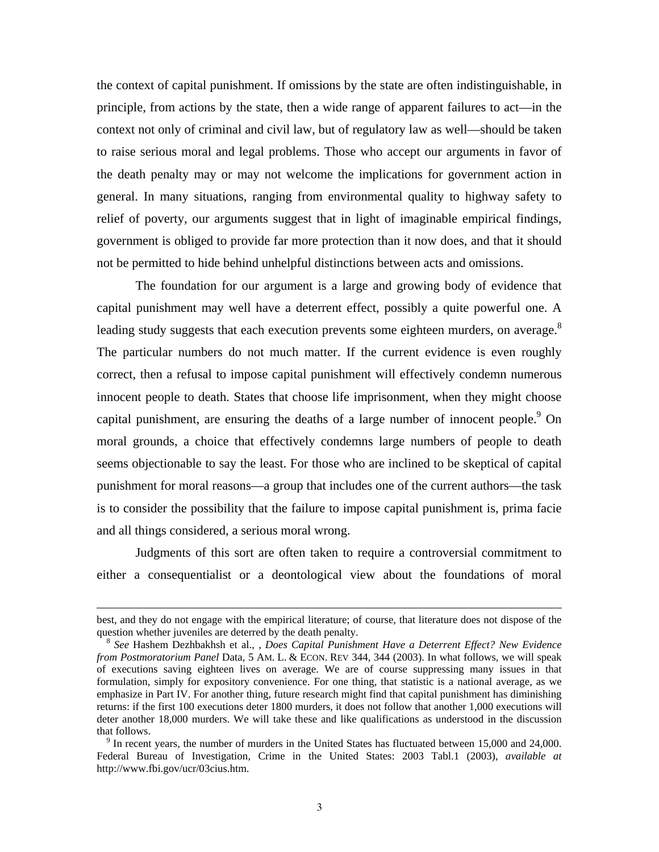the context of capital punishment. If omissions by the state are often indistinguishable, in principle, from actions by the state, then a wide range of apparent failures to act—in the context not only of criminal and civil law, but of regulatory law as well—should be taken to raise serious moral and legal problems. Those who accept our arguments in favor of the death penalty may or may not welcome the implications for government action in general. In many situations, ranging from environmental quality to highway safety to relief of poverty, our arguments suggest that in light of imaginable empirical findings, government is obliged to provide far more protection than it now does, and that it should not be permitted to hide behind unhelpful distinctions between acts and omissions.

The foundation for our argument is a large and growing body of evidence that capital punishment may well have a deterrent effect, possibly a quite powerful one. A leading study suggests that each execution prevents some eighteen murders, on average.<sup>8</sup> The particular numbers do not much matter. If the current evidence is even roughly correct, then a refusal to impose capital punishment will effectively condemn numerous innocent people to death. States that choose life imprisonment, when they might choose capital punishment, are ensuring the deaths of a large number of innocent people.<sup>9</sup> On moral grounds, a choice that effectively condemns large numbers of people to death seems objectionable to say the least. For those who are inclined to be skeptical of capital punishment for moral reasons—a group that includes one of the current authors—the task is to consider the possibility that the failure to impose capital punishment is, prima facie and all things considered, a serious moral wrong.

Judgments of this sort are often taken to require a controversial commitment to either a consequentialist or a deontological view about the foundations of moral

1

best, and they do not engage with the empirical literature; of course, that literature does not dispose of the question whether juveniles are deterred by the death penalty.<br><sup>8</sup> *See* Hashem Dezhbakhsh et al., *, Does Capital Punishment Have a Deterrent Effect? New Evidence* 

*from Postmoratorium Panel* Data, 5 AM. L. & ECON. REV 344, 344 (2003). In what follows, we will speak of executions saving eighteen lives on average. We are of course suppressing many issues in that formulation, simply for expository convenience. For one thing, that statistic is a national average, as we emphasize in Part IV. For another thing, future research might find that capital punishment has diminishing returns: if the first 100 executions deter 1800 murders, it does not follow that another 1,000 executions will deter another 18,000 murders. We will take these and like qualifications as understood in the discussion that follows.

<sup>&</sup>lt;sup>9</sup> In recent years, the number of murders in the United States has fluctuated between 15,000 and 24,000. Federal Bureau of Investigation, Crime in the United States: 2003 Tabl.1 (2003), *available at* http://www.fbi.gov/ucr/03cius.htm.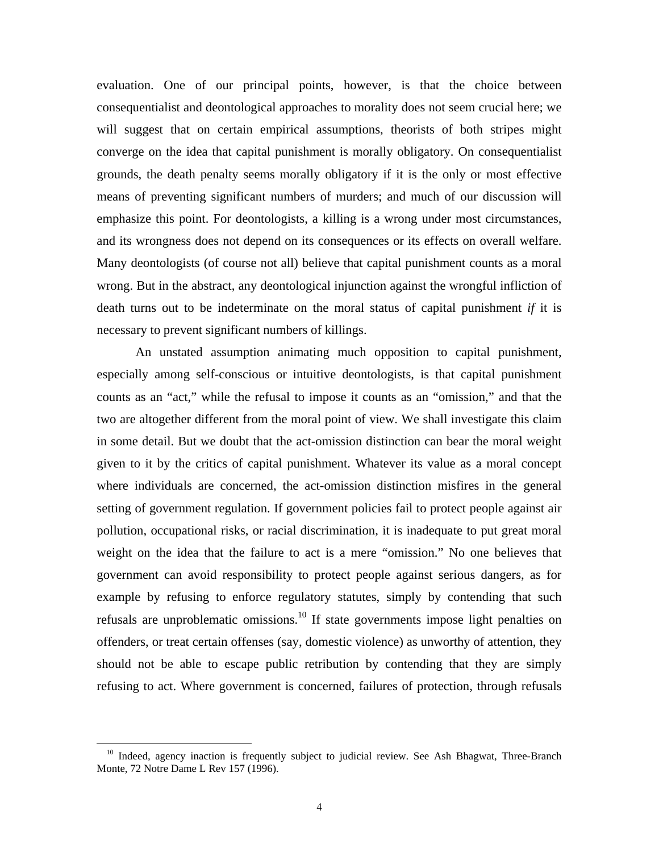evaluation. One of our principal points, however, is that the choice between consequentialist and deontological approaches to morality does not seem crucial here; we will suggest that on certain empirical assumptions, theorists of both stripes might converge on the idea that capital punishment is morally obligatory. On consequentialist grounds, the death penalty seems morally obligatory if it is the only or most effective means of preventing significant numbers of murders; and much of our discussion will emphasize this point. For deontologists, a killing is a wrong under most circumstances, and its wrongness does not depend on its consequences or its effects on overall welfare. Many deontologists (of course not all) believe that capital punishment counts as a moral wrong. But in the abstract, any deontological injunction against the wrongful infliction of death turns out to be indeterminate on the moral status of capital punishment *if* it is necessary to prevent significant numbers of killings.

An unstated assumption animating much opposition to capital punishment, especially among self-conscious or intuitive deontologists, is that capital punishment counts as an "act," while the refusal to impose it counts as an "omission," and that the two are altogether different from the moral point of view. We shall investigate this claim in some detail. But we doubt that the act-omission distinction can bear the moral weight given to it by the critics of capital punishment. Whatever its value as a moral concept where individuals are concerned, the act-omission distinction misfires in the general setting of government regulation. If government policies fail to protect people against air pollution, occupational risks, or racial discrimination, it is inadequate to put great moral weight on the idea that the failure to act is a mere "omission." No one believes that government can avoid responsibility to protect people against serious dangers, as for example by refusing to enforce regulatory statutes, simply by contending that such refusals are unproblematic omissions.<sup>10</sup> If state governments impose light penalties on offenders, or treat certain offenses (say, domestic violence) as unworthy of attention, they should not be able to escape public retribution by contending that they are simply refusing to act. Where government is concerned, failures of protection, through refusals

<sup>&</sup>lt;sup>10</sup> Indeed, agency inaction is frequently subject to judicial review. See Ash Bhagwat, Three-Branch Monte, 72 Notre Dame L Rev 157 (1996).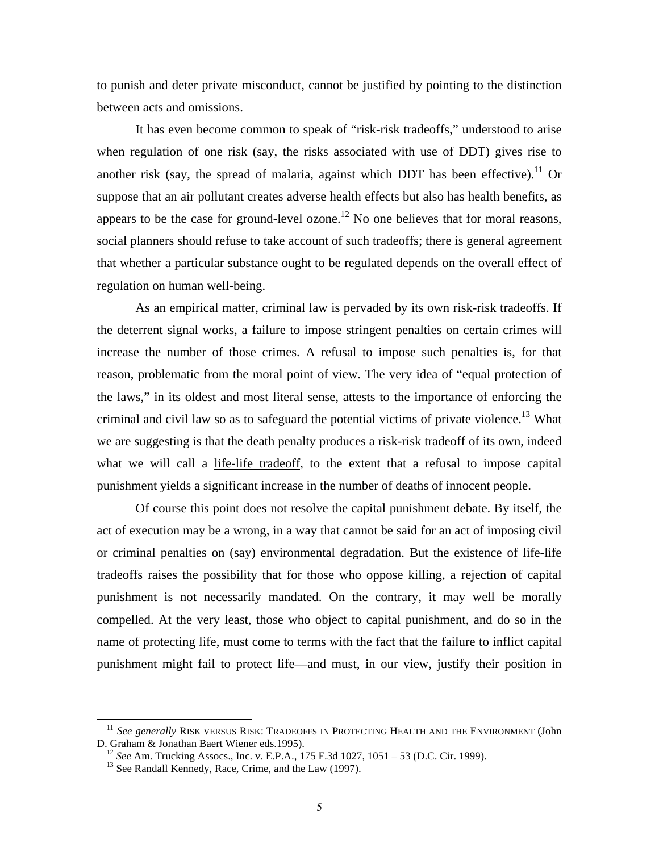to punish and deter private misconduct, cannot be justified by pointing to the distinction between acts and omissions.

It has even become common to speak of "risk-risk tradeoffs," understood to arise when regulation of one risk (say, the risks associated with use of DDT) gives rise to another risk (say, the spread of malaria, against which DDT has been effective).<sup>11</sup> Or suppose that an air pollutant creates adverse health effects but also has health benefits, as appears to be the case for ground-level ozone.<sup>12</sup> No one believes that for moral reasons, social planners should refuse to take account of such tradeoffs; there is general agreement that whether a particular substance ought to be regulated depends on the overall effect of regulation on human well-being.

As an empirical matter, criminal law is pervaded by its own risk-risk tradeoffs. If the deterrent signal works, a failure to impose stringent penalties on certain crimes will increase the number of those crimes. A refusal to impose such penalties is, for that reason, problematic from the moral point of view. The very idea of "equal protection of the laws," in its oldest and most literal sense, attests to the importance of enforcing the criminal and civil law so as to safeguard the potential victims of private violence.<sup>13</sup> What we are suggesting is that the death penalty produces a risk-risk tradeoff of its own, indeed what we will call a life-life tradeoff, to the extent that a refusal to impose capital punishment yields a significant increase in the number of deaths of innocent people.

Of course this point does not resolve the capital punishment debate. By itself, the act of execution may be a wrong, in a way that cannot be said for an act of imposing civil or criminal penalties on (say) environmental degradation. But the existence of life-life tradeoffs raises the possibility that for those who oppose killing, a rejection of capital punishment is not necessarily mandated. On the contrary, it may well be morally compelled. At the very least, those who object to capital punishment, and do so in the name of protecting life, must come to terms with the fact that the failure to inflict capital punishment might fail to protect life—and must, in our view, justify their position in

<sup>&</sup>lt;sup>11</sup> *See generally* RISK VERSUS RISK: TRADEOFFS IN PROTECTING HEALTH AND THE ENVIRONMENT (John D. Graham & Jonathan Baert Wiener eds.1995).

<sup>&</sup>lt;sup>12</sup> *See* Am. Trucking Assocs., Inc. v. E.P.A., 175 F.3d 1027, 1051 – 53 (D.C. Cir. 1999). <sup>13</sup> See Randall Kennedy, Race, Crime, and the Law (1997).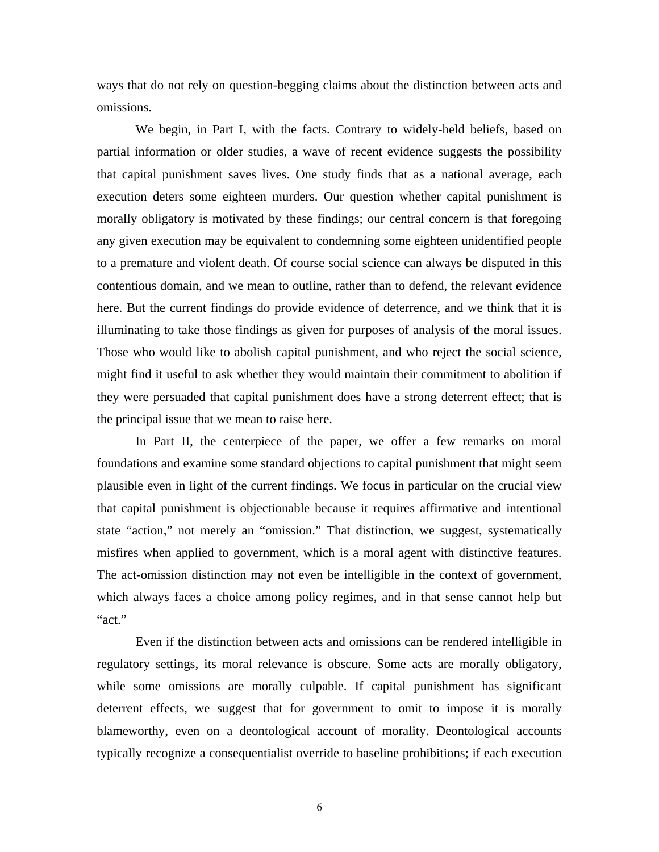ways that do not rely on question-begging claims about the distinction between acts and omissions.

We begin, in Part I, with the facts. Contrary to widely-held beliefs, based on partial information or older studies, a wave of recent evidence suggests the possibility that capital punishment saves lives. One study finds that as a national average, each execution deters some eighteen murders. Our question whether capital punishment is morally obligatory is motivated by these findings; our central concern is that foregoing any given execution may be equivalent to condemning some eighteen unidentified people to a premature and violent death. Of course social science can always be disputed in this contentious domain, and we mean to outline, rather than to defend, the relevant evidence here. But the current findings do provide evidence of deterrence, and we think that it is illuminating to take those findings as given for purposes of analysis of the moral issues. Those who would like to abolish capital punishment, and who reject the social science, might find it useful to ask whether they would maintain their commitment to abolition if they were persuaded that capital punishment does have a strong deterrent effect; that is the principal issue that we mean to raise here.

In Part II, the centerpiece of the paper, we offer a few remarks on moral foundations and examine some standard objections to capital punishment that might seem plausible even in light of the current findings. We focus in particular on the crucial view that capital punishment is objectionable because it requires affirmative and intentional state "action," not merely an "omission." That distinction, we suggest, systematically misfires when applied to government, which is a moral agent with distinctive features. The act-omission distinction may not even be intelligible in the context of government, which always faces a choice among policy regimes, and in that sense cannot help but "act."

Even if the distinction between acts and omissions can be rendered intelligible in regulatory settings, its moral relevance is obscure. Some acts are morally obligatory, while some omissions are morally culpable. If capital punishment has significant deterrent effects, we suggest that for government to omit to impose it is morally blameworthy, even on a deontological account of morality. Deontological accounts typically recognize a consequentialist override to baseline prohibitions; if each execution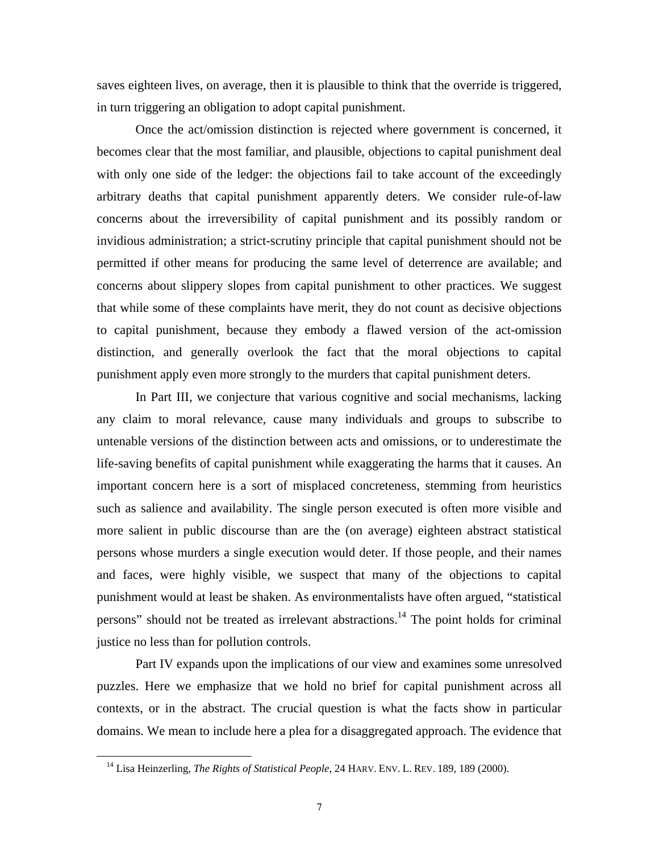saves eighteen lives, on average, then it is plausible to think that the override is triggered, in turn triggering an obligation to adopt capital punishment.

Once the act/omission distinction is rejected where government is concerned, it becomes clear that the most familiar, and plausible, objections to capital punishment deal with only one side of the ledger: the objections fail to take account of the exceedingly arbitrary deaths that capital punishment apparently deters. We consider rule-of-law concerns about the irreversibility of capital punishment and its possibly random or invidious administration; a strict-scrutiny principle that capital punishment should not be permitted if other means for producing the same level of deterrence are available; and concerns about slippery slopes from capital punishment to other practices. We suggest that while some of these complaints have merit, they do not count as decisive objections to capital punishment, because they embody a flawed version of the act-omission distinction, and generally overlook the fact that the moral objections to capital punishment apply even more strongly to the murders that capital punishment deters.

In Part III, we conjecture that various cognitive and social mechanisms, lacking any claim to moral relevance, cause many individuals and groups to subscribe to untenable versions of the distinction between acts and omissions, or to underestimate the life-saving benefits of capital punishment while exaggerating the harms that it causes. An important concern here is a sort of misplaced concreteness, stemming from heuristics such as salience and availability. The single person executed is often more visible and more salient in public discourse than are the (on average) eighteen abstract statistical persons whose murders a single execution would deter. If those people, and their names and faces, were highly visible, we suspect that many of the objections to capital punishment would at least be shaken. As environmentalists have often argued, "statistical persons" should not be treated as irrelevant abstractions.<sup>14</sup> The point holds for criminal justice no less than for pollution controls.

Part IV expands upon the implications of our view and examines some unresolved puzzles. Here we emphasize that we hold no brief for capital punishment across all contexts, or in the abstract. The crucial question is what the facts show in particular domains. We mean to include here a plea for a disaggregated approach. The evidence that

<sup>&</sup>lt;sup>14</sup> Lisa Heinzerling, *The Rights of Statistical People*, 24 HARV. ENV. L. REV. 189, 189 (2000).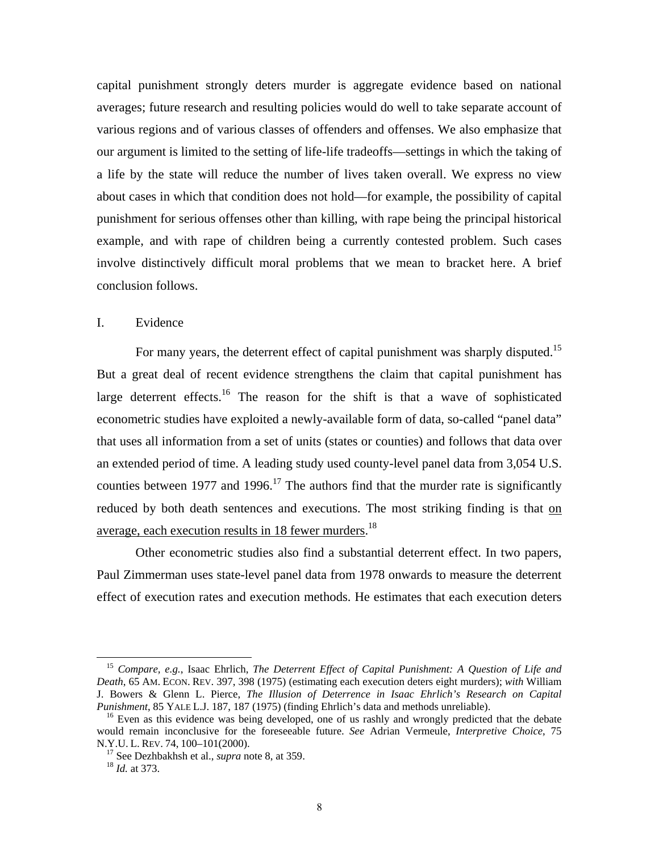capital punishment strongly deters murder is aggregate evidence based on national averages; future research and resulting policies would do well to take separate account of various regions and of various classes of offenders and offenses. We also emphasize that our argument is limited to the setting of life-life tradeoffs—settings in which the taking of a life by the state will reduce the number of lives taken overall. We express no view about cases in which that condition does not hold—for example, the possibility of capital punishment for serious offenses other than killing, with rape being the principal historical example, and with rape of children being a currently contested problem. Such cases involve distinctively difficult moral problems that we mean to bracket here. A brief conclusion follows.

#### I. Evidence

For many years, the deterrent effect of capital punishment was sharply disputed.<sup>15</sup> But a great deal of recent evidence strengthens the claim that capital punishment has large deterrent effects.<sup>16</sup> The reason for the shift is that a wave of sophisticated econometric studies have exploited a newly-available form of data, so-called "panel data" that uses all information from a set of units (states or counties) and follows that data over an extended period of time. A leading study used county-level panel data from 3,054 U.S. counties between 1977 and 1996.<sup>17</sup> The authors find that the murder rate is significantly reduced by both death sentences and executions. The most striking finding is that on average, each execution results in 18 fewer murders.<sup>18</sup>

Other econometric studies also find a substantial deterrent effect. In two papers, Paul Zimmerman uses state-level panel data from 1978 onwards to measure the deterrent effect of execution rates and execution methods. He estimates that each execution deters

<sup>15</sup> *Compare, e.g.*, Isaac Ehrlich, *The Deterrent Effect of Capital Punishment: A Question of Life and Death*, 65 AM. ECON. REV. 397, 398 (1975) (estimating each execution deters eight murders); *with* William J. Bowers & Glenn L. Pierce, *The Illusion of Deterrence in Isaac Ehrlich's Research on Capital* 

<sup>&</sup>lt;sup>16</sup> Even as this evidence was being developed, one of us rashly and wrongly predicted that the debate would remain inconclusive for the foreseeable future. *See* Adrian Vermeule, *Interpretive Choice*, 75 N.Y.U. L. REV. 74, 100–101(2000).<br><sup>17</sup> See Dezhbakhsh et al., *supra* note 8, at 359.<br><sup>18</sup> *Id.* at 373.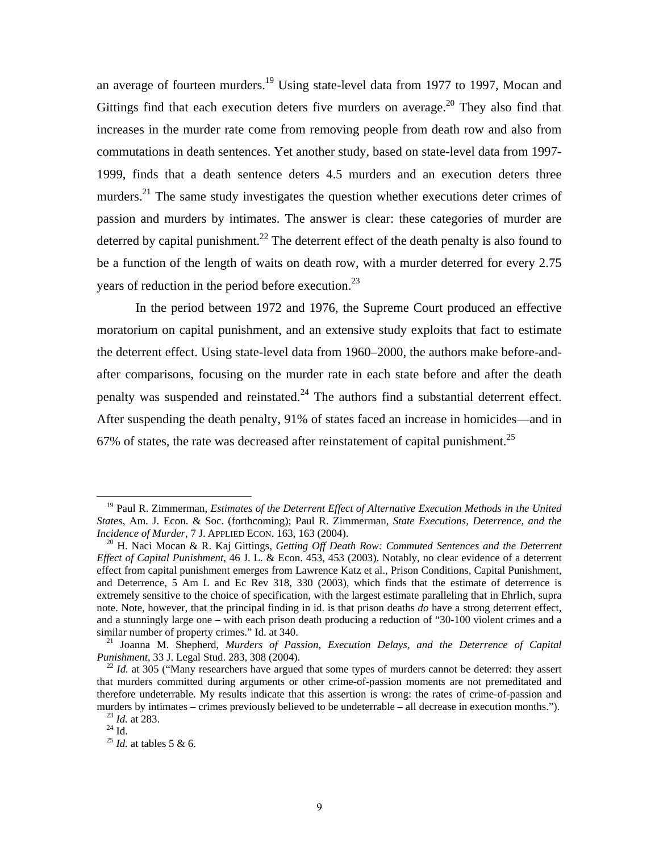an average of fourteen murders.<sup>19</sup> Using state-level data from 1977 to 1997, Mocan and Gittings find that each execution deters five murders on average.<sup>20</sup> They also find that increases in the murder rate come from removing people from death row and also from commutations in death sentences. Yet another study, based on state-level data from 1997- 1999, finds that a death sentence deters 4.5 murders and an execution deters three murders.<sup>21</sup> The same study investigates the question whether executions deter crimes of passion and murders by intimates. The answer is clear: these categories of murder are deterred by capital punishment.<sup>22</sup> The deterrent effect of the death penalty is also found to be a function of the length of waits on death row, with a murder deterred for every 2.75 years of reduction in the period before execution.<sup>23</sup>

In the period between 1972 and 1976, the Supreme Court produced an effective moratorium on capital punishment, and an extensive study exploits that fact to estimate the deterrent effect. Using state-level data from 1960–2000, the authors make before-andafter comparisons, focusing on the murder rate in each state before and after the death penalty was suspended and reinstated. $^{24}$  The authors find a substantial deterrent effect. After suspending the death penalty, 91% of states faced an increase in homicides—and in 67% of states, the rate was decreased after reinstatement of capital punishment.<sup>25</sup>

19 Paul R. Zimmerman, *Estimates of the Deterrent Effect of Alternative Execution Methods in the United States*, Am. J. Econ. & Soc. (forthcoming); Paul R. Zimmerman, *State Executions, Deterrence, and the Incidence of Murder*, 7 J. APPLIED ECON. 163, 163 (2004).<br><sup>20</sup> H. Naci Mocan & R. Kaj Gittings, *Getting Off Death Row: Commuted Sentences and the Deterrent* 

*Effect of Capital Punishment*, 46 J. L. & Econ. 453, 453 (2003). Notably, no clear evidence of a deterrent effect from capital punishment emerges from Lawrence Katz et al., Prison Conditions, Capital Punishment, and Deterrence, 5 Am L and Ec Rev 318, 330 (2003), which finds that the estimate of deterrence is extremely sensitive to the choice of specification, with the largest estimate paralleling that in Ehrlich, supra note. Note, however, that the principal finding in id. is that prison deaths *do* have a strong deterrent effect, and a stunningly large one – with each prison death producing a reduction of "30-100 violent crimes and a

similar number of property crimes." Id. at 340.<br><sup>21</sup> Joanna M. Shepherd, *Murders of Passion, Execution Delays, and the Deterrence of Capital <i>Punishment*, 33 J. Legal Stud. 283, 308 (2004).

<sup>&</sup>lt;sup>22</sup> Id. at 305 ("Many researchers have argued that some types of murders cannot be deterred: they assert that murders committed during arguments or other crime-of-passion moments are not premeditated and therefore undeterrable. My results indicate that this assertion is wrong: the rates of crime-of-passion and murders by intimates – crimes previously believed to be undeterrable – all decrease in execution months."). <sup>23</sup> *Id.* at 283. <sup>24</sup> <sup>Id</sup>

 $^{25}$  *Id.* at tables 5 & 6.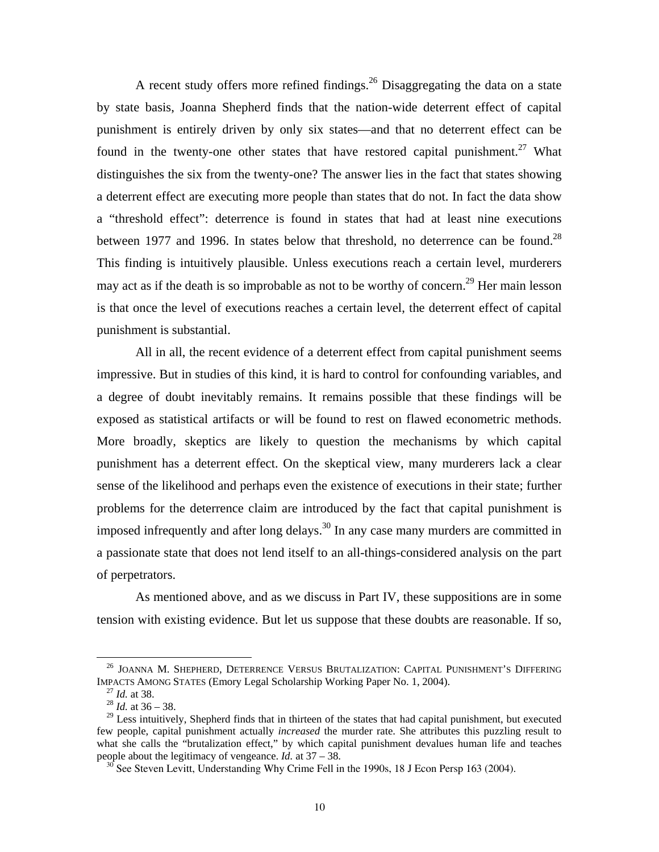A recent study offers more refined findings.<sup>26</sup> Disaggregating the data on a state by state basis, Joanna Shepherd finds that the nation-wide deterrent effect of capital punishment is entirely driven by only six states—and that no deterrent effect can be found in the twenty-one other states that have restored capital punishment.<sup>27</sup> What distinguishes the six from the twenty-one? The answer lies in the fact that states showing a deterrent effect are executing more people than states that do not. In fact the data show a "threshold effect": deterrence is found in states that had at least nine executions between 1977 and 1996. In states below that threshold, no deterrence can be found.<sup>28</sup> This finding is intuitively plausible. Unless executions reach a certain level, murderers may act as if the death is so improbable as not to be worthy of concern.<sup>29</sup> Her main lesson is that once the level of executions reaches a certain level, the deterrent effect of capital punishment is substantial.

All in all, the recent evidence of a deterrent effect from capital punishment seems impressive. But in studies of this kind, it is hard to control for confounding variables, and a degree of doubt inevitably remains. It remains possible that these findings will be exposed as statistical artifacts or will be found to rest on flawed econometric methods. More broadly, skeptics are likely to question the mechanisms by which capital punishment has a deterrent effect. On the skeptical view, many murderers lack a clear sense of the likelihood and perhaps even the existence of executions in their state; further problems for the deterrence claim are introduced by the fact that capital punishment is imposed infrequently and after long delays.<sup>30</sup> In any case many murders are committed in a passionate state that does not lend itself to an all-things-considered analysis on the part of perpetrators.

As mentioned above, and as we discuss in Part IV, these suppositions are in some tension with existing evidence. But let us suppose that these doubts are reasonable. If so,

<sup>&</sup>lt;sup>26</sup> JOANNA M. SHEPHERD, DETERRENCE VERSUS BRUTALIZATION: CAPITAL PUNISHMENT'S DIFFERING IMPACTS AMONG STATES (Emory Legal Scholarship Working Paper No. 1, 2004).<br><sup>27</sup> *Id.* at 38. <sup>28</sup> *Id.* at 36 – 38.

<sup>&</sup>lt;sup>29</sup> Less intuitively, Shepherd finds that in thirteen of the states that had capital punishment, but executed few people, capital punishment actually *increased* the murder rate. She attributes this puzzling result to what she calls the "brutalization effect," by which capital punishment devalues human life and teaches people about the legitimacy of vengeance. *Id.* at 37 – 38.<br><sup>30</sup> See Steven Levitt, Understanding Why Crime Fell in the 1990s, 18 J Econ Persp 163 (2004).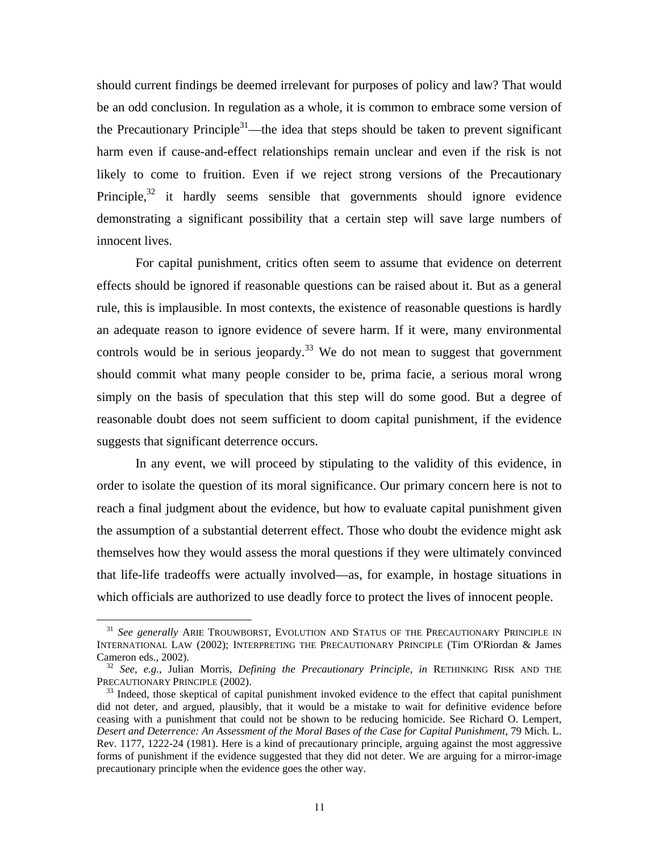should current findings be deemed irrelevant for purposes of policy and law? That would be an odd conclusion. In regulation as a whole, it is common to embrace some version of the Precautionary Principle<sup>31</sup>—the idea that steps should be taken to prevent significant harm even if cause-and-effect relationships remain unclear and even if the risk is not likely to come to fruition. Even if we reject strong versions of the Precautionary Principle, $32$  it hardly seems sensible that governments should ignore evidence demonstrating a significant possibility that a certain step will save large numbers of innocent lives.

For capital punishment, critics often seem to assume that evidence on deterrent effects should be ignored if reasonable questions can be raised about it. But as a general rule, this is implausible. In most contexts, the existence of reasonable questions is hardly an adequate reason to ignore evidence of severe harm. If it were, many environmental controls would be in serious jeopardy.<sup>33</sup> We do not mean to suggest that government should commit what many people consider to be, prima facie, a serious moral wrong simply on the basis of speculation that this step will do some good. But a degree of reasonable doubt does not seem sufficient to doom capital punishment, if the evidence suggests that significant deterrence occurs.

In any event, we will proceed by stipulating to the validity of this evidence, in order to isolate the question of its moral significance. Our primary concern here is not to reach a final judgment about the evidence, but how to evaluate capital punishment given the assumption of a substantial deterrent effect. Those who doubt the evidence might ask themselves how they would assess the moral questions if they were ultimately convinced that life-life tradeoffs were actually involved—as, for example, in hostage situations in which officials are authorized to use deadly force to protect the lives of innocent people.

<sup>31</sup> *See generally* ARIE TROUWBORST, EVOLUTION AND STATUS OF THE PRECAUTIONARY PRINCIPLE IN INTERNATIONAL LAW (2002); INTERPRETING THE PRECAUTIONARY PRINCIPLE (Tim O'Riordan & James Cameron eds., 2002).

<sup>&</sup>lt;sup>32</sup> See, e.g., Julian Morris, *Defining the Precautionary Principle*, *in* RETHINKING RISK AND THE PRECAUTIONARY PRINCIPLE (2002).<br><sup>33</sup> Indeed, those skeptical of capital punishment invoked evidence to the effect that capital punishment

did not deter, and argued, plausibly, that it would be a mistake to wait for definitive evidence before ceasing with a punishment that could not be shown to be reducing homicide. See Richard O. Lempert, *Desert and Deterrence: An Assessment of the Moral Bases of the Case for Capital Punishment*, 79 Mich. L. Rev. 1177, 1222-24 (1981). Here is a kind of precautionary principle, arguing against the most aggressive forms of punishment if the evidence suggested that they did not deter. We are arguing for a mirror-image precautionary principle when the evidence goes the other way.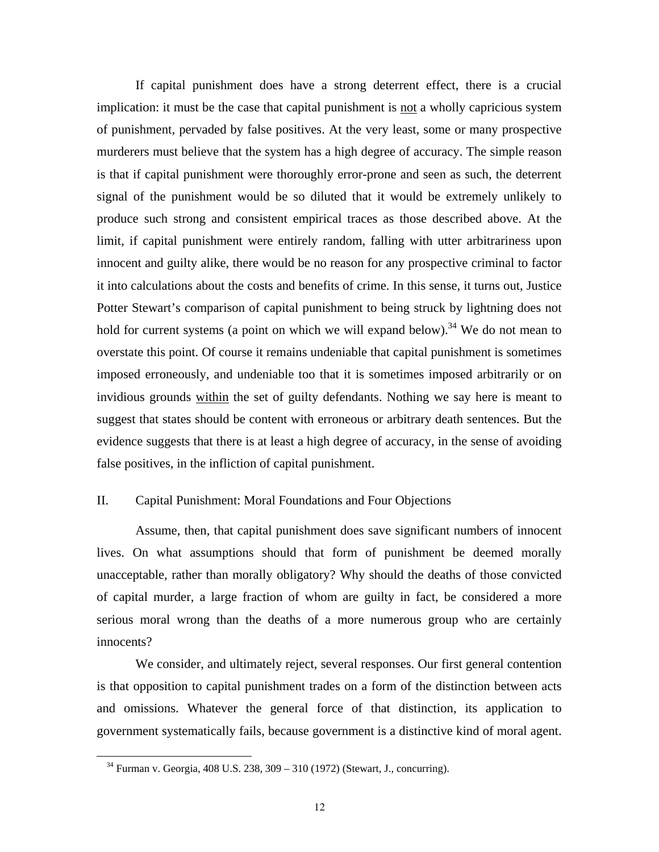If capital punishment does have a strong deterrent effect, there is a crucial implication: it must be the case that capital punishment is not a wholly capricious system of punishment, pervaded by false positives. At the very least, some or many prospective murderers must believe that the system has a high degree of accuracy. The simple reason is that if capital punishment were thoroughly error-prone and seen as such, the deterrent signal of the punishment would be so diluted that it would be extremely unlikely to produce such strong and consistent empirical traces as those described above. At the limit, if capital punishment were entirely random, falling with utter arbitrariness upon innocent and guilty alike, there would be no reason for any prospective criminal to factor it into calculations about the costs and benefits of crime. In this sense, it turns out, Justice Potter Stewart's comparison of capital punishment to being struck by lightning does not hold for current systems (a point on which we will expand below).<sup>34</sup> We do not mean to overstate this point. Of course it remains undeniable that capital punishment is sometimes imposed erroneously, and undeniable too that it is sometimes imposed arbitrarily or on invidious grounds within the set of guilty defendants. Nothing we say here is meant to suggest that states should be content with erroneous or arbitrary death sentences. But the evidence suggests that there is at least a high degree of accuracy, in the sense of avoiding false positives, in the infliction of capital punishment.

#### II. Capital Punishment: Moral Foundations and Four Objections

Assume, then, that capital punishment does save significant numbers of innocent lives. On what assumptions should that form of punishment be deemed morally unacceptable, rather than morally obligatory? Why should the deaths of those convicted of capital murder, a large fraction of whom are guilty in fact, be considered a more serious moral wrong than the deaths of a more numerous group who are certainly innocents?

We consider, and ultimately reject, several responses. Our first general contention is that opposition to capital punishment trades on a form of the distinction between acts and omissions. Whatever the general force of that distinction, its application to government systematically fails, because government is a distinctive kind of moral agent.

34 Furman v. Georgia, 408 U.S. 238, 309 – 310 (1972) (Stewart, J., concurring).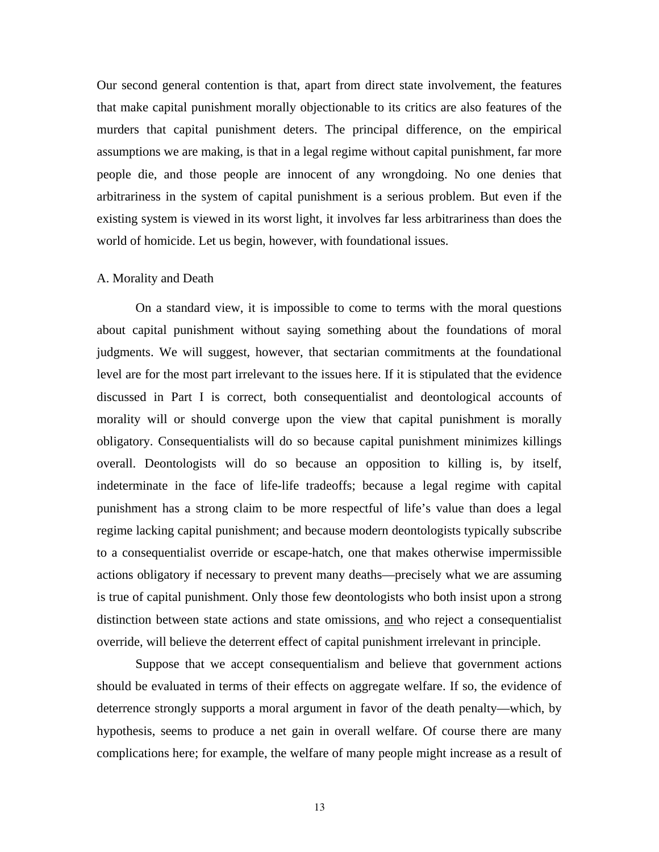Our second general contention is that, apart from direct state involvement, the features that make capital punishment morally objectionable to its critics are also features of the murders that capital punishment deters. The principal difference, on the empirical assumptions we are making, is that in a legal regime without capital punishment, far more people die, and those people are innocent of any wrongdoing. No one denies that arbitrariness in the system of capital punishment is a serious problem. But even if the existing system is viewed in its worst light, it involves far less arbitrariness than does the world of homicide. Let us begin, however, with foundational issues.

#### A. Morality and Death

On a standard view, it is impossible to come to terms with the moral questions about capital punishment without saying something about the foundations of moral judgments. We will suggest, however, that sectarian commitments at the foundational level are for the most part irrelevant to the issues here. If it is stipulated that the evidence discussed in Part I is correct, both consequentialist and deontological accounts of morality will or should converge upon the view that capital punishment is morally obligatory. Consequentialists will do so because capital punishment minimizes killings overall. Deontologists will do so because an opposition to killing is, by itself, indeterminate in the face of life-life tradeoffs; because a legal regime with capital punishment has a strong claim to be more respectful of life's value than does a legal regime lacking capital punishment; and because modern deontologists typically subscribe to a consequentialist override or escape-hatch, one that makes otherwise impermissible actions obligatory if necessary to prevent many deaths—precisely what we are assuming is true of capital punishment. Only those few deontologists who both insist upon a strong distinction between state actions and state omissions, and who reject a consequentialist override, will believe the deterrent effect of capital punishment irrelevant in principle.

Suppose that we accept consequentialism and believe that government actions should be evaluated in terms of their effects on aggregate welfare. If so, the evidence of deterrence strongly supports a moral argument in favor of the death penalty—which, by hypothesis, seems to produce a net gain in overall welfare. Of course there are many complications here; for example, the welfare of many people might increase as a result of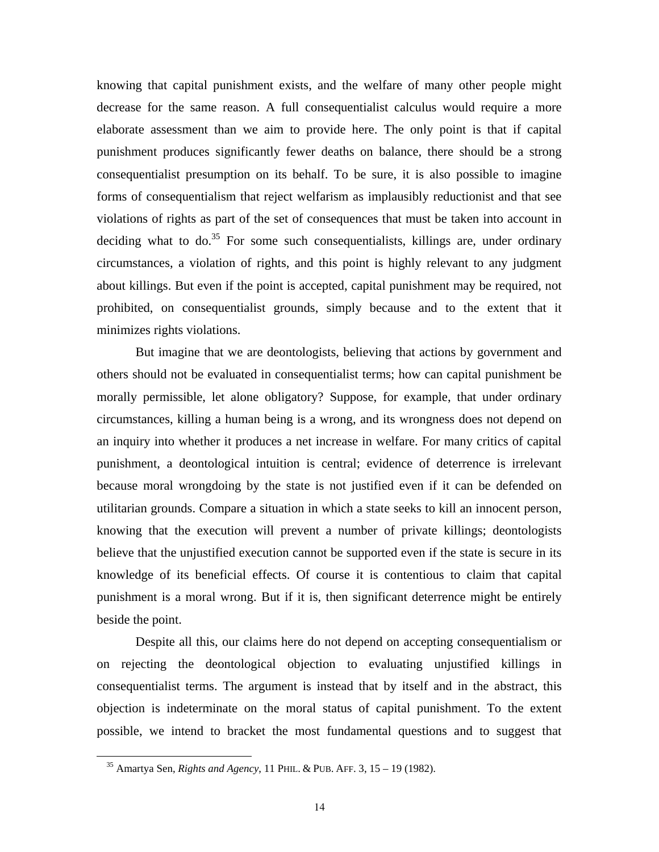knowing that capital punishment exists, and the welfare of many other people might decrease for the same reason. A full consequentialist calculus would require a more elaborate assessment than we aim to provide here. The only point is that if capital punishment produces significantly fewer deaths on balance, there should be a strong consequentialist presumption on its behalf. To be sure, it is also possible to imagine forms of consequentialism that reject welfarism as implausibly reductionist and that see violations of rights as part of the set of consequences that must be taken into account in deciding what to do.<sup>35</sup> For some such consequentialists, killings are, under ordinary circumstances, a violation of rights, and this point is highly relevant to any judgment about killings. But even if the point is accepted, capital punishment may be required, not prohibited, on consequentialist grounds, simply because and to the extent that it minimizes rights violations.

But imagine that we are deontologists, believing that actions by government and others should not be evaluated in consequentialist terms; how can capital punishment be morally permissible, let alone obligatory? Suppose, for example, that under ordinary circumstances, killing a human being is a wrong, and its wrongness does not depend on an inquiry into whether it produces a net increase in welfare. For many critics of capital punishment, a deontological intuition is central; evidence of deterrence is irrelevant because moral wrongdoing by the state is not justified even if it can be defended on utilitarian grounds. Compare a situation in which a state seeks to kill an innocent person, knowing that the execution will prevent a number of private killings; deontologists believe that the unjustified execution cannot be supported even if the state is secure in its knowledge of its beneficial effects. Of course it is contentious to claim that capital punishment is a moral wrong. But if it is, then significant deterrence might be entirely beside the point.

Despite all this, our claims here do not depend on accepting consequentialism or on rejecting the deontological objection to evaluating unjustified killings in consequentialist terms. The argument is instead that by itself and in the abstract, this objection is indeterminate on the moral status of capital punishment. To the extent possible, we intend to bracket the most fundamental questions and to suggest that

35 Amartya Sen, *Rights and Agency*, 11 PHIL. & PUB. AFF. 3, 15 – 19 (1982).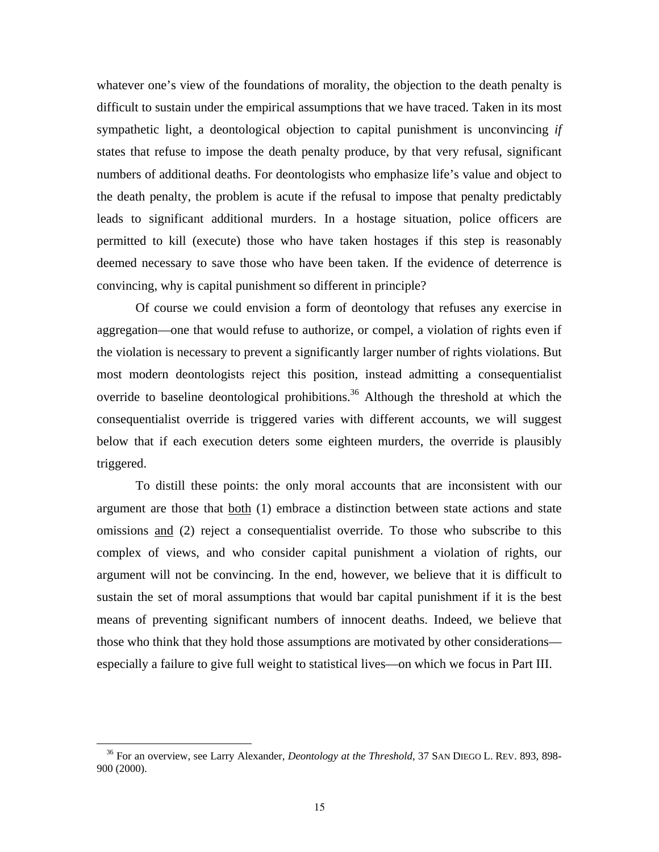whatever one's view of the foundations of morality, the objection to the death penalty is difficult to sustain under the empirical assumptions that we have traced. Taken in its most sympathetic light, a deontological objection to capital punishment is unconvincing *if* states that refuse to impose the death penalty produce, by that very refusal, significant numbers of additional deaths. For deontologists who emphasize life's value and object to the death penalty, the problem is acute if the refusal to impose that penalty predictably leads to significant additional murders. In a hostage situation, police officers are permitted to kill (execute) those who have taken hostages if this step is reasonably deemed necessary to save those who have been taken. If the evidence of deterrence is convincing, why is capital punishment so different in principle?

Of course we could envision a form of deontology that refuses any exercise in aggregation—one that would refuse to authorize, or compel, a violation of rights even if the violation is necessary to prevent a significantly larger number of rights violations. But most modern deontologists reject this position, instead admitting a consequentialist override to baseline deontological prohibitions.<sup>36</sup> Although the threshold at which the consequentialist override is triggered varies with different accounts, we will suggest below that if each execution deters some eighteen murders, the override is plausibly triggered.

To distill these points: the only moral accounts that are inconsistent with our argument are those that **both** (1) embrace a distinction between state actions and state omissions and (2) reject a consequentialist override. To those who subscribe to this complex of views, and who consider capital punishment a violation of rights, our argument will not be convincing. In the end, however, we believe that it is difficult to sustain the set of moral assumptions that would bar capital punishment if it is the best means of preventing significant numbers of innocent deaths. Indeed, we believe that those who think that they hold those assumptions are motivated by other considerations especially a failure to give full weight to statistical lives—on which we focus in Part III.

<sup>&</sup>lt;sup>36</sup> For an overview, see Larry Alexander, *Deontology at the Threshold*, 37 SAN DIEGO L. REV. 893, 898-900 (2000).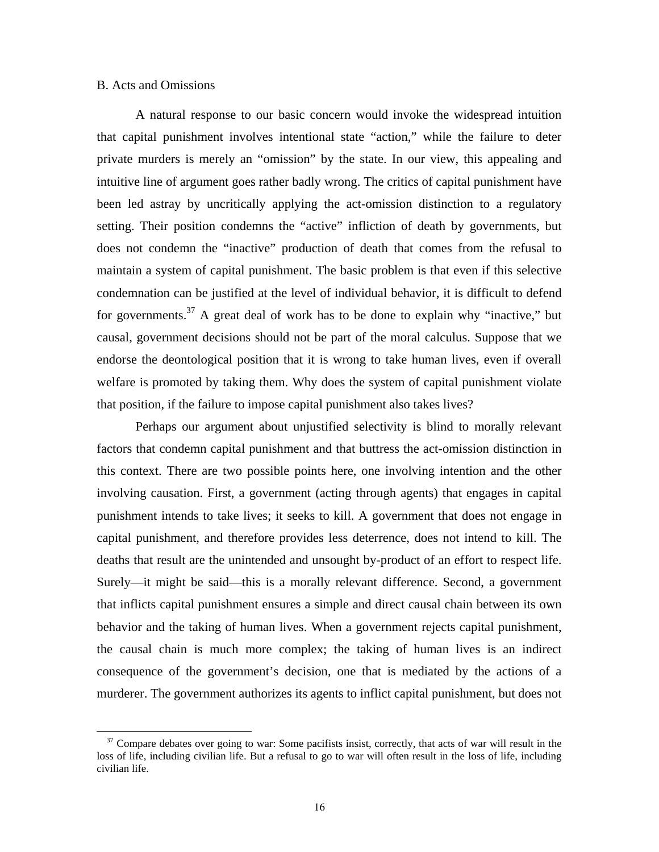#### B. Acts and Omissions

A natural response to our basic concern would invoke the widespread intuition that capital punishment involves intentional state "action," while the failure to deter private murders is merely an "omission" by the state. In our view, this appealing and intuitive line of argument goes rather badly wrong. The critics of capital punishment have been led astray by uncritically applying the act-omission distinction to a regulatory setting. Their position condemns the "active" infliction of death by governments, but does not condemn the "inactive" production of death that comes from the refusal to maintain a system of capital punishment. The basic problem is that even if this selective condemnation can be justified at the level of individual behavior, it is difficult to defend for governments.<sup>37</sup> A great deal of work has to be done to explain why "inactive," but causal, government decisions should not be part of the moral calculus. Suppose that we endorse the deontological position that it is wrong to take human lives, even if overall welfare is promoted by taking them. Why does the system of capital punishment violate that position, if the failure to impose capital punishment also takes lives?

Perhaps our argument about unjustified selectivity is blind to morally relevant factors that condemn capital punishment and that buttress the act-omission distinction in this context. There are two possible points here, one involving intention and the other involving causation. First, a government (acting through agents) that engages in capital punishment intends to take lives; it seeks to kill. A government that does not engage in capital punishment, and therefore provides less deterrence, does not intend to kill. The deaths that result are the unintended and unsought by-product of an effort to respect life. Surely—it might be said—this is a morally relevant difference. Second, a government that inflicts capital punishment ensures a simple and direct causal chain between its own behavior and the taking of human lives. When a government rejects capital punishment, the causal chain is much more complex; the taking of human lives is an indirect consequence of the government's decision, one that is mediated by the actions of a murderer. The government authorizes its agents to inflict capital punishment, but does not

 $37$  Compare debates over going to war: Some pacifists insist, correctly, that acts of war will result in the loss of life, including civilian life. But a refusal to go to war will often result in the loss of life, including civilian life.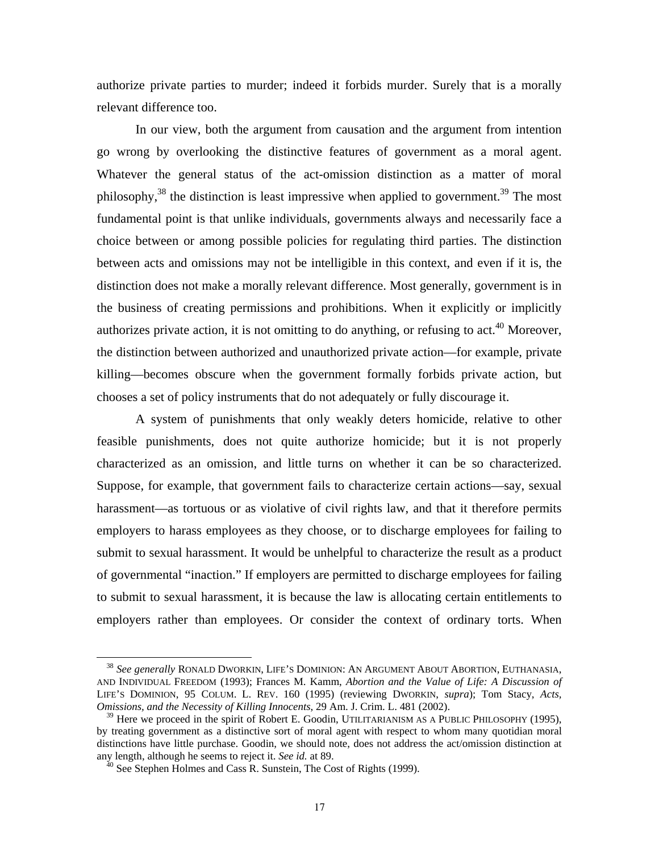authorize private parties to murder; indeed it forbids murder. Surely that is a morally relevant difference too.

In our view, both the argument from causation and the argument from intention go wrong by overlooking the distinctive features of government as a moral agent. Whatever the general status of the act-omission distinction as a matter of moral philosophy,<sup>38</sup> the distinction is least impressive when applied to government.<sup>39</sup> The most fundamental point is that unlike individuals, governments always and necessarily face a choice between or among possible policies for regulating third parties. The distinction between acts and omissions may not be intelligible in this context, and even if it is, the distinction does not make a morally relevant difference. Most generally, government is in the business of creating permissions and prohibitions. When it explicitly or implicitly authorizes private action, it is not omitting to do anything, or refusing to act.<sup>40</sup> Moreover, the distinction between authorized and unauthorized private action—for example, private killing—becomes obscure when the government formally forbids private action, but chooses a set of policy instruments that do not adequately or fully discourage it.

A system of punishments that only weakly deters homicide, relative to other feasible punishments, does not quite authorize homicide; but it is not properly characterized as an omission, and little turns on whether it can be so characterized. Suppose, for example, that government fails to characterize certain actions—say, sexual harassment—as tortuous or as violative of civil rights law, and that it therefore permits employers to harass employees as they choose, or to discharge employees for failing to submit to sexual harassment. It would be unhelpful to characterize the result as a product of governmental "inaction." If employers are permitted to discharge employees for failing to submit to sexual harassment, it is because the law is allocating certain entitlements to employers rather than employees. Or consider the context of ordinary torts. When

<sup>38</sup> *See generally* RONALD DWORKIN, LIFE'S DOMINION: AN ARGUMENT ABOUT ABORTION, EUTHANASIA, AND INDIVIDUAL FREEDOM (1993); Frances M. Kamm, *Abortion and the Value of Life: A Discussion of*  LIFE'S DOMINION, 95 COLUM. L. REV. 160 (1995) (reviewing DWORKIN, *supra*); Tom Stacy, *Acts, Omissions, and the Necessity of Killing Innocents*, 29 Am. J. Crim. L. 481 (2002).

 $39$  Here we proceed in the spirit of Robert E. Goodin, UTILITARIANISM AS A PUBLIC PHILOSOPHY (1995), by treating government as a distinctive sort of moral agent with respect to whom many quotidian moral distinctions have little purchase. Goodin, we should note, does not address the act/omission distinction at any length, although he seems to reject it. *See id.* at 89. 40 See Stephen Holmes and Cass R. Sunstein, The Cost of Rights (1999).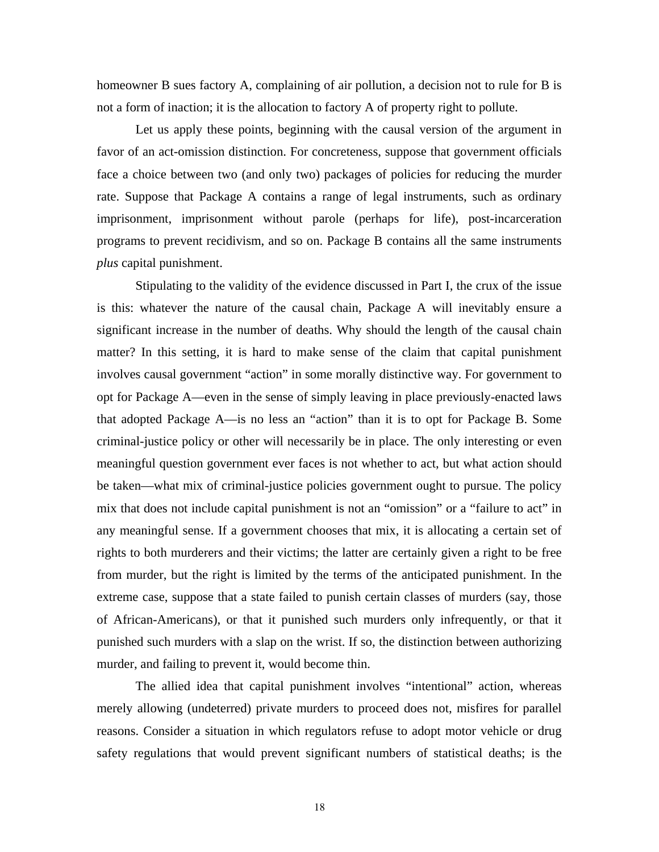homeowner B sues factory A, complaining of air pollution, a decision not to rule for B is not a form of inaction; it is the allocation to factory A of property right to pollute.

Let us apply these points, beginning with the causal version of the argument in favor of an act-omission distinction. For concreteness, suppose that government officials face a choice between two (and only two) packages of policies for reducing the murder rate. Suppose that Package A contains a range of legal instruments, such as ordinary imprisonment, imprisonment without parole (perhaps for life), post-incarceration programs to prevent recidivism, and so on. Package B contains all the same instruments *plus* capital punishment.

Stipulating to the validity of the evidence discussed in Part I, the crux of the issue is this: whatever the nature of the causal chain, Package A will inevitably ensure a significant increase in the number of deaths. Why should the length of the causal chain matter? In this setting, it is hard to make sense of the claim that capital punishment involves causal government "action" in some morally distinctive way. For government to opt for Package A—even in the sense of simply leaving in place previously-enacted laws that adopted Package A—is no less an "action" than it is to opt for Package B. Some criminal-justice policy or other will necessarily be in place. The only interesting or even meaningful question government ever faces is not whether to act, but what action should be taken—what mix of criminal-justice policies government ought to pursue. The policy mix that does not include capital punishment is not an "omission" or a "failure to act" in any meaningful sense. If a government chooses that mix, it is allocating a certain set of rights to both murderers and their victims; the latter are certainly given a right to be free from murder, but the right is limited by the terms of the anticipated punishment. In the extreme case, suppose that a state failed to punish certain classes of murders (say, those of African-Americans), or that it punished such murders only infrequently, or that it punished such murders with a slap on the wrist. If so, the distinction between authorizing murder, and failing to prevent it, would become thin.

The allied idea that capital punishment involves "intentional" action, whereas merely allowing (undeterred) private murders to proceed does not, misfires for parallel reasons. Consider a situation in which regulators refuse to adopt motor vehicle or drug safety regulations that would prevent significant numbers of statistical deaths; is the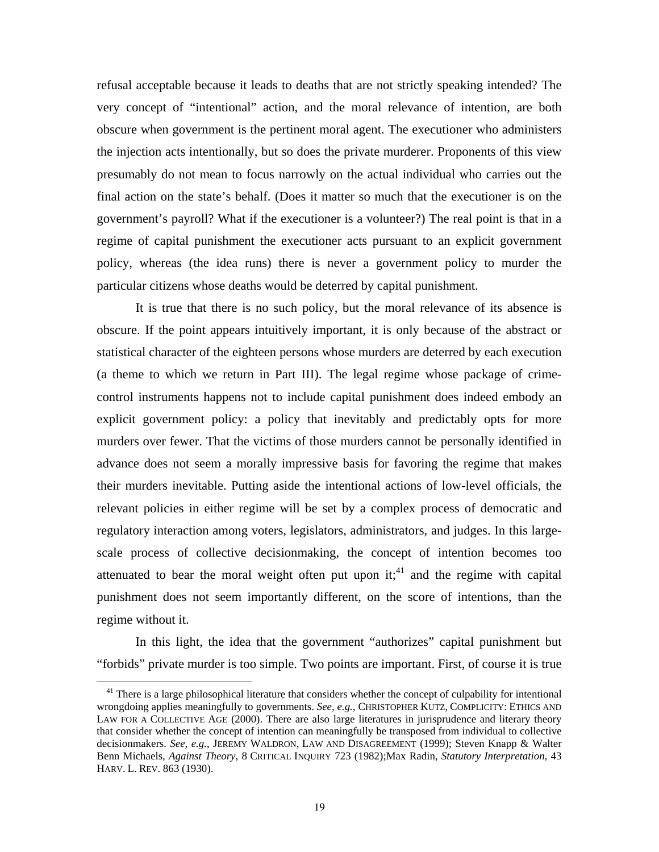refusal acceptable because it leads to deaths that are not strictly speaking intended? The very concept of "intentional" action, and the moral relevance of intention, are both obscure when government is the pertinent moral agent. The executioner who administers the injection acts intentionally, but so does the private murderer. Proponents of this view presumably do not mean to focus narrowly on the actual individual who carries out the final action on the state's behalf. (Does it matter so much that the executioner is on the government's payroll? What if the executioner is a volunteer?) The real point is that in a regime of capital punishment the executioner acts pursuant to an explicit government policy, whereas (the idea runs) there is never a government policy to murder the particular citizens whose deaths would be deterred by capital punishment.

It is true that there is no such policy, but the moral relevance of its absence is obscure. If the point appears intuitively important, it is only because of the abstract or statistical character of the eighteen persons whose murders are deterred by each execution (a theme to which we return in Part III). The legal regime whose package of crimecontrol instruments happens not to include capital punishment does indeed embody an explicit government policy: a policy that inevitably and predictably opts for more murders over fewer. That the victims of those murders cannot be personally identified in advance does not seem a morally impressive basis for favoring the regime that makes their murders inevitable. Putting aside the intentional actions of low-level officials, the relevant policies in either regime will be set by a complex process of democratic and regulatory interaction among voters, legislators, administrators, and judges. In this largescale process of collective decisionmaking, the concept of intention becomes too attenuated to bear the moral weight often put upon  $it;41}$  and the regime with capital punishment does not seem importantly different, on the score of intentions, than the regime without it.

In this light, the idea that the government "authorizes" capital punishment but "forbids" private murder is too simple. Two points are important. First, of course it is true

<sup>&</sup>lt;sup>41</sup> There is a large philosophical literature that considers whether the concept of culpability for intentional wrongdoing applies meaningfully to governments. *See, e.g.*, CHRISTOPHER KUTZ, COMPLICITY: ETHICS AND LAW FOR A COLLECTIVE AGE (2000). There are also large literatures in jurisprudence and literary theory that consider whether the concept of intention can meaningfully be transposed from individual to collective decisionmakers. *See, e.g.*, JEREMY WALDRON, LAW AND DISAGREEMENT (1999); Steven Knapp & Walter Benn Michaels, *Against Theory*, 8 CRITICAL INQUIRY 723 (1982);Max Radin, *Statutory Interpretation*, 43 HARV. L. REV. 863 (1930).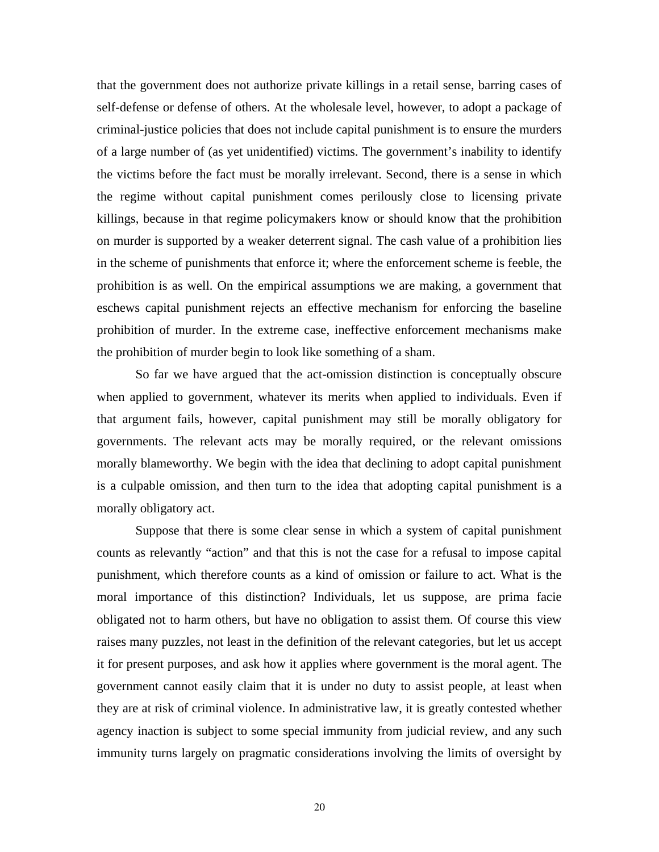that the government does not authorize private killings in a retail sense, barring cases of self-defense or defense of others. At the wholesale level, however, to adopt a package of criminal-justice policies that does not include capital punishment is to ensure the murders of a large number of (as yet unidentified) victims. The government's inability to identify the victims before the fact must be morally irrelevant. Second, there is a sense in which the regime without capital punishment comes perilously close to licensing private killings, because in that regime policymakers know or should know that the prohibition on murder is supported by a weaker deterrent signal. The cash value of a prohibition lies in the scheme of punishments that enforce it; where the enforcement scheme is feeble, the prohibition is as well. On the empirical assumptions we are making, a government that eschews capital punishment rejects an effective mechanism for enforcing the baseline prohibition of murder. In the extreme case, ineffective enforcement mechanisms make the prohibition of murder begin to look like something of a sham.

So far we have argued that the act-omission distinction is conceptually obscure when applied to government, whatever its merits when applied to individuals. Even if that argument fails, however, capital punishment may still be morally obligatory for governments. The relevant acts may be morally required, or the relevant omissions morally blameworthy. We begin with the idea that declining to adopt capital punishment is a culpable omission, and then turn to the idea that adopting capital punishment is a morally obligatory act.

Suppose that there is some clear sense in which a system of capital punishment counts as relevantly "action" and that this is not the case for a refusal to impose capital punishment, which therefore counts as a kind of omission or failure to act. What is the moral importance of this distinction? Individuals, let us suppose, are prima facie obligated not to harm others, but have no obligation to assist them. Of course this view raises many puzzles, not least in the definition of the relevant categories, but let us accept it for present purposes, and ask how it applies where government is the moral agent. The government cannot easily claim that it is under no duty to assist people, at least when they are at risk of criminal violence. In administrative law, it is greatly contested whether agency inaction is subject to some special immunity from judicial review, and any such immunity turns largely on pragmatic considerations involving the limits of oversight by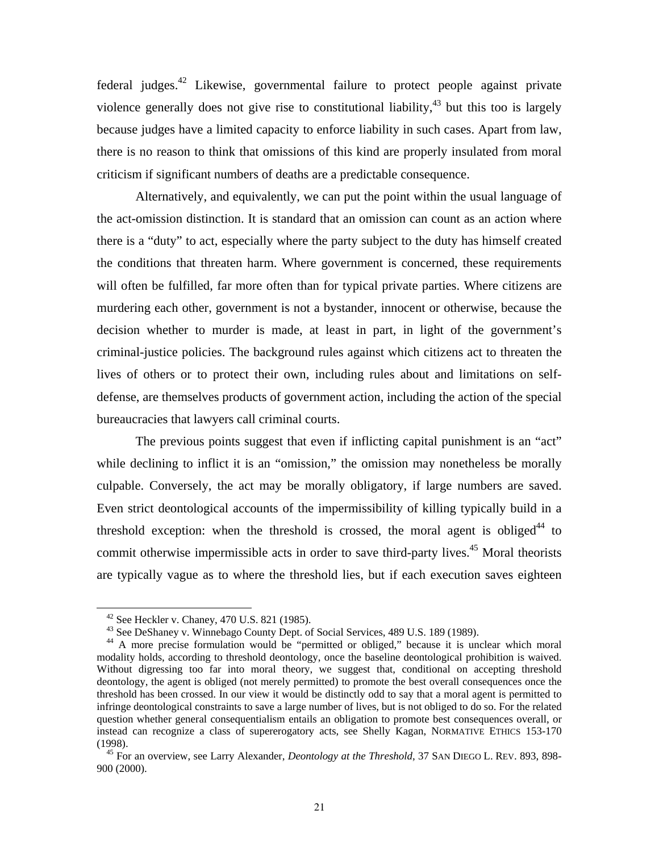federal judges. $42$  Likewise, governmental failure to protect people against private violence generally does not give rise to constitutional liability, $43$  but this too is largely because judges have a limited capacity to enforce liability in such cases. Apart from law, there is no reason to think that omissions of this kind are properly insulated from moral criticism if significant numbers of deaths are a predictable consequence.

Alternatively, and equivalently, we can put the point within the usual language of the act-omission distinction. It is standard that an omission can count as an action where there is a "duty" to act, especially where the party subject to the duty has himself created the conditions that threaten harm. Where government is concerned, these requirements will often be fulfilled, far more often than for typical private parties. Where citizens are murdering each other, government is not a bystander, innocent or otherwise, because the decision whether to murder is made, at least in part, in light of the government's criminal-justice policies. The background rules against which citizens act to threaten the lives of others or to protect their own, including rules about and limitations on selfdefense, are themselves products of government action, including the action of the special bureaucracies that lawyers call criminal courts.

The previous points suggest that even if inflicting capital punishment is an "act" while declining to inflict it is an "omission," the omission may nonetheless be morally culpable. Conversely, the act may be morally obligatory, if large numbers are saved. Even strict deontological accounts of the impermissibility of killing typically build in a threshold exception: when the threshold is crossed, the moral agent is obliged<sup>44</sup> to commit otherwise impermissible acts in order to save third-party lives.<sup>45</sup> Moral theorists are typically vague as to where the threshold lies, but if each execution saves eighteen

 $42$  See Heckler v. Chaney, 470 U.S. 821 (1985).

<sup>43</sup> See DeShaney v. Winnebago County Dept. of Social Services, 489 U.S. 189 (1989).

<sup>&</sup>lt;sup>44</sup> A more precise formulation would be "permitted or obliged," because it is unclear which moral modality holds, according to threshold deontology, once the baseline deontological prohibition is waived. Without digressing too far into moral theory, we suggest that, conditional on accepting threshold deontology, the agent is obliged (not merely permitted) to promote the best overall consequences once the threshold has been crossed. In our view it would be distinctly odd to say that a moral agent is permitted to infringe deontological constraints to save a large number of lives, but is not obliged to do so. For the related question whether general consequentialism entails an obligation to promote best consequences overall, or instead can recognize a class of supererogatory acts, see Shelly Kagan, NORMATIVE ETHICS 153-170 (1998). 45 For an overview, see Larry Alexander, *Deontology at the Threshold*, 37 SAN DIEGO L. REV. 893, 898-

<sup>900 (2000).</sup>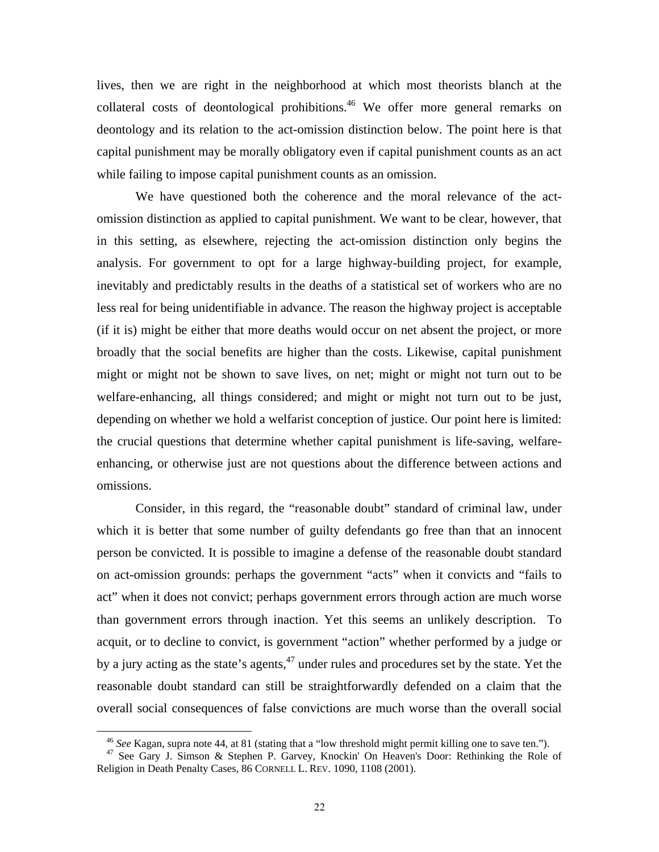lives, then we are right in the neighborhood at which most theorists blanch at the collateral costs of deontological prohibitions.<sup>46</sup> We offer more general remarks on deontology and its relation to the act-omission distinction below. The point here is that capital punishment may be morally obligatory even if capital punishment counts as an act while failing to impose capital punishment counts as an omission.

We have questioned both the coherence and the moral relevance of the actomission distinction as applied to capital punishment. We want to be clear, however, that in this setting, as elsewhere, rejecting the act-omission distinction only begins the analysis. For government to opt for a large highway-building project, for example, inevitably and predictably results in the deaths of a statistical set of workers who are no less real for being unidentifiable in advance. The reason the highway project is acceptable (if it is) might be either that more deaths would occur on net absent the project, or more broadly that the social benefits are higher than the costs. Likewise, capital punishment might or might not be shown to save lives, on net; might or might not turn out to be welfare-enhancing, all things considered; and might or might not turn out to be just, depending on whether we hold a welfarist conception of justice. Our point here is limited: the crucial questions that determine whether capital punishment is life-saving, welfareenhancing, or otherwise just are not questions about the difference between actions and omissions.

Consider, in this regard, the "reasonable doubt" standard of criminal law, under which it is better that some number of guilty defendants go free than that an innocent person be convicted. It is possible to imagine a defense of the reasonable doubt standard on act-omission grounds: perhaps the government "acts" when it convicts and "fails to act" when it does not convict; perhaps government errors through action are much worse than government errors through inaction. Yet this seems an unlikely description. To acquit, or to decline to convict, is government "action" whether performed by a judge or by a jury acting as the state's agents, $47$  under rules and procedures set by the state. Yet the reasonable doubt standard can still be straightforwardly defended on a claim that the overall social consequences of false convictions are much worse than the overall social

<sup>&</sup>lt;sup>46</sup> See Kagan, supra note 44, at 81 (stating that a "low threshold might permit killing one to save ten.").<br><sup>47</sup> See Gary J. Simson & Stephen P. Garvey, Knockin' On Heaven's Door: Rethinking the Role of Religion in Death Penalty Cases, 86 CORNELL L. REV. 1090, 1108 (2001).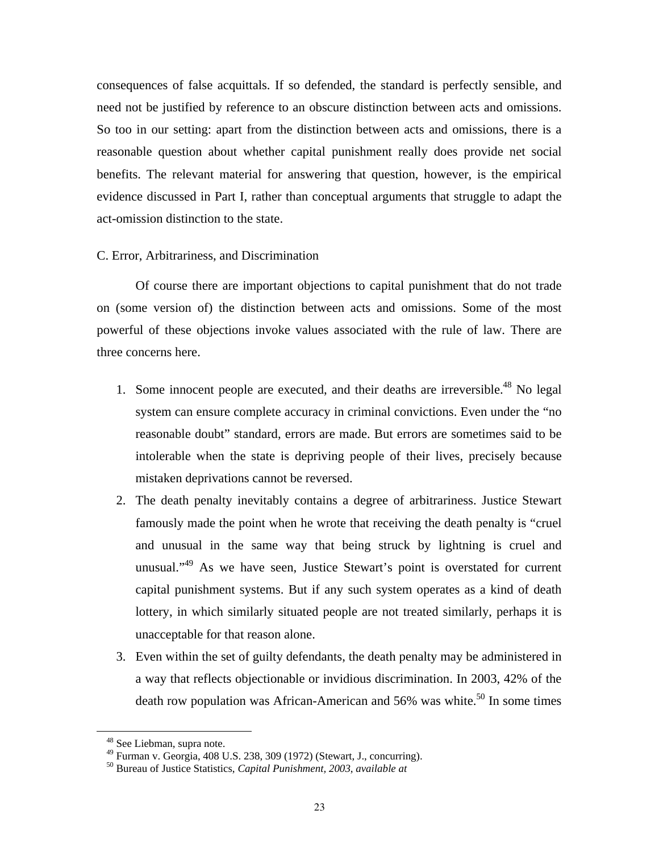consequences of false acquittals. If so defended, the standard is perfectly sensible, and need not be justified by reference to an obscure distinction between acts and omissions. So too in our setting: apart from the distinction between acts and omissions, there is a reasonable question about whether capital punishment really does provide net social benefits. The relevant material for answering that question, however, is the empirical evidence discussed in Part I, rather than conceptual arguments that struggle to adapt the act-omission distinction to the state.

#### C. Error, Arbitrariness, and Discrimination

Of course there are important objections to capital punishment that do not trade on (some version of) the distinction between acts and omissions. Some of the most powerful of these objections invoke values associated with the rule of law. There are three concerns here.

- 1. Some innocent people are executed, and their deaths are irreversible.<sup>48</sup> No legal system can ensure complete accuracy in criminal convictions. Even under the "no reasonable doubt" standard, errors are made. But errors are sometimes said to be intolerable when the state is depriving people of their lives, precisely because mistaken deprivations cannot be reversed.
- 2. The death penalty inevitably contains a degree of arbitrariness. Justice Stewart famously made the point when he wrote that receiving the death penalty is "cruel and unusual in the same way that being struck by lightning is cruel and unusual."<sup>49</sup> As we have seen, Justice Stewart's point is overstated for current capital punishment systems. But if any such system operates as a kind of death lottery, in which similarly situated people are not treated similarly, perhaps it is unacceptable for that reason alone.
- 3. Even within the set of guilty defendants, the death penalty may be administered in a way that reflects objectionable or invidious discrimination. In 2003, 42% of the death row population was African-American and 56% was white.<sup>50</sup> In some times

48 See Liebman, supra note.

<sup>49</sup> Furman v. Georgia, 408 U.S. 238, 309 (1972) (Stewart, J., concurring).

<sup>50</sup> Bureau of Justice Statistics, *Capital Punishment, 2003*, *available at*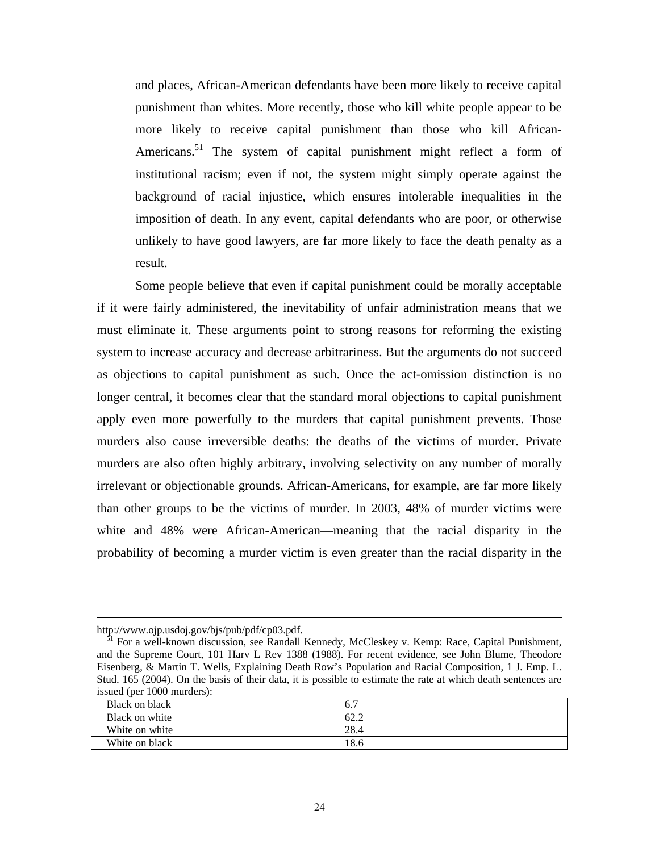and places, African-American defendants have been more likely to receive capital punishment than whites. More recently, those who kill white people appear to be more likely to receive capital punishment than those who kill African-Americans.<sup>51</sup> The system of capital punishment might reflect a form of institutional racism; even if not, the system might simply operate against the background of racial injustice, which ensures intolerable inequalities in the imposition of death. In any event, capital defendants who are poor, or otherwise unlikely to have good lawyers, are far more likely to face the death penalty as a result.

Some people believe that even if capital punishment could be morally acceptable if it were fairly administered, the inevitability of unfair administration means that we must eliminate it. These arguments point to strong reasons for reforming the existing system to increase accuracy and decrease arbitrariness. But the arguments do not succeed as objections to capital punishment as such. Once the act-omission distinction is no longer central, it becomes clear that the standard moral objections to capital punishment apply even more powerfully to the murders that capital punishment prevents. Those murders also cause irreversible deaths: the deaths of the victims of murder. Private murders are also often highly arbitrary, involving selectivity on any number of morally irrelevant or objectionable grounds. African-Americans, for example, are far more likely than other groups to be the victims of murder. In 2003, 48% of murder victims were white and 48% were African-American—meaning that the racial disparity in the probability of becoming a murder victim is even greater than the racial disparity in the

 $\overline{a}$ 

http://www.ojp.usdoj.gov/bjs/pub/pdf/cp03.pdf.<br><sup>51</sup> For a well-known discussion, see Randall Kennedy, McCleskey v. Kemp: Race, Capital Punishment, and the Supreme Court, 101 Harv L Rev 1388 (1988). For recent evidence, see John Blume, Theodore Eisenberg, & Martin T. Wells, Explaining Death Row's Population and Racial Composition, 1 J. Emp. L. Stud. 165 (2004). On the basis of their data, it is possible to estimate the rate at which death sentences are issued (per 1000 murders):

| Black on black | 6.7  |
|----------------|------|
| Black on white | 62.2 |
| White on white | 28.4 |
| White on black | 18.6 |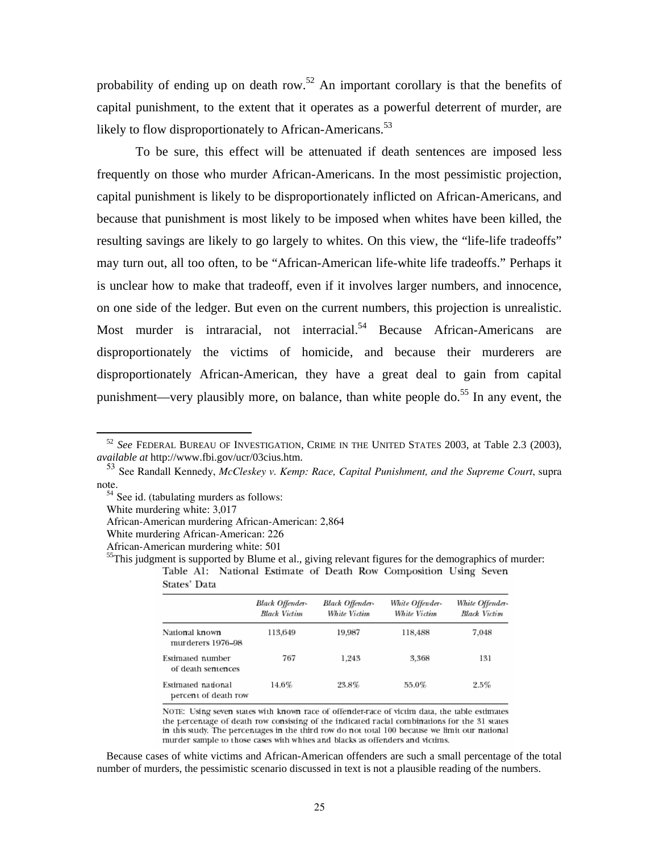probability of ending up on death row.<sup>52</sup> An important corollary is that the benefits of capital punishment, to the extent that it operates as a powerful deterrent of murder, are likely to flow disproportionately to African-Americans.<sup>53</sup>

To be sure, this effect will be attenuated if death sentences are imposed less frequently on those who murder African-Americans. In the most pessimistic projection, capital punishment is likely to be disproportionately inflicted on African-Americans, and because that punishment is most likely to be imposed when whites have been killed, the resulting savings are likely to go largely to whites. On this view, the "life-life tradeoffs" may turn out, all too often, to be "African-American life-white life tradeoffs." Perhaps it is unclear how to make that tradeoff, even if it involves larger numbers, and innocence, on one side of the ledger. But even on the current numbers, this projection is unrealistic. Most murder is intraracial, not interracial.<sup>54</sup> Because African-Americans are disproportionately the victims of homicide, and because their murderers are disproportionately African-American, they have a great deal to gain from capital punishment—very plausibly more, on balance, than white people do.<sup>55</sup> In any event, the

<sup>&</sup>lt;sup>55</sup>This judgment is supported by Blume et al., giving relevant figures for the demographics of murder: Table A1: National Estimate of Death Row Composition Using Seven States' Data

|                                            | Black Offender-<br>Black Victim | Black Offender-<br>White Victim | White Offender-<br>White Victim | White Offender-<br><b>Black Victim</b> |
|--------------------------------------------|---------------------------------|---------------------------------|---------------------------------|----------------------------------------|
| National known<br>murderers 1976–98        | 113,649                         | 19.987                          | 118,488                         | 7.048                                  |
| Estimated number<br>of death sentences     | 767                             | 1.243                           | 3,368                           | 131                                    |
| Estimated national<br>percent of death row | 14.6%                           | 23.8%                           | 55.0%                           | 2.5%                                   |

NOTE: Using seven states with known race of offender-race of victim data, the table estimates the percentage of death row consisting of the indicated racial combinations for the 31 states in this study. The percentages in the third row do not total 100 because we limit our national murder sample to those cases with whites and blacks as offenders and victims.

Because cases of white victims and African-American offenders are such a small percentage of the total number of murders, the pessimistic scenario discussed in text is not a plausible reading of the numbers.

<sup>52</sup> *See* FEDERAL BUREAU OF INVESTIGATION, CRIME IN THE UNITED STATES 2003, at Table 2.3 (2003), *available at* http://www.fbi.gov/ucr/03cius.htm.

<sup>53</sup> See Randall Kennedy, *McCleskey v. Kemp: Race, Capital Punishment, and the Supreme Court*, supra note.

<sup>54</sup> See id. (tabulating murders as follows:

White murdering white: 3,017

African-American murdering African-American: 2,864

White murdering African-American: 226

African-American murdering white: 501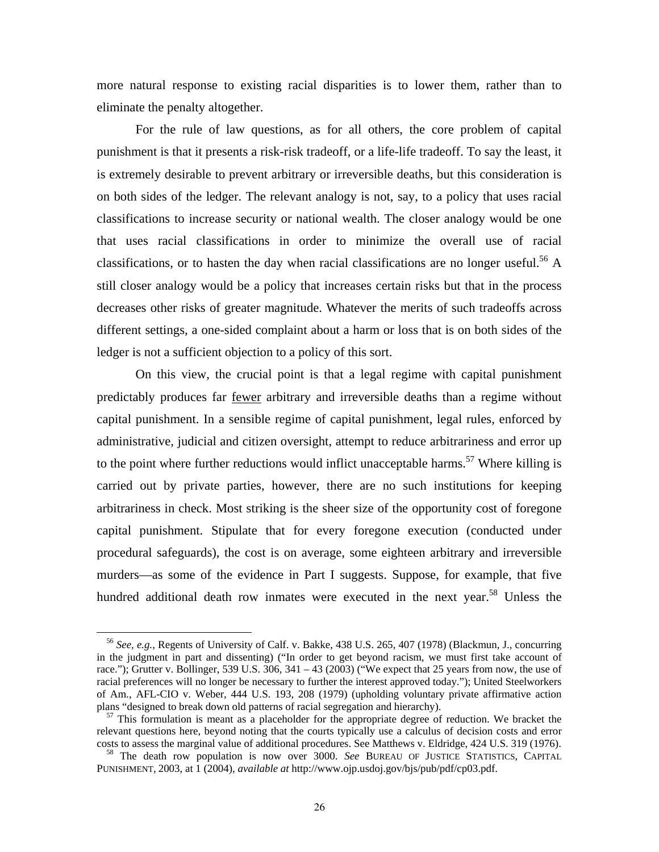more natural response to existing racial disparities is to lower them, rather than to eliminate the penalty altogether.

For the rule of law questions, as for all others, the core problem of capital punishment is that it presents a risk-risk tradeoff, or a life-life tradeoff. To say the least, it is extremely desirable to prevent arbitrary or irreversible deaths, but this consideration is on both sides of the ledger. The relevant analogy is not, say, to a policy that uses racial classifications to increase security or national wealth. The closer analogy would be one that uses racial classifications in order to minimize the overall use of racial classifications, or to hasten the day when racial classifications are no longer useful.<sup>56</sup> A still closer analogy would be a policy that increases certain risks but that in the process decreases other risks of greater magnitude. Whatever the merits of such tradeoffs across different settings, a one-sided complaint about a harm or loss that is on both sides of the ledger is not a sufficient objection to a policy of this sort.

On this view, the crucial point is that a legal regime with capital punishment predictably produces far fewer arbitrary and irreversible deaths than a regime without capital punishment. In a sensible regime of capital punishment, legal rules, enforced by administrative, judicial and citizen oversight, attempt to reduce arbitrariness and error up to the point where further reductions would inflict unacceptable harms.<sup>57</sup> Where killing is carried out by private parties, however, there are no such institutions for keeping arbitrariness in check. Most striking is the sheer size of the opportunity cost of foregone capital punishment. Stipulate that for every foregone execution (conducted under procedural safeguards), the cost is on average, some eighteen arbitrary and irreversible murders—as some of the evidence in Part I suggests. Suppose, for example, that five hundred additional death row inmates were executed in the next year.<sup>58</sup> Unless the

<sup>56</sup> *See, e.g.*, Regents of University of Calf. v. Bakke, 438 U.S. 265, 407 (1978) (Blackmun, J., concurring in the judgment in part and dissenting) ("In order to get beyond racism, we must first take account of race."); Grutter v. Bollinger, 539 U.S.  $306$ ,  $341 - 43$  (2003) ("We expect that 25 years from now, the use of racial preferences will no longer be necessary to further the interest approved today."); United Steelworkers of Am., AFL-CIO v. Weber, 444 U.S. 193, 208 (1979) (upholding voluntary private affirmative action plans "designed to break down old patterns of racial segregation and hierarchy).

 $57$  This formulation is meant as a placeholder for the appropriate degree of reduction. We bracket the relevant questions here, beyond noting that the courts typically use a calculus of decision costs and error costs to assess the marginal value of additional procedures. See Matthews v. Eldridge, 424 U.S. 319 (1976).

<sup>&</sup>lt;sup>58</sup> The death row population is now over 3000. See BUREAU OF JUSTICE STATISTICS, CAPITAL PUNISHMENT, 2003, at 1 (2004), *available at* http://www.ojp.usdoj.gov/bjs/pub/pdf/cp03.pdf.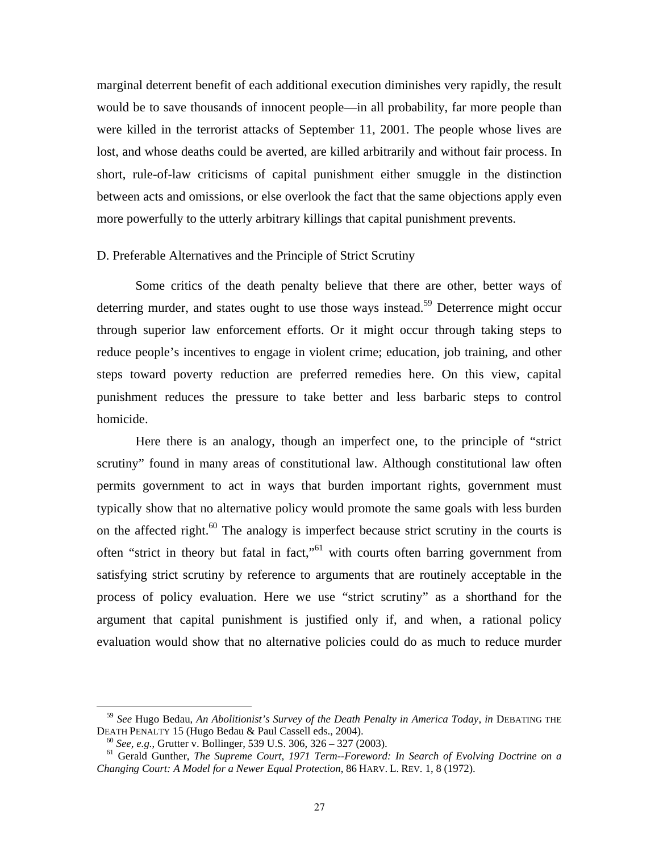marginal deterrent benefit of each additional execution diminishes very rapidly, the result would be to save thousands of innocent people—in all probability, far more people than were killed in the terrorist attacks of September 11, 2001. The people whose lives are lost, and whose deaths could be averted, are killed arbitrarily and without fair process. In short, rule-of-law criticisms of capital punishment either smuggle in the distinction between acts and omissions, or else overlook the fact that the same objections apply even more powerfully to the utterly arbitrary killings that capital punishment prevents.

#### D. Preferable Alternatives and the Principle of Strict Scrutiny

Some critics of the death penalty believe that there are other, better ways of deterring murder, and states ought to use those ways instead.<sup>59</sup> Deterrence might occur through superior law enforcement efforts. Or it might occur through taking steps to reduce people's incentives to engage in violent crime; education, job training, and other steps toward poverty reduction are preferred remedies here. On this view, capital punishment reduces the pressure to take better and less barbaric steps to control homicide.

Here there is an analogy, though an imperfect one, to the principle of "strict scrutiny" found in many areas of constitutional law. Although constitutional law often permits government to act in ways that burden important rights, government must typically show that no alternative policy would promote the same goals with less burden on the affected right.<sup>60</sup> The analogy is imperfect because strict scrutiny in the courts is often "strict in theory but fatal in fact,"61 with courts often barring government from satisfying strict scrutiny by reference to arguments that are routinely acceptable in the process of policy evaluation. Here we use "strict scrutiny" as a shorthand for the argument that capital punishment is justified only if, and when, a rational policy evaluation would show that no alternative policies could do as much to reduce murder

<sup>59</sup> *See* Hugo Bedau, *An Abolitionist's Survey of the Death Penalty in America Today*, *in* DEBATING THE

<sup>&</sup>lt;sup>60</sup> See, e.g., Grutter v. Bollinger, 539 U.S. 306, 326 – 327 (2003).<br><sup>61</sup> Gerald Gunther, *The Supreme Court, 1971 Term--Foreword: In Search of Evolving Doctrine on a Changing Court: A Model for a Newer Equal Protection*, 86 HARV. L. REV. 1, 8 (1972).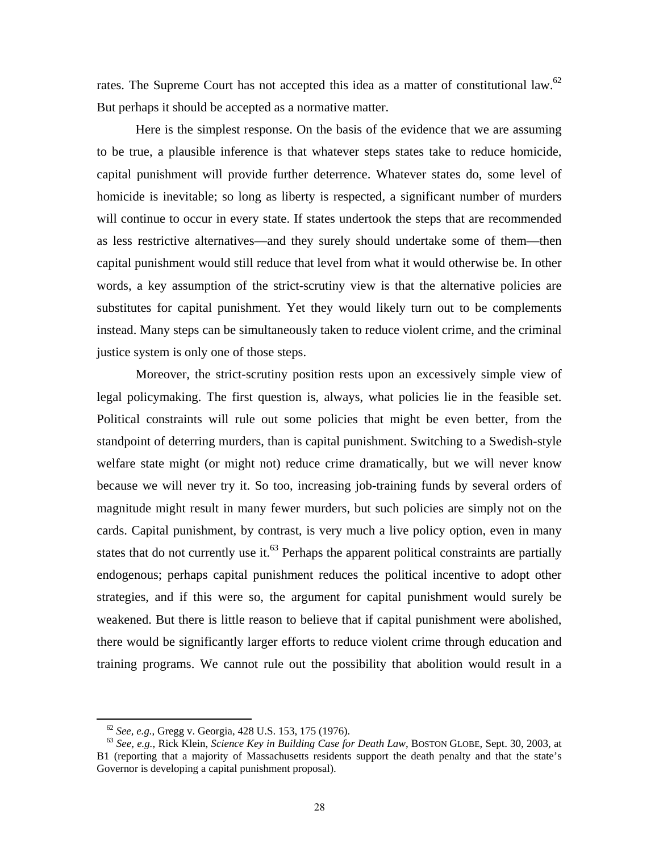rates. The Supreme Court has not accepted this idea as a matter of constitutional law.<sup>62</sup> But perhaps it should be accepted as a normative matter.

Here is the simplest response. On the basis of the evidence that we are assuming to be true, a plausible inference is that whatever steps states take to reduce homicide, capital punishment will provide further deterrence. Whatever states do, some level of homicide is inevitable; so long as liberty is respected, a significant number of murders will continue to occur in every state. If states undertook the steps that are recommended as less restrictive alternatives—and they surely should undertake some of them—then capital punishment would still reduce that level from what it would otherwise be. In other words, a key assumption of the strict-scrutiny view is that the alternative policies are substitutes for capital punishment. Yet they would likely turn out to be complements instead. Many steps can be simultaneously taken to reduce violent crime, and the criminal justice system is only one of those steps.

Moreover, the strict-scrutiny position rests upon an excessively simple view of legal policymaking. The first question is, always, what policies lie in the feasible set. Political constraints will rule out some policies that might be even better, from the standpoint of deterring murders, than is capital punishment. Switching to a Swedish-style welfare state might (or might not) reduce crime dramatically, but we will never know because we will never try it. So too, increasing job-training funds by several orders of magnitude might result in many fewer murders, but such policies are simply not on the cards. Capital punishment, by contrast, is very much a live policy option, even in many states that do not currently use it.<sup>63</sup> Perhaps the apparent political constraints are partially endogenous; perhaps capital punishment reduces the political incentive to adopt other strategies, and if this were so, the argument for capital punishment would surely be weakened. But there is little reason to believe that if capital punishment were abolished, there would be significantly larger efforts to reduce violent crime through education and training programs. We cannot rule out the possibility that abolition would result in a

<sup>62</sup> *See, e.g.*, Gregg v. Georgia, 428 U.S. 153, 175 (1976). 63 *See, e.g.*, Rick Klein, *Science Key in Building Case for Death Law*, BOSTON GLOBE, Sept. 30, 2003, at B1 (reporting that a majority of Massachusetts residents support the death penalty and that the state's Governor is developing a capital punishment proposal).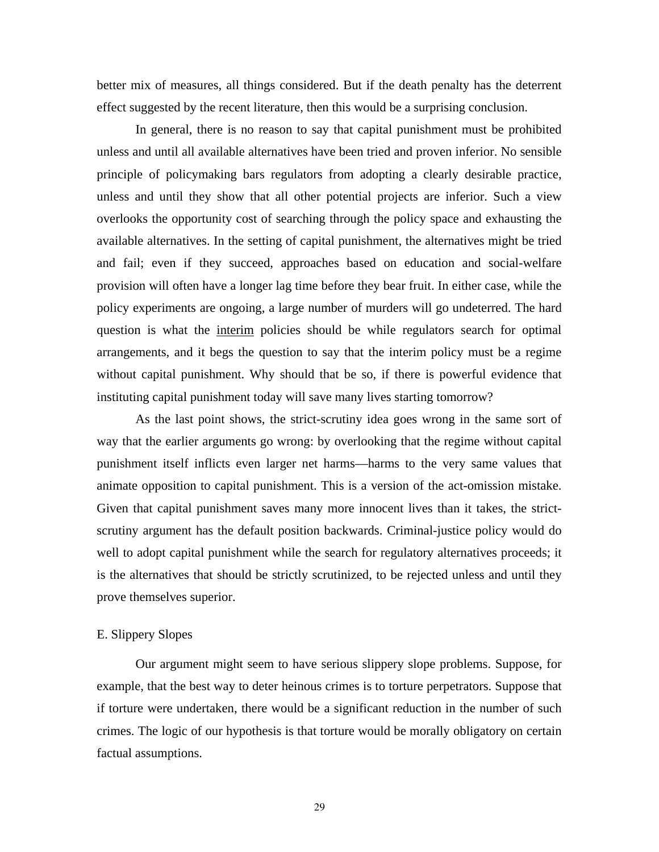better mix of measures, all things considered. But if the death penalty has the deterrent effect suggested by the recent literature, then this would be a surprising conclusion.

In general, there is no reason to say that capital punishment must be prohibited unless and until all available alternatives have been tried and proven inferior. No sensible principle of policymaking bars regulators from adopting a clearly desirable practice, unless and until they show that all other potential projects are inferior. Such a view overlooks the opportunity cost of searching through the policy space and exhausting the available alternatives. In the setting of capital punishment, the alternatives might be tried and fail; even if they succeed, approaches based on education and social-welfare provision will often have a longer lag time before they bear fruit. In either case, while the policy experiments are ongoing, a large number of murders will go undeterred. The hard question is what the interim policies should be while regulators search for optimal arrangements, and it begs the question to say that the interim policy must be a regime without capital punishment. Why should that be so, if there is powerful evidence that instituting capital punishment today will save many lives starting tomorrow?

As the last point shows, the strict-scrutiny idea goes wrong in the same sort of way that the earlier arguments go wrong: by overlooking that the regime without capital punishment itself inflicts even larger net harms—harms to the very same values that animate opposition to capital punishment. This is a version of the act-omission mistake. Given that capital punishment saves many more innocent lives than it takes, the strictscrutiny argument has the default position backwards. Criminal-justice policy would do well to adopt capital punishment while the search for regulatory alternatives proceeds; it is the alternatives that should be strictly scrutinized, to be rejected unless and until they prove themselves superior.

#### E. Slippery Slopes

Our argument might seem to have serious slippery slope problems. Suppose, for example, that the best way to deter heinous crimes is to torture perpetrators. Suppose that if torture were undertaken, there would be a significant reduction in the number of such crimes. The logic of our hypothesis is that torture would be morally obligatory on certain factual assumptions.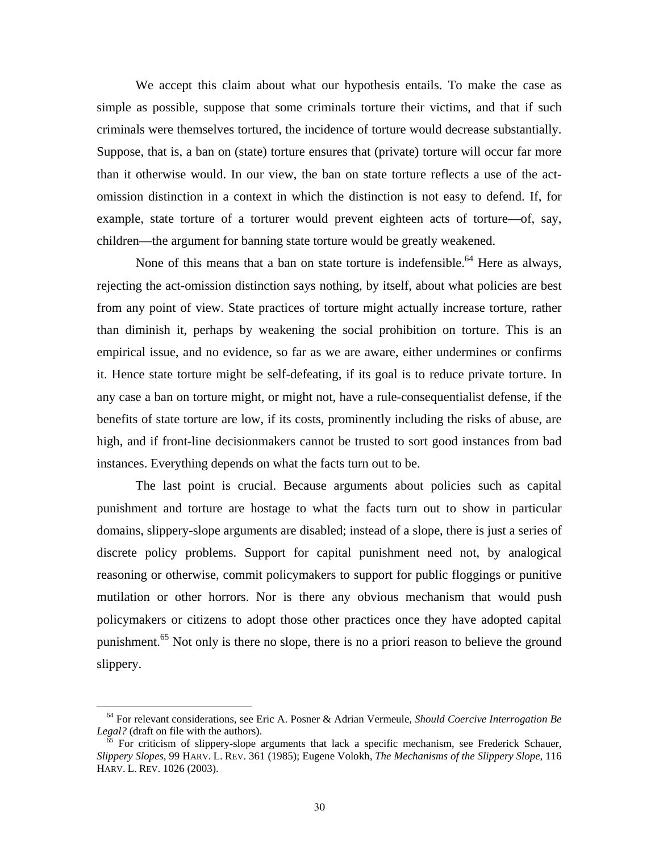We accept this claim about what our hypothesis entails. To make the case as simple as possible, suppose that some criminals torture their victims, and that if such criminals were themselves tortured, the incidence of torture would decrease substantially. Suppose, that is, a ban on (state) torture ensures that (private) torture will occur far more than it otherwise would. In our view, the ban on state torture reflects a use of the actomission distinction in a context in which the distinction is not easy to defend. If, for example, state torture of a torturer would prevent eighteen acts of torture—of, say, children—the argument for banning state torture would be greatly weakened.

None of this means that a ban on state torture is indefensible.<sup>64</sup> Here as always, rejecting the act-omission distinction says nothing, by itself, about what policies are best from any point of view. State practices of torture might actually increase torture, rather than diminish it, perhaps by weakening the social prohibition on torture. This is an empirical issue, and no evidence, so far as we are aware, either undermines or confirms it. Hence state torture might be self-defeating, if its goal is to reduce private torture. In any case a ban on torture might, or might not, have a rule-consequentialist defense, if the benefits of state torture are low, if its costs, prominently including the risks of abuse, are high, and if front-line decisionmakers cannot be trusted to sort good instances from bad instances. Everything depends on what the facts turn out to be.

The last point is crucial. Because arguments about policies such as capital punishment and torture are hostage to what the facts turn out to show in particular domains, slippery-slope arguments are disabled; instead of a slope, there is just a series of discrete policy problems. Support for capital punishment need not, by analogical reasoning or otherwise, commit policymakers to support for public floggings or punitive mutilation or other horrors. Nor is there any obvious mechanism that would push policymakers or citizens to adopt those other practices once they have adopted capital punishment.<sup>65</sup> Not only is there no slope, there is no a priori reason to believe the ground slippery.

<sup>&</sup>lt;sup>64</sup> For relevant considerations, see Eric A. Posner & Adrian Vermeule, *Should Coercive Interrogation Be Legal*? (draft on file with the authors).

<sup>&</sup>lt;sup>5</sup> For criticism of slippery-slope arguments that lack a specific mechanism, see Frederick Schauer, *Slippery Slopes*, 99 HARV. L. REV. 361 (1985); Eugene Volokh, *The Mechanisms of the Slippery Slope*, 116 HARV. L. REV. 1026 (2003).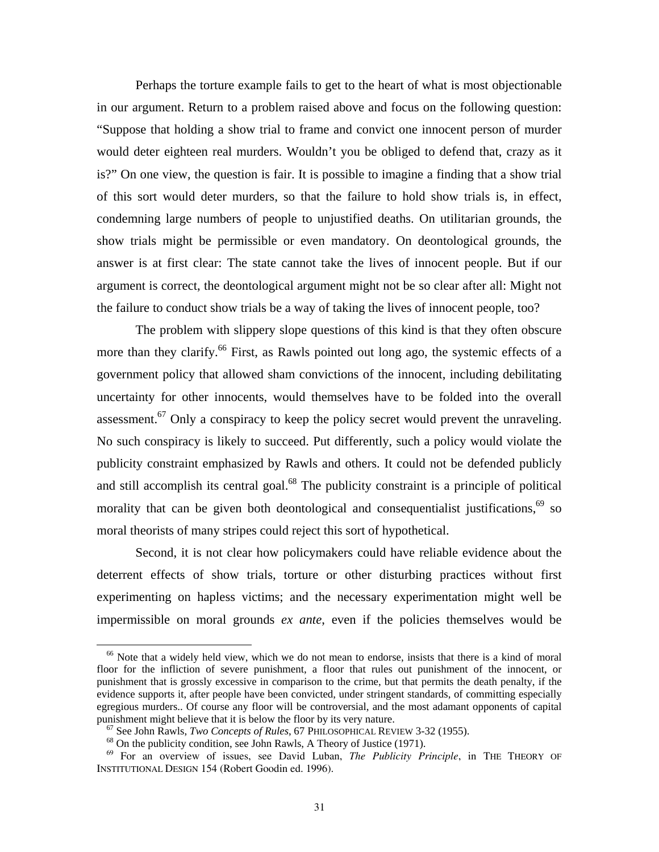Perhaps the torture example fails to get to the heart of what is most objectionable in our argument. Return to a problem raised above and focus on the following question: "Suppose that holding a show trial to frame and convict one innocent person of murder would deter eighteen real murders. Wouldn't you be obliged to defend that, crazy as it is?" On one view, the question is fair. It is possible to imagine a finding that a show trial of this sort would deter murders, so that the failure to hold show trials is, in effect, condemning large numbers of people to unjustified deaths. On utilitarian grounds, the show trials might be permissible or even mandatory. On deontological grounds, the answer is at first clear: The state cannot take the lives of innocent people. But if our argument is correct, the deontological argument might not be so clear after all: Might not the failure to conduct show trials be a way of taking the lives of innocent people, too?

The problem with slippery slope questions of this kind is that they often obscure more than they clarify.<sup>66</sup> First, as Rawls pointed out long ago, the systemic effects of a government policy that allowed sham convictions of the innocent, including debilitating uncertainty for other innocents, would themselves have to be folded into the overall assessment.<sup>67</sup> Only a conspiracy to keep the policy secret would prevent the unraveling. No such conspiracy is likely to succeed. Put differently, such a policy would violate the publicity constraint emphasized by Rawls and others. It could not be defended publicly and still accomplish its central goal.<sup>68</sup> The publicity constraint is a principle of political morality that can be given both deontological and consequentialist justifications, $69$  so moral theorists of many stripes could reject this sort of hypothetical.

Second, it is not clear how policymakers could have reliable evidence about the deterrent effects of show trials, torture or other disturbing practices without first experimenting on hapless victims; and the necessary experimentation might well be impermissible on moral grounds *ex ante*, even if the policies themselves would be

<sup>&</sup>lt;sup>66</sup> Note that a widely held view, which we do not mean to endorse, insists that there is a kind of moral floor for the infliction of severe punishment, a floor that rules out punishment of the innocent, or punishment that is grossly excessive in comparison to the crime, but that permits the death penalty, if the evidence supports it, after people have been convicted, under stringent standards, of committing especially egregious murders.. Of course any floor will be controversial, and the most adamant opponents of capital punishment might believe that it is below the floor by its very nature.<br>
<sup>67</sup> See John Rawls, *Two Concepts of Rules*, 67 PHILOSOPHICAL REVIEW 3-32 (1955).<br>
<sup>68</sup> On the publicity condition, see John Rawls, A Theory of Jus

<sup>69</sup> For an overview of issues, see David Luban, *The Publicity Principle*, in THE THEORY OF INSTITUTIONAL DESIGN 154 (Robert Goodin ed. 1996).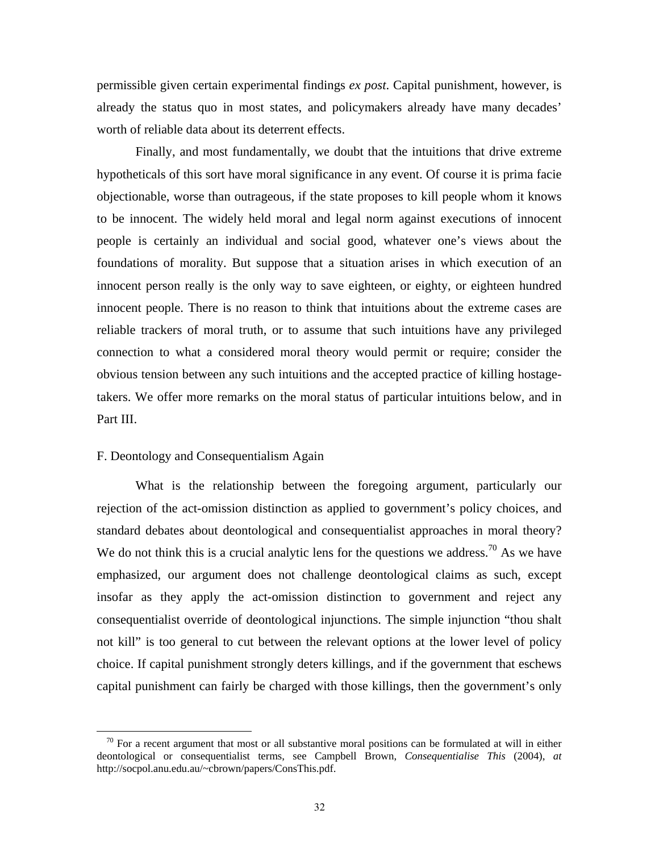permissible given certain experimental findings *ex post*. Capital punishment, however, is already the status quo in most states, and policymakers already have many decades' worth of reliable data about its deterrent effects.

Finally, and most fundamentally, we doubt that the intuitions that drive extreme hypotheticals of this sort have moral significance in any event. Of course it is prima facie objectionable, worse than outrageous, if the state proposes to kill people whom it knows to be innocent. The widely held moral and legal norm against executions of innocent people is certainly an individual and social good, whatever one's views about the foundations of morality. But suppose that a situation arises in which execution of an innocent person really is the only way to save eighteen, or eighty, or eighteen hundred innocent people. There is no reason to think that intuitions about the extreme cases are reliable trackers of moral truth, or to assume that such intuitions have any privileged connection to what a considered moral theory would permit or require; consider the obvious tension between any such intuitions and the accepted practice of killing hostagetakers. We offer more remarks on the moral status of particular intuitions below, and in Part III.

#### F. Deontology and Consequentialism Again

What is the relationship between the foregoing argument, particularly our rejection of the act-omission distinction as applied to government's policy choices, and standard debates about deontological and consequentialist approaches in moral theory? We do not think this is a crucial analytic lens for the questions we address.<sup>70</sup> As we have emphasized, our argument does not challenge deontological claims as such, except insofar as they apply the act-omission distinction to government and reject any consequentialist override of deontological injunctions. The simple injunction "thou shalt not kill" is too general to cut between the relevant options at the lower level of policy choice. If capital punishment strongly deters killings, and if the government that eschews capital punishment can fairly be charged with those killings, then the government's only

 $70$  For a recent argument that most or all substantive moral positions can be formulated at will in either deontological or consequentialist terms, see Campbell Brown, *Consequentialise This* (2004), *at* http://socpol.anu.edu.au/~cbrown/papers/ConsThis.pdf.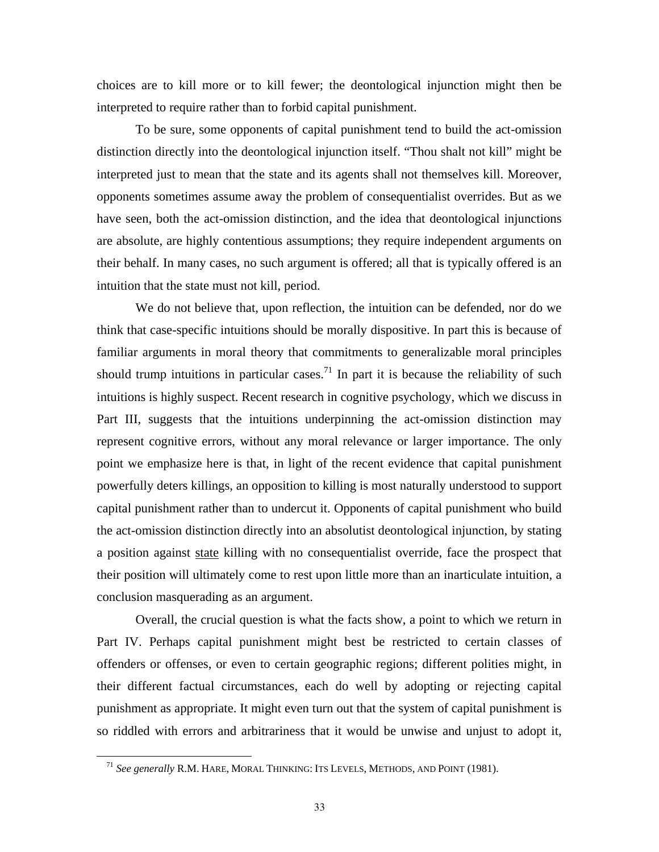choices are to kill more or to kill fewer; the deontological injunction might then be interpreted to require rather than to forbid capital punishment.

To be sure, some opponents of capital punishment tend to build the act-omission distinction directly into the deontological injunction itself. "Thou shalt not kill" might be interpreted just to mean that the state and its agents shall not themselves kill. Moreover, opponents sometimes assume away the problem of consequentialist overrides. But as we have seen, both the act-omission distinction, and the idea that deontological injunctions are absolute, are highly contentious assumptions; they require independent arguments on their behalf. In many cases, no such argument is offered; all that is typically offered is an intuition that the state must not kill, period.

We do not believe that, upon reflection, the intuition can be defended, nor do we think that case-specific intuitions should be morally dispositive. In part this is because of familiar arguments in moral theory that commitments to generalizable moral principles should trump intuitions in particular cases.<sup>71</sup> In part it is because the reliability of such intuitions is highly suspect. Recent research in cognitive psychology, which we discuss in Part III, suggests that the intuitions underpinning the act-omission distinction may represent cognitive errors, without any moral relevance or larger importance. The only point we emphasize here is that, in light of the recent evidence that capital punishment powerfully deters killings, an opposition to killing is most naturally understood to support capital punishment rather than to undercut it. Opponents of capital punishment who build the act-omission distinction directly into an absolutist deontological injunction, by stating a position against state killing with no consequentialist override, face the prospect that their position will ultimately come to rest upon little more than an inarticulate intuition, a conclusion masquerading as an argument.

Overall, the crucial question is what the facts show, a point to which we return in Part IV. Perhaps capital punishment might best be restricted to certain classes of offenders or offenses, or even to certain geographic regions; different polities might, in their different factual circumstances, each do well by adopting or rejecting capital punishment as appropriate. It might even turn out that the system of capital punishment is so riddled with errors and arbitrariness that it would be unwise and unjust to adopt it,

<sup>71</sup> *See generally* R.M. HARE, MORAL THINKING: ITS LEVELS, METHODS, AND POINT (1981).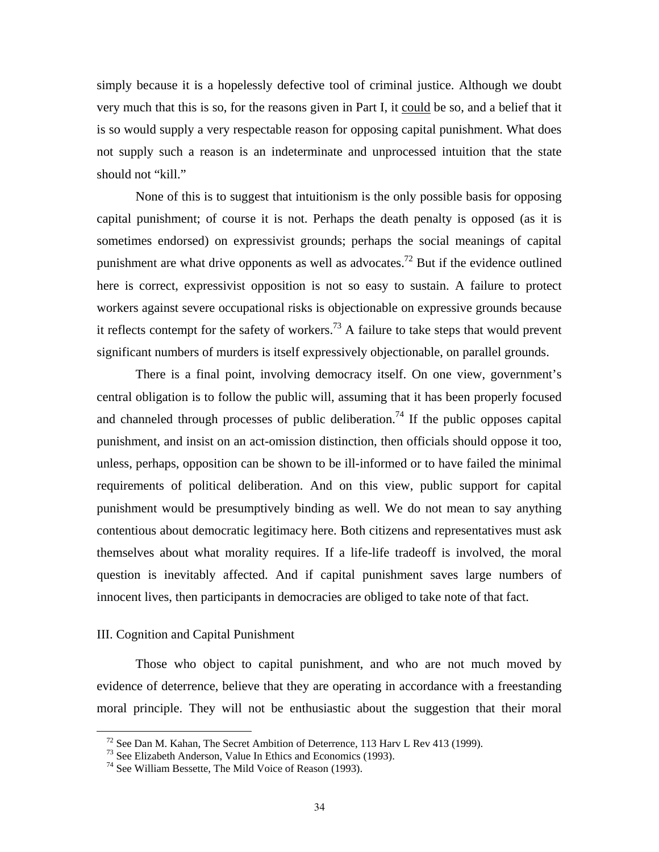simply because it is a hopelessly defective tool of criminal justice. Although we doubt very much that this is so, for the reasons given in Part I, it could be so, and a belief that it is so would supply a very respectable reason for opposing capital punishment. What does not supply such a reason is an indeterminate and unprocessed intuition that the state should not "kill."

None of this is to suggest that intuitionism is the only possible basis for opposing capital punishment; of course it is not. Perhaps the death penalty is opposed (as it is sometimes endorsed) on expressivist grounds; perhaps the social meanings of capital punishment are what drive opponents as well as advocates.<sup>72</sup> But if the evidence outlined here is correct, expressivist opposition is not so easy to sustain. A failure to protect workers against severe occupational risks is objectionable on expressive grounds because it reflects contempt for the safety of workers.<sup>73</sup> A failure to take steps that would prevent significant numbers of murders is itself expressively objectionable, on parallel grounds.

There is a final point, involving democracy itself. On one view, government's central obligation is to follow the public will, assuming that it has been properly focused and channeled through processes of public deliberation.<sup>74</sup> If the public opposes capital punishment, and insist on an act-omission distinction, then officials should oppose it too, unless, perhaps, opposition can be shown to be ill-informed or to have failed the minimal requirements of political deliberation. And on this view, public support for capital punishment would be presumptively binding as well. We do not mean to say anything contentious about democratic legitimacy here. Both citizens and representatives must ask themselves about what morality requires. If a life-life tradeoff is involved, the moral question is inevitably affected. And if capital punishment saves large numbers of innocent lives, then participants in democracies are obliged to take note of that fact.

#### III. Cognition and Capital Punishment

Those who object to capital punishment, and who are not much moved by evidence of deterrence, believe that they are operating in accordance with a freestanding moral principle. They will not be enthusiastic about the suggestion that their moral

 $72$  See Dan M. Kahan, The Secret Ambition of Deterrence, 113 Harv L Rev 413 (1999).

<sup>73</sup> See Elizabeth Anderson, Value In Ethics and Economics (1993).

<sup>74</sup> See William Bessette, The Mild Voice of Reason (1993).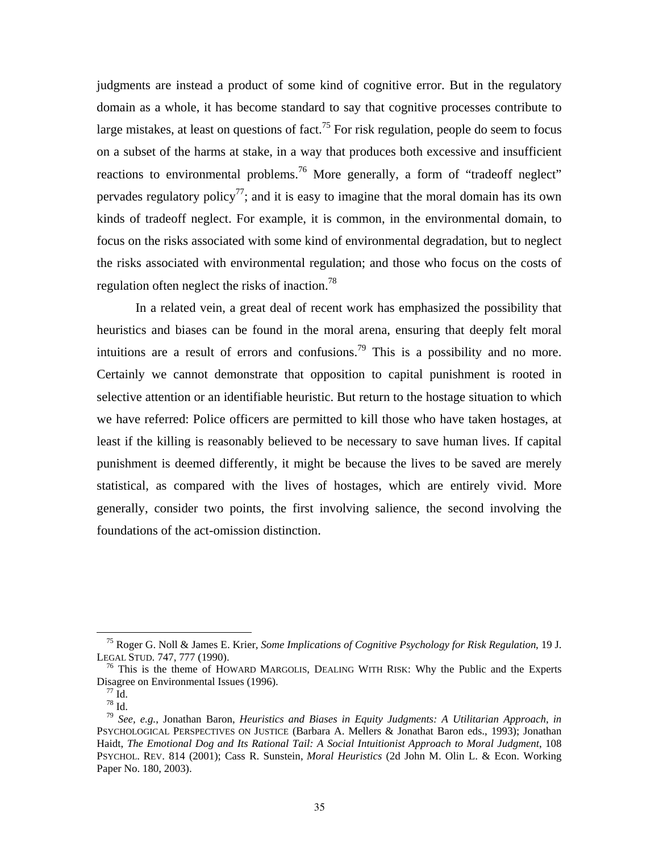judgments are instead a product of some kind of cognitive error. But in the regulatory domain as a whole, it has become standard to say that cognitive processes contribute to large mistakes, at least on questions of fact.<sup>75</sup> For risk regulation, people do seem to focus on a subset of the harms at stake, in a way that produces both excessive and insufficient reactions to environmental problems.<sup>76</sup> More generally, a form of "tradeoff neglect" pervades regulatory policy<sup>77</sup>; and it is easy to imagine that the moral domain has its own kinds of tradeoff neglect. For example, it is common, in the environmental domain, to focus on the risks associated with some kind of environmental degradation, but to neglect the risks associated with environmental regulation; and those who focus on the costs of regulation often neglect the risks of inaction.<sup>78</sup>

In a related vein, a great deal of recent work has emphasized the possibility that heuristics and biases can be found in the moral arena, ensuring that deeply felt moral intuitions are a result of errors and confusions.<sup>79</sup> This is a possibility and no more. Certainly we cannot demonstrate that opposition to capital punishment is rooted in selective attention or an identifiable heuristic. But return to the hostage situation to which we have referred: Police officers are permitted to kill those who have taken hostages, at least if the killing is reasonably believed to be necessary to save human lives. If capital punishment is deemed differently, it might be because the lives to be saved are merely statistical, as compared with the lives of hostages, which are entirely vivid. More generally, consider two points, the first involving salience, the second involving the foundations of the act-omission distinction.

75 Roger G. Noll & James E. Krier*, Some Implications of Cognitive Psychology for Risk Regulation*, 19 J.

 $^{76}$  This is the theme of HOWARD MARGOLIS, DEALING WITH RISK: Why the Public and the Experts Disagree on Environmental Issues (1996).<br> $\frac{77}{11}$  Id.

<sup>78</sup> Id.

<sup>79</sup> *See, e.g.*, Jonathan Baron, *Heuristics and Biases in Equity Judgments: A Utilitarian Approach*, *in* PSYCHOLOGICAL PERSPECTIVES ON JUSTICE (Barbara A. Mellers & Jonathat Baron eds., 1993); Jonathan Haidt, *The Emotional Dog and Its Rational Tail: A Social Intuitionist Approach to Moral Judgment*, 108 PSYCHOL. REV. 814 (2001); Cass R. Sunstein, *Moral Heuristics* (2d John M. Olin L. & Econ. Working Paper No. 180, 2003).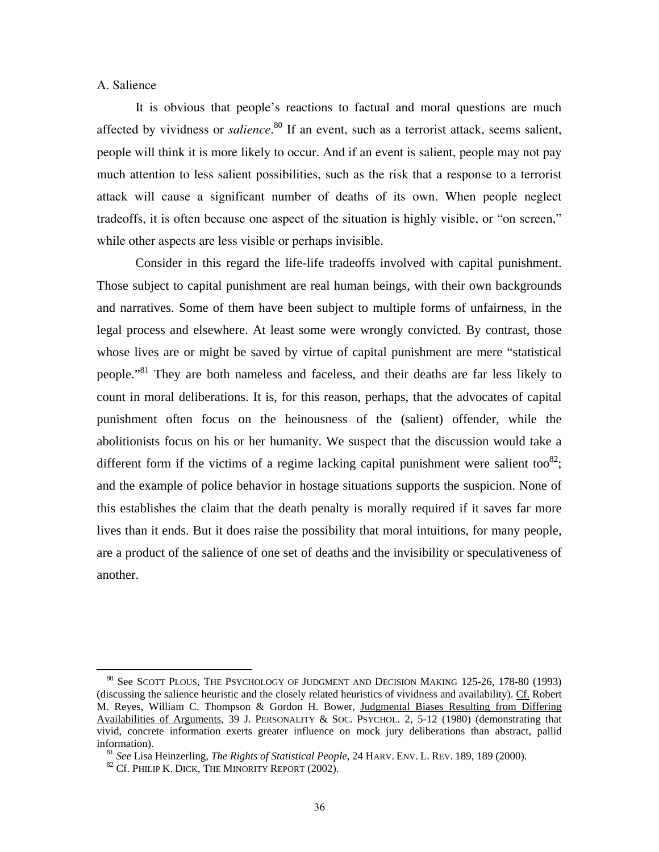#### A. Salience

It is obvious that people's reactions to factual and moral questions are much affected by vividness or *salience*. <sup>80</sup> If an event, such as a terrorist attack, seems salient, people will think it is more likely to occur. And if an event is salient, people may not pay much attention to less salient possibilities, such as the risk that a response to a terrorist attack will cause a significant number of deaths of its own. When people neglect tradeoffs, it is often because one aspect of the situation is highly visible, or "on screen," while other aspects are less visible or perhaps invisible.

Consider in this regard the life-life tradeoffs involved with capital punishment. Those subject to capital punishment are real human beings, with their own backgrounds and narratives. Some of them have been subject to multiple forms of unfairness, in the legal process and elsewhere. At least some were wrongly convicted. By contrast, those whose lives are or might be saved by virtue of capital punishment are mere "statistical people."<sup>81</sup> They are both nameless and faceless, and their deaths are far less likely to count in moral deliberations. It is, for this reason, perhaps, that the advocates of capital punishment often focus on the heinousness of the (salient) offender, while the abolitionists focus on his or her humanity. We suspect that the discussion would take a different form if the victims of a regime lacking capital punishment were salient too<sup>82</sup>; and the example of police behavior in hostage situations supports the suspicion. None of this establishes the claim that the death penalty is morally required if it saves far more lives than it ends. But it does raise the possibility that moral intuitions, for many people, are a product of the salience of one set of deaths and the invisibility or speculativeness of another.

80 See SCOTT PLOUS, THE PSYCHOLOGY OF JUDGMENT AND DECISION MAKING 125-26, 178-80 (1993) (discussing the salience heuristic and the closely related heuristics of vividness and availability). Cf. Robert M. Reyes, William C. Thompson & Gordon H. Bower, Judgmental Biases Resulting from Differing Availabilities of Arguments, 39 J. PERSONALITY & SOC. PSYCHOL. 2, 5-12 (1980) (demonstrating that vivid, concrete information exerts greater influence on mock jury deliberations than abstract, pallid information).<br><sup>81</sup> *See* Lisa Heinzerling, *The Rights of Statistical People*, 24 HARV. ENV. L. REV. 189, 189 (2000).<br><sup>82</sup> Cf. PHILIP K. DICK, THE MINORITY REPORT (2002).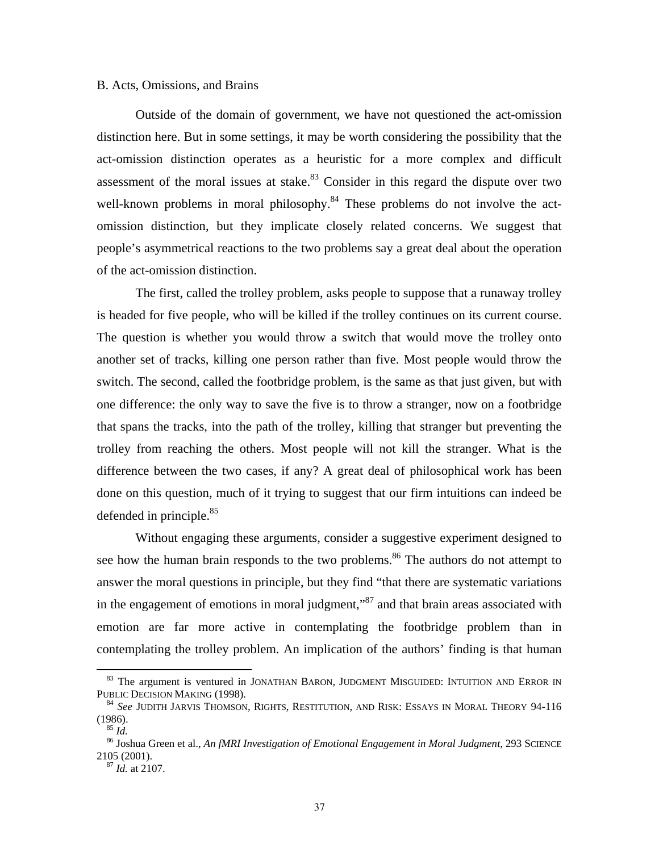#### B. Acts, Omissions, and Brains

Outside of the domain of government, we have not questioned the act-omission distinction here. But in some settings, it may be worth considering the possibility that the act-omission distinction operates as a heuristic for a more complex and difficult assessment of the moral issues at stake. $83$  Consider in this regard the dispute over two well-known problems in moral philosophy.<sup>84</sup> These problems do not involve the actomission distinction, but they implicate closely related concerns. We suggest that people's asymmetrical reactions to the two problems say a great deal about the operation of the act-omission distinction.

The first, called the trolley problem, asks people to suppose that a runaway trolley is headed for five people, who will be killed if the trolley continues on its current course. The question is whether you would throw a switch that would move the trolley onto another set of tracks, killing one person rather than five. Most people would throw the switch. The second, called the footbridge problem, is the same as that just given, but with one difference: the only way to save the five is to throw a stranger, now on a footbridge that spans the tracks, into the path of the trolley, killing that stranger but preventing the trolley from reaching the others. Most people will not kill the stranger. What is the difference between the two cases, if any? A great deal of philosophical work has been done on this question, much of it trying to suggest that our firm intuitions can indeed be defended in principle.<sup>85</sup>

Without engaging these arguments, consider a suggestive experiment designed to see how the human brain responds to the two problems.<sup>86</sup> The authors do not attempt to answer the moral questions in principle, but they find "that there are systematic variations in the engagement of emotions in moral judgment,<sup>37</sup> and that brain areas associated with emotion are far more active in contemplating the footbridge problem than in contemplating the trolley problem. An implication of the authors' finding is that human

<sup>&</sup>lt;sup>83</sup> The argument is ventured in JONATHAN BARON, JUDGMENT MISGUIDED: INTUITION AND ERROR IN PUBLIC DECISION MAKING (1998). 84 *See* JUDITH JARVIS THOMSON, RIGHTS, RESTITUTION, AND RISK: ESSAYS IN MORAL THEORY 94-116

<sup>(1986). 85</sup> *Id.* 86 Joshua Green et al., *An fMRI Investigation of Emotional Engagement in Moral Judgment*, 293 SCIENCE

<sup>2105 (2001). 87</sup> *Id.* at 2107.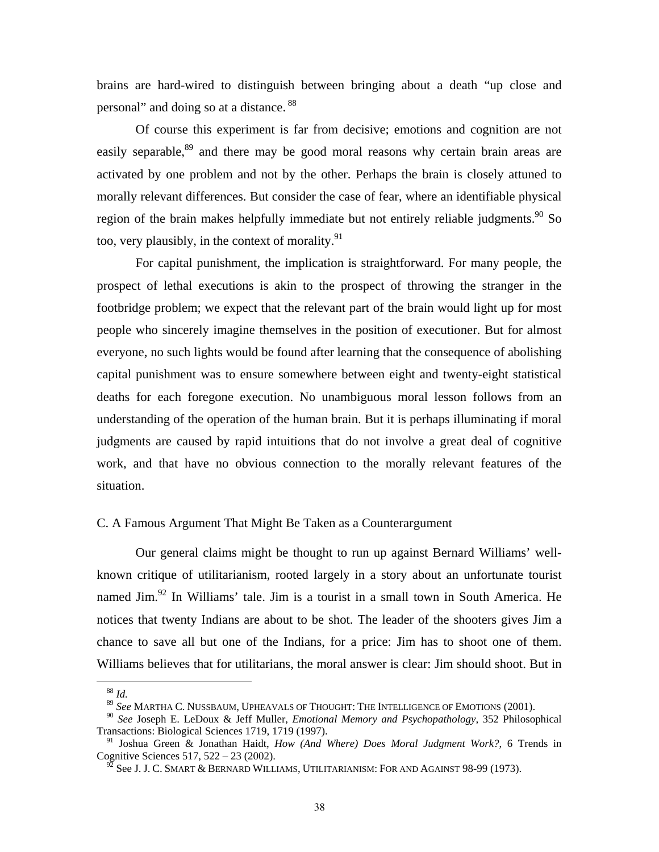brains are hard-wired to distinguish between bringing about a death "up close and personal" and doing so at a distance. 88

Of course this experiment is far from decisive; emotions and cognition are not easily separable,<sup>89</sup> and there may be good moral reasons why certain brain areas are activated by one problem and not by the other. Perhaps the brain is closely attuned to morally relevant differences. But consider the case of fear, where an identifiable physical region of the brain makes helpfully immediate but not entirely reliable judgments.<sup>90</sup> So too, very plausibly, in the context of morality. $91$ 

For capital punishment, the implication is straightforward. For many people, the prospect of lethal executions is akin to the prospect of throwing the stranger in the footbridge problem; we expect that the relevant part of the brain would light up for most people who sincerely imagine themselves in the position of executioner. But for almost everyone, no such lights would be found after learning that the consequence of abolishing capital punishment was to ensure somewhere between eight and twenty-eight statistical deaths for each foregone execution. No unambiguous moral lesson follows from an understanding of the operation of the human brain. But it is perhaps illuminating if moral judgments are caused by rapid intuitions that do not involve a great deal of cognitive work, and that have no obvious connection to the morally relevant features of the situation.

#### C. A Famous Argument That Might Be Taken as a Counterargument

Our general claims might be thought to run up against Bernard Williams' wellknown critique of utilitarianism, rooted largely in a story about an unfortunate tourist named Jim.<sup>92</sup> In Williams' tale. Jim is a tourist in a small town in South America. He notices that twenty Indians are about to be shot. The leader of the shooters gives Jim a chance to save all but one of the Indians, for a price: Jim has to shoot one of them. Williams believes that for utilitarians, the moral answer is clear: Jim should shoot. But in

<sup>88</sup> *Id.*

<sup>89</sup> *See* MARTHA C. NUSSBAUM, UPHEAVALS OF THOUGHT: THE INTELLIGENCE OF EMOTIONS (2001).

<sup>90</sup> *See* Joseph E. LeDoux & Jeff Muller, *Emotional Memory and Psychopathology*, 352 Philosophical Transactions: Biological Sciences 1719, 1719 (1997).

<sup>91</sup> Joshua Green & Jonathan Haidt, *How (And Where) Does Moral Judgment Work?*, 6 Trends in Cognitive Sciences 517, 522 – 23 (2002).

See J. J. C. SMART & BERNARD WILLIAMS, UTILITARIANISM: FOR AND AGAINST 98-99 (1973).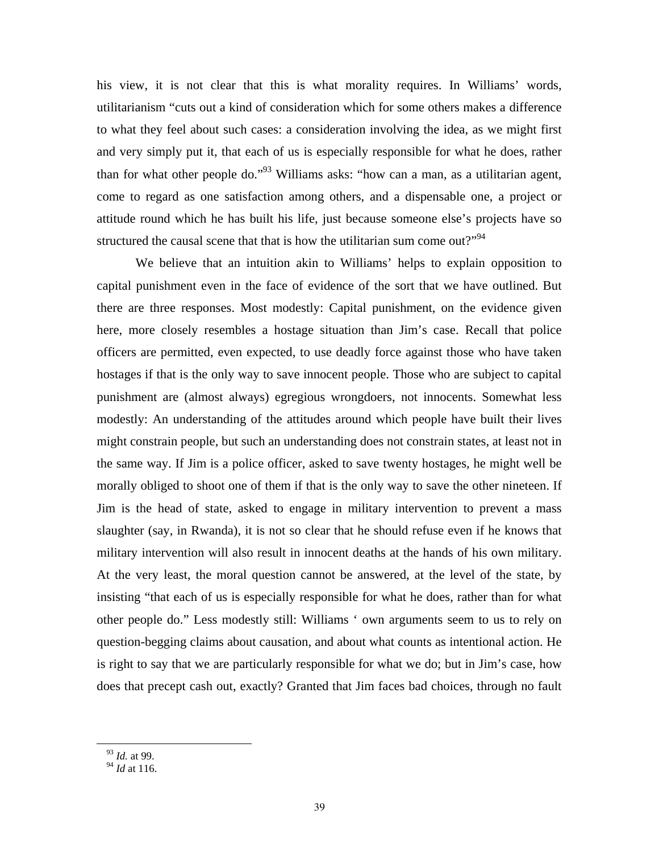his view, it is not clear that this is what morality requires. In Williams' words, utilitarianism "cuts out a kind of consideration which for some others makes a difference to what they feel about such cases: a consideration involving the idea, as we might first and very simply put it, that each of us is especially responsible for what he does, rather than for what other people do."<sup>93</sup> Williams asks: "how can a man, as a utilitarian agent, come to regard as one satisfaction among others, and a dispensable one, a project or attitude round which he has built his life, just because someone else's projects have so structured the causal scene that that is how the utilitarian sum come out? $1^{94}$ 

 We believe that an intuition akin to Williams' helps to explain opposition to capital punishment even in the face of evidence of the sort that we have outlined. But there are three responses. Most modestly: Capital punishment, on the evidence given here, more closely resembles a hostage situation than Jim's case. Recall that police officers are permitted, even expected, to use deadly force against those who have taken hostages if that is the only way to save innocent people. Those who are subject to capital punishment are (almost always) egregious wrongdoers, not innocents. Somewhat less modestly: An understanding of the attitudes around which people have built their lives might constrain people, but such an understanding does not constrain states, at least not in the same way. If Jim is a police officer, asked to save twenty hostages, he might well be morally obliged to shoot one of them if that is the only way to save the other nineteen. If Jim is the head of state, asked to engage in military intervention to prevent a mass slaughter (say, in Rwanda), it is not so clear that he should refuse even if he knows that military intervention will also result in innocent deaths at the hands of his own military. At the very least, the moral question cannot be answered, at the level of the state, by insisting "that each of us is especially responsible for what he does, rather than for what other people do." Less modestly still: Williams ' own arguments seem to us to rely on question-begging claims about causation, and about what counts as intentional action. He is right to say that we are particularly responsible for what we do; but in Jim's case, how does that precept cash out, exactly? Granted that Jim faces bad choices, through no fault

<sup>93</sup> *Id.* at 99.

<sup>94</sup> *Id* at 116.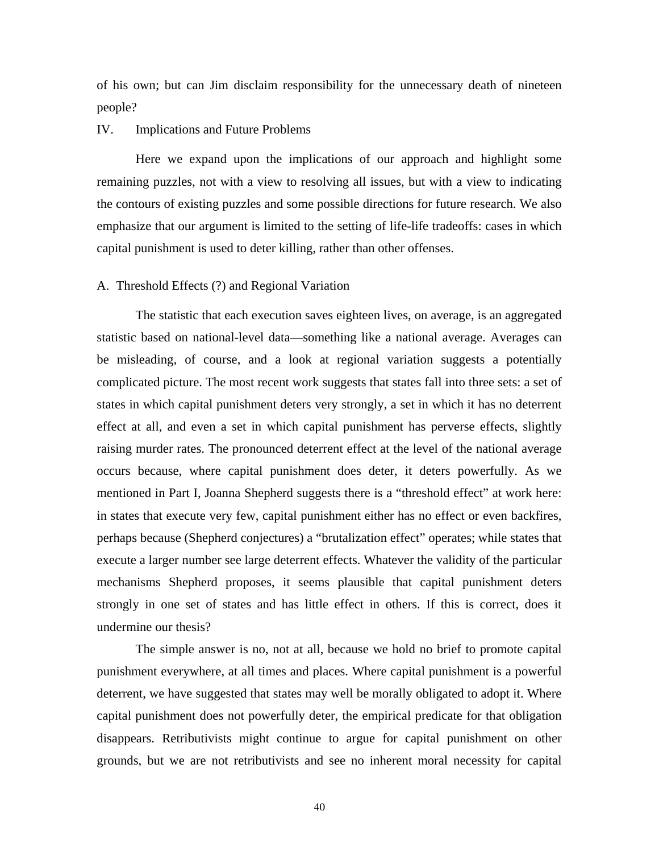of his own; but can Jim disclaim responsibility for the unnecessary death of nineteen people?

#### IV. Implications and Future Problems

Here we expand upon the implications of our approach and highlight some remaining puzzles, not with a view to resolving all issues, but with a view to indicating the contours of existing puzzles and some possible directions for future research. We also emphasize that our argument is limited to the setting of life-life tradeoffs: cases in which capital punishment is used to deter killing, rather than other offenses.

#### A. Threshold Effects (?) and Regional Variation

The statistic that each execution saves eighteen lives, on average, is an aggregated statistic based on national-level data—something like a national average. Averages can be misleading, of course, and a look at regional variation suggests a potentially complicated picture. The most recent work suggests that states fall into three sets: a set of states in which capital punishment deters very strongly, a set in which it has no deterrent effect at all, and even a set in which capital punishment has perverse effects, slightly raising murder rates. The pronounced deterrent effect at the level of the national average occurs because, where capital punishment does deter, it deters powerfully. As we mentioned in Part I, Joanna Shepherd suggests there is a "threshold effect" at work here: in states that execute very few, capital punishment either has no effect or even backfires, perhaps because (Shepherd conjectures) a "brutalization effect" operates; while states that execute a larger number see large deterrent effects. Whatever the validity of the particular mechanisms Shepherd proposes, it seems plausible that capital punishment deters strongly in one set of states and has little effect in others. If this is correct, does it undermine our thesis?

The simple answer is no, not at all, because we hold no brief to promote capital punishment everywhere, at all times and places. Where capital punishment is a powerful deterrent, we have suggested that states may well be morally obligated to adopt it. Where capital punishment does not powerfully deter, the empirical predicate for that obligation disappears. Retributivists might continue to argue for capital punishment on other grounds, but we are not retributivists and see no inherent moral necessity for capital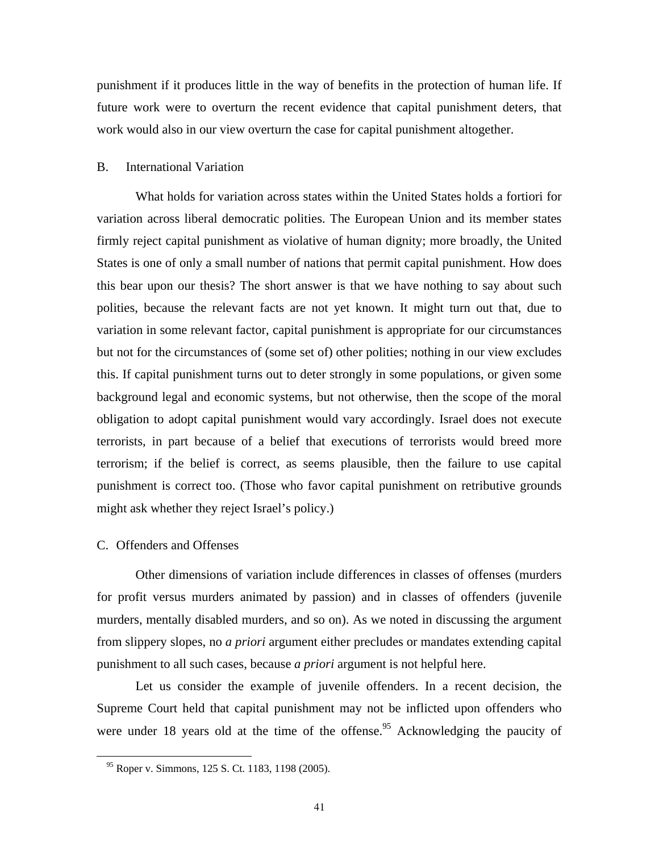punishment if it produces little in the way of benefits in the protection of human life. If future work were to overturn the recent evidence that capital punishment deters, that work would also in our view overturn the case for capital punishment altogether.

#### B. International Variation

What holds for variation across states within the United States holds a fortiori for variation across liberal democratic polities. The European Union and its member states firmly reject capital punishment as violative of human dignity; more broadly, the United States is one of only a small number of nations that permit capital punishment. How does this bear upon our thesis? The short answer is that we have nothing to say about such polities, because the relevant facts are not yet known. It might turn out that, due to variation in some relevant factor, capital punishment is appropriate for our circumstances but not for the circumstances of (some set of) other polities; nothing in our view excludes this. If capital punishment turns out to deter strongly in some populations, or given some background legal and economic systems, but not otherwise, then the scope of the moral obligation to adopt capital punishment would vary accordingly. Israel does not execute terrorists, in part because of a belief that executions of terrorists would breed more terrorism; if the belief is correct, as seems plausible, then the failure to use capital punishment is correct too. (Those who favor capital punishment on retributive grounds might ask whether they reject Israel's policy.)

#### C. Offenders and Offenses

Other dimensions of variation include differences in classes of offenses (murders for profit versus murders animated by passion) and in classes of offenders (juvenile murders, mentally disabled murders, and so on). As we noted in discussing the argument from slippery slopes, no *a priori* argument either precludes or mandates extending capital punishment to all such cases, because *a priori* argument is not helpful here.

Let us consider the example of juvenile offenders. In a recent decision, the Supreme Court held that capital punishment may not be inflicted upon offenders who were under 18 years old at the time of the offense.<sup>95</sup> Acknowledging the paucity of

95 Roper v. Simmons, 125 S. Ct. 1183, 1198 (2005).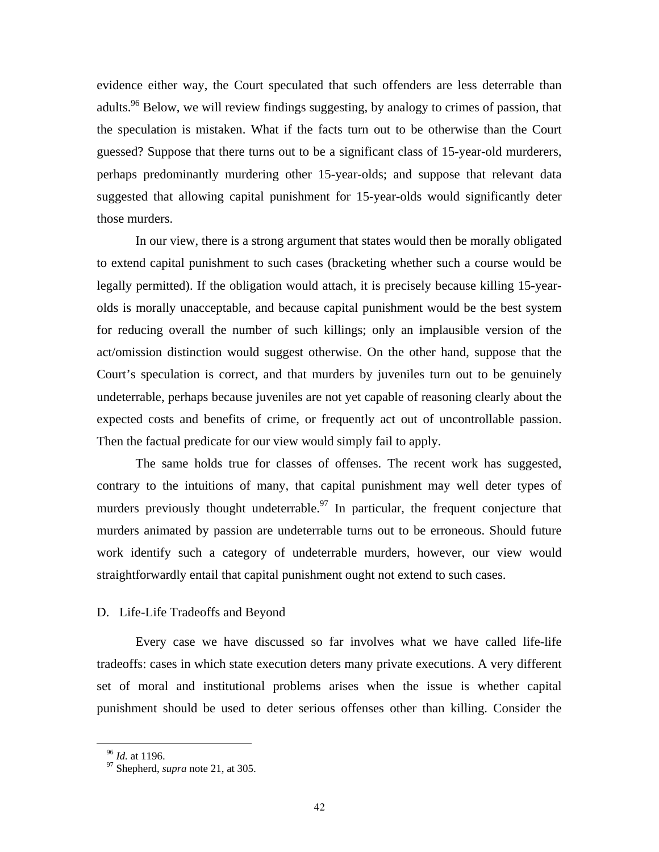evidence either way, the Court speculated that such offenders are less deterrable than adults.<sup>96</sup> Below, we will review findings suggesting, by analogy to crimes of passion, that the speculation is mistaken. What if the facts turn out to be otherwise than the Court guessed? Suppose that there turns out to be a significant class of 15-year-old murderers, perhaps predominantly murdering other 15-year-olds; and suppose that relevant data suggested that allowing capital punishment for 15-year-olds would significantly deter those murders.

In our view, there is a strong argument that states would then be morally obligated to extend capital punishment to such cases (bracketing whether such a course would be legally permitted). If the obligation would attach, it is precisely because killing 15-yearolds is morally unacceptable, and because capital punishment would be the best system for reducing overall the number of such killings; only an implausible version of the act/omission distinction would suggest otherwise. On the other hand, suppose that the Court's speculation is correct, and that murders by juveniles turn out to be genuinely undeterrable, perhaps because juveniles are not yet capable of reasoning clearly about the expected costs and benefits of crime, or frequently act out of uncontrollable passion. Then the factual predicate for our view would simply fail to apply.

The same holds true for classes of offenses. The recent work has suggested, contrary to the intuitions of many, that capital punishment may well deter types of murders previously thought undeterrable.<sup>97</sup> In particular, the frequent conjecture that murders animated by passion are undeterrable turns out to be erroneous. Should future work identify such a category of undeterrable murders, however, our view would straightforwardly entail that capital punishment ought not extend to such cases.

#### D. Life-Life Tradeoffs and Beyond

Every case we have discussed so far involves what we have called life-life tradeoffs: cases in which state execution deters many private executions. A very different set of moral and institutional problems arises when the issue is whether capital punishment should be used to deter serious offenses other than killing. Consider the

<sup>96</sup> *Id.* at 1196. 97 Shepherd, *supra* note 21, at 305.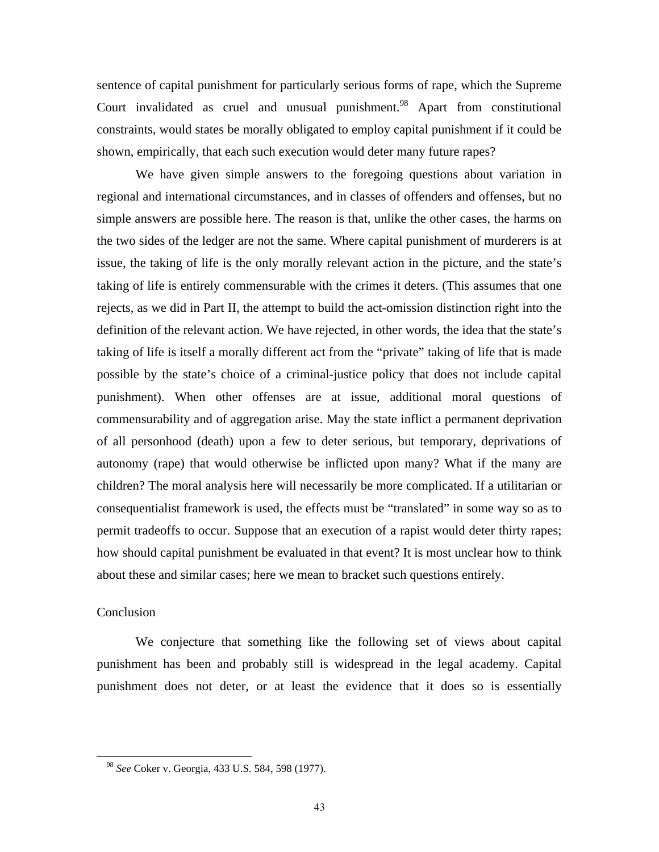sentence of capital punishment for particularly serious forms of rape, which the Supreme Court invalidated as cruel and unusual punishment.<sup>98</sup> Apart from constitutional constraints, would states be morally obligated to employ capital punishment if it could be shown, empirically, that each such execution would deter many future rapes?

We have given simple answers to the foregoing questions about variation in regional and international circumstances, and in classes of offenders and offenses, but no simple answers are possible here. The reason is that, unlike the other cases, the harms on the two sides of the ledger are not the same. Where capital punishment of murderers is at issue, the taking of life is the only morally relevant action in the picture, and the state's taking of life is entirely commensurable with the crimes it deters. (This assumes that one rejects, as we did in Part II, the attempt to build the act-omission distinction right into the definition of the relevant action. We have rejected, in other words, the idea that the state's taking of life is itself a morally different act from the "private" taking of life that is made possible by the state's choice of a criminal-justice policy that does not include capital punishment). When other offenses are at issue, additional moral questions of commensurability and of aggregation arise. May the state inflict a permanent deprivation of all personhood (death) upon a few to deter serious, but temporary, deprivations of autonomy (rape) that would otherwise be inflicted upon many? What if the many are children? The moral analysis here will necessarily be more complicated. If a utilitarian or consequentialist framework is used, the effects must be "translated" in some way so as to permit tradeoffs to occur. Suppose that an execution of a rapist would deter thirty rapes; how should capital punishment be evaluated in that event? It is most unclear how to think about these and similar cases; here we mean to bracket such questions entirely.

#### Conclusion

 We conjecture that something like the following set of views about capital punishment has been and probably still is widespread in the legal academy. Capital punishment does not deter, or at least the evidence that it does so is essentially

<sup>98</sup> *See* Coker v. Georgia, 433 U.S. 584, 598 (1977).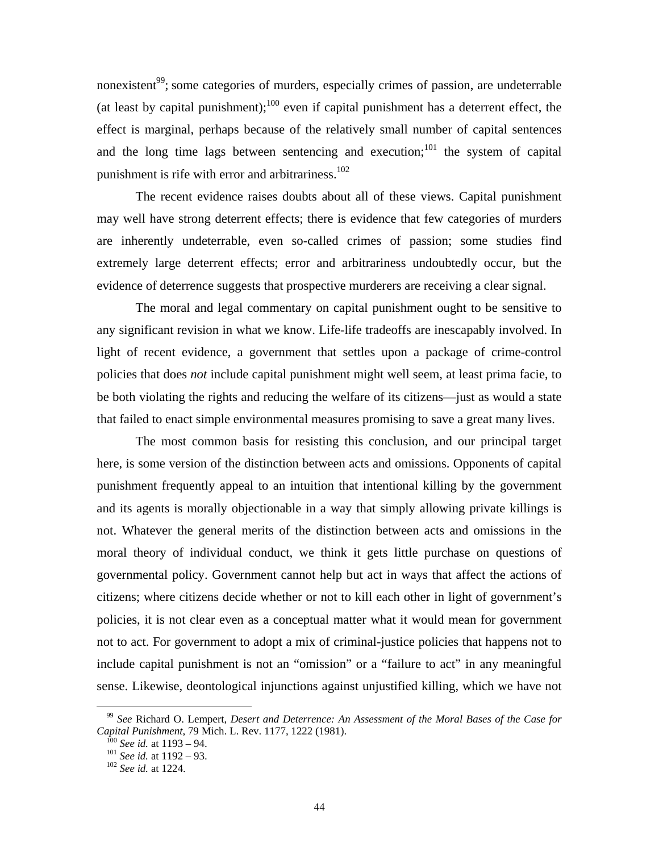nonexistent<sup>99</sup>; some categories of murders, especially crimes of passion, are undeterrable (at least by capital punishment);<sup>100</sup> even if capital punishment has a deterrent effect, the effect is marginal, perhaps because of the relatively small number of capital sentences and the long time lags between sentencing and execution; $101$  the system of capital punishment is rife with error and arbitrariness.<sup>102</sup>

 The recent evidence raises doubts about all of these views. Capital punishment may well have strong deterrent effects; there is evidence that few categories of murders are inherently undeterrable, even so-called crimes of passion; some studies find extremely large deterrent effects; error and arbitrariness undoubtedly occur, but the evidence of deterrence suggests that prospective murderers are receiving a clear signal.

 The moral and legal commentary on capital punishment ought to be sensitive to any significant revision in what we know. Life-life tradeoffs are inescapably involved. In light of recent evidence, a government that settles upon a package of crime-control policies that does *not* include capital punishment might well seem, at least prima facie, to be both violating the rights and reducing the welfare of its citizens—just as would a state that failed to enact simple environmental measures promising to save a great many lives.

The most common basis for resisting this conclusion, and our principal target here, is some version of the distinction between acts and omissions. Opponents of capital punishment frequently appeal to an intuition that intentional killing by the government and its agents is morally objectionable in a way that simply allowing private killings is not. Whatever the general merits of the distinction between acts and omissions in the moral theory of individual conduct, we think it gets little purchase on questions of governmental policy. Government cannot help but act in ways that affect the actions of citizens; where citizens decide whether or not to kill each other in light of government's policies, it is not clear even as a conceptual matter what it would mean for government not to act. For government to adopt a mix of criminal-justice policies that happens not to include capital punishment is not an "omission" or a "failure to act" in any meaningful sense. Likewise, deontological injunctions against unjustified killing, which we have not

<sup>99</sup> *See* Richard O. Lempert, *Desert and Deterrence: An Assessment of the Moral Bases of the Case for Capital Punishment*, 79 Mich. L. Rev. 1177, 1222 (1981).<br><sup>100</sup> *See id.* at 1193 – 94.<br><sup>101</sup> *See id.* at 1192 – 93.<br><sup>102</sup> *See id.* at 1224.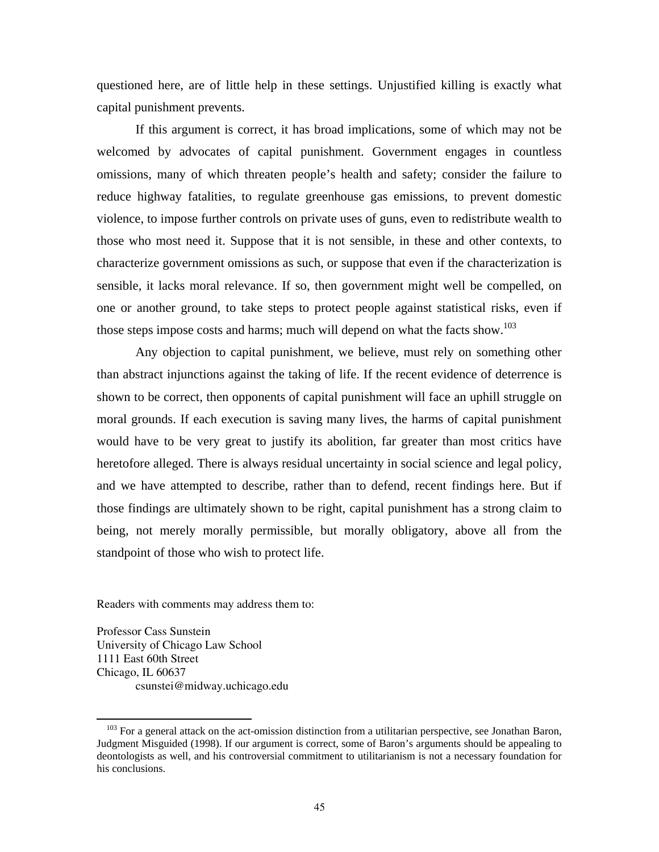questioned here, are of little help in these settings. Unjustified killing is exactly what capital punishment prevents.

If this argument is correct, it has broad implications, some of which may not be welcomed by advocates of capital punishment. Government engages in countless omissions, many of which threaten people's health and safety; consider the failure to reduce highway fatalities, to regulate greenhouse gas emissions, to prevent domestic violence, to impose further controls on private uses of guns, even to redistribute wealth to those who most need it. Suppose that it is not sensible, in these and other contexts, to characterize government omissions as such, or suppose that even if the characterization is sensible, it lacks moral relevance. If so, then government might well be compelled, on one or another ground, to take steps to protect people against statistical risks, even if those steps impose costs and harms; much will depend on what the facts show.<sup>103</sup>

Any objection to capital punishment, we believe, must rely on something other than abstract injunctions against the taking of life. If the recent evidence of deterrence is shown to be correct, then opponents of capital punishment will face an uphill struggle on moral grounds. If each execution is saving many lives, the harms of capital punishment would have to be very great to justify its abolition, far greater than most critics have heretofore alleged. There is always residual uncertainty in social science and legal policy, and we have attempted to describe, rather than to defend, recent findings here. But if those findings are ultimately shown to be right, capital punishment has a strong claim to being, not merely morally permissible, but morally obligatory, above all from the standpoint of those who wish to protect life.

Readers with comments may address them to:

Professor Cass Sunstein University of Chicago Law School 1111 East 60th Street Chicago, IL 60637 csunstei@midway.uchicago.edu

 $103$  For a general attack on the act-omission distinction from a utilitarian perspective, see Jonathan Baron, Judgment Misguided (1998). If our argument is correct, some of Baron's arguments should be appealing to deontologists as well, and his controversial commitment to utilitarianism is not a necessary foundation for his conclusions.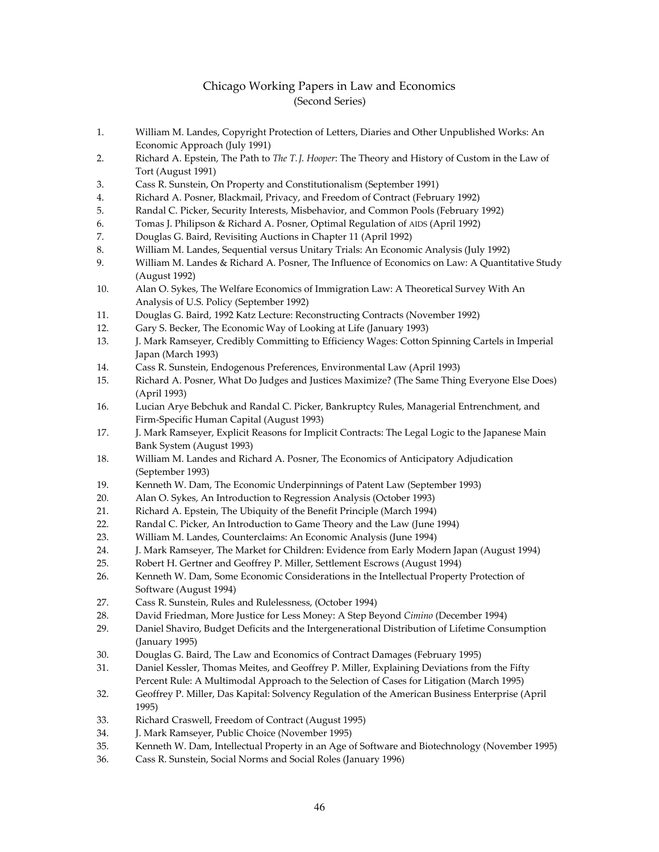#### Chicago Working Papers in Law and Economics (Second Series)

- 1. William M. Landes, Copyright Protection of Letters, Diaries and Other Unpublished Works: An Economic Approach (July 1991)
- 2. Richard A. Epstein, The Path to *The T.J. Hooper*: The Theory and History of Custom in the Law of Tort (August 1991)
- 3. Cass R. Sunstein, On Property and Constitutionalism (September 1991)
- 4. Richard A. Posner, Blackmail, Privacy, and Freedom of Contract (February 1992)
- 5. Randal C. Picker, Security Interests, Misbehavior, and Common Pools (February 1992)
- 6. Tomas J. Philipson & Richard A. Posner, Optimal Regulation of AIDS (April 1992)
- 7. Douglas G. Baird, Revisiting Auctions in Chapter 11 (April 1992)
- 8. William M. Landes, Sequential versus Unitary Trials: An Economic Analysis (July 1992)
- 9. William M. Landes & Richard A. Posner, The Influence of Economics on Law: A Quantitative Study (August 1992)
- 10. Alan O. Sykes, The Welfare Economics of Immigration Law: A Theoretical Survey With An Analysis of U.S. Policy (September 1992)
- 11. Douglas G. Baird, 1992 Katz Lecture: Reconstructing Contracts (November 1992)
- 12. Gary S. Becker, The Economic Way of Looking at Life (January 1993)
- 13. J. Mark Ramseyer, Credibly Committing to Efficiency Wages: Cotton Spinning Cartels in Imperial Japan (March 1993)
- 14. Cass R. Sunstein, Endogenous Preferences, Environmental Law (April 1993)
- 15. Richard A. Posner, What Do Judges and Justices Maximize? (The Same Thing Everyone Else Does) (April 1993)
- 16. Lucian Arye Bebchuk and Randal C. Picker, Bankruptcy Rules, Managerial Entrenchment, and Firm‐Specific Human Capital (August 1993)
- 17. J. Mark Ramseyer, Explicit Reasons for Implicit Contracts: The Legal Logic to the Japanese Main Bank System (August 1993)
- 18. William M. Landes and Richard A. Posner, The Economics of Anticipatory Adjudication (September 1993)
- 19. Kenneth W. Dam, The Economic Underpinnings of Patent Law (September 1993)
- 20. Alan O. Sykes, An Introduction to Regression Analysis (October 1993)
- 21. Richard A. Epstein, The Ubiquity of the Benefit Principle (March 1994)
- 22. Randal C. Picker, An Introduction to Game Theory and the Law (June 1994)
- 23. William M. Landes, Counterclaims: An Economic Analysis (June 1994)
- 24. J. Mark Ramseyer, The Market for Children: Evidence from Early Modern Japan (August 1994)
- 25. Robert H. Gertner and Geoffrey P. Miller, Settlement Escrows (August 1994)
- 26. Kenneth W. Dam, Some Economic Considerations in the Intellectual Property Protection of Software (August 1994)
- 27. Cass R. Sunstein, Rules and Rulelessness, (October 1994)
- 28. David Friedman, More Justice for Less Money: A Step Beyond *Cimino* (December 1994)
- 29. Daniel Shaviro, Budget Deficits and the Intergenerational Distribution of Lifetime Consumption (January 1995)
- 30. Douglas G. Baird, The Law and Economics of Contract Damages (February 1995)
- 31. Daniel Kessler, Thomas Meites, and Geoffrey P. Miller, Explaining Deviations from the Fifty Percent Rule: A Multimodal Approach to the Selection of Cases for Litigation (March 1995)
- 32. Geoffrey P. Miller, Das Kapital: Solvency Regulation of the American Business Enterprise (April 1995)
- 33. Richard Craswell, Freedom of Contract (August 1995)
- 34. J. Mark Ramseyer, Public Choice (November 1995)
- 35. Kenneth W. Dam, Intellectual Property in an Age of Software and Biotechnology (November 1995)
- 36. Cass R. Sunstein, Social Norms and Social Roles (January 1996)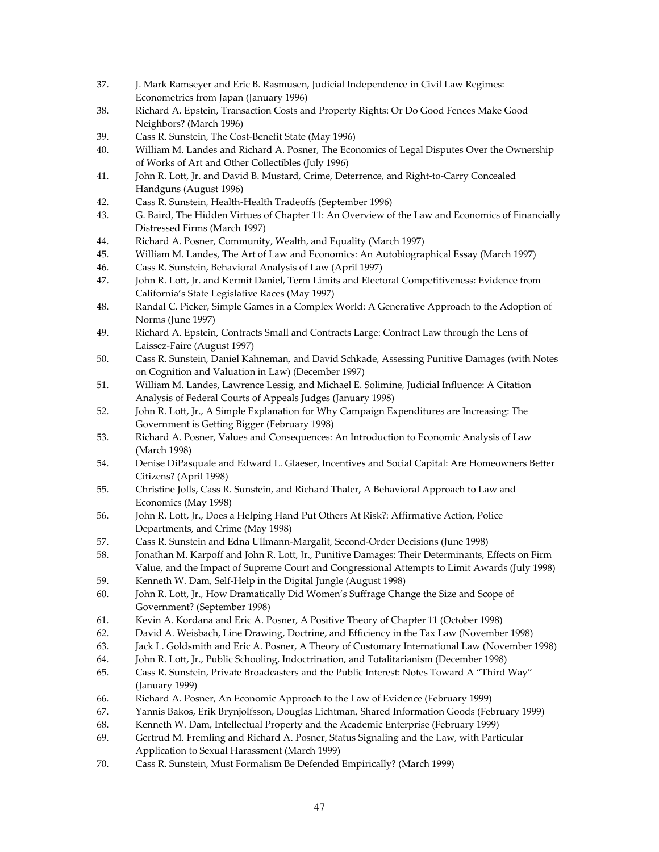- 37. J. Mark Ramseyer and Eric B. Rasmusen, Judicial Independence in Civil Law Regimes: Econometrics from Japan (January 1996)
- 38. Richard A. Epstein, Transaction Costs and Property Rights: Or Do Good Fences Make Good Neighbors? (March 1996)
- 39. Cass R. Sunstein, The Cost‐Benefit State (May 1996)
- 40. William M. Landes and Richard A. Posner, The Economics of Legal Disputes Over the Ownership of Works of Art and Other Collectibles (July 1996)
- 41. John R. Lott, Jr. and David B. Mustard, Crime, Deterrence, and Right-to-Carry Concealed Handguns (August 1996)
- 42. Cass R. Sunstein, Health‐Health Tradeoffs (September 1996)
- 43. G. Baird, The Hidden Virtues of Chapter 11: An Overview of the Law and Economics of Financially Distressed Firms (March 1997)
- 44. Richard A. Posner, Community, Wealth, and Equality (March 1997)
- 45. William M. Landes, The Art of Law and Economics: An Autobiographical Essay (March 1997)
- 46. Cass R. Sunstein, Behavioral Analysis of Law (April 1997)
- 47. John R. Lott, Jr. and Kermit Daniel, Term Limits and Electoral Competitiveness: Evidence from California's State Legislative Races (May 1997)
- 48. Randal C. Picker, Simple Games in a Complex World: A Generative Approach to the Adoption of Norms (June 1997)
- 49. Richard A. Epstein, Contracts Small and Contracts Large: Contract Law through the Lens of Laissez‐Faire (August 1997)
- 50. Cass R. Sunstein, Daniel Kahneman, and David Schkade, Assessing Punitive Damages (with Notes on Cognition and Valuation in Law) (December 1997)
- 51. William M. Landes, Lawrence Lessig, and Michael E. Solimine, Judicial Influence: A Citation Analysis of Federal Courts of Appeals Judges (January 1998)
- 52. John R. Lott, Jr., A Simple Explanation for Why Campaign Expenditures are Increasing: The Government is Getting Bigger (February 1998)
- 53. Richard A. Posner, Values and Consequences: An Introduction to Economic Analysis of Law (March 1998)
- 54. Denise DiPasquale and Edward L. Glaeser, Incentives and Social Capital: Are Homeowners Better Citizens? (April 1998)
- 55. Christine Jolls, Cass R. Sunstein, and Richard Thaler, A Behavioral Approach to Law and Economics (May 1998)
- 56. John R. Lott, Jr., Does a Helping Hand Put Others At Risk?: Affirmative Action, Police Departments, and Crime (May 1998)
- 57. Cass R. Sunstein and Edna Ullmann‐Margalit, Second‐Order Decisions (June 1998)
- 58. Jonathan M. Karpoff and John R. Lott, Jr., Punitive Damages: Their Determinants, Effects on Firm Value, and the Impact of Supreme Court and Congressional Attempts to Limit Awards (July 1998)
- 59. Kenneth W. Dam, Self-Help in the Digital Jungle (August 1998)
- 60. John R. Lott, Jr., How Dramatically Did Women's Suffrage Change the Size and Scope of Government? (September 1998)
- 61. Kevin A. Kordana and Eric A. Posner, A Positive Theory of Chapter 11 (October 1998)
- 62. David A. Weisbach, Line Drawing, Doctrine, and Efficiency in the Tax Law (November 1998)
- 63. Jack L. Goldsmith and Eric A. Posner, A Theory of Customary International Law (November 1998)
- 64. John R. Lott, Jr., Public Schooling, Indoctrination, and Totalitarianism (December 1998)
- 65. Cass R. Sunstein, Private Broadcasters and the Public Interest: Notes Toward A "Third Way" (January 1999)
- 66. Richard A. Posner, An Economic Approach to the Law of Evidence (February 1999)
- 67. Yannis Bakos, Erik Brynjolfsson, Douglas Lichtman, Shared Information Goods (February 1999)
- 68. Kenneth W. Dam, Intellectual Property and the Academic Enterprise (February 1999)
- 69. Gertrud M. Fremling and Richard A. Posner, Status Signaling and the Law, with Particular Application to Sexual Harassment (March 1999)
- 70. Cass R. Sunstein, Must Formalism Be Defended Empirically? (March 1999)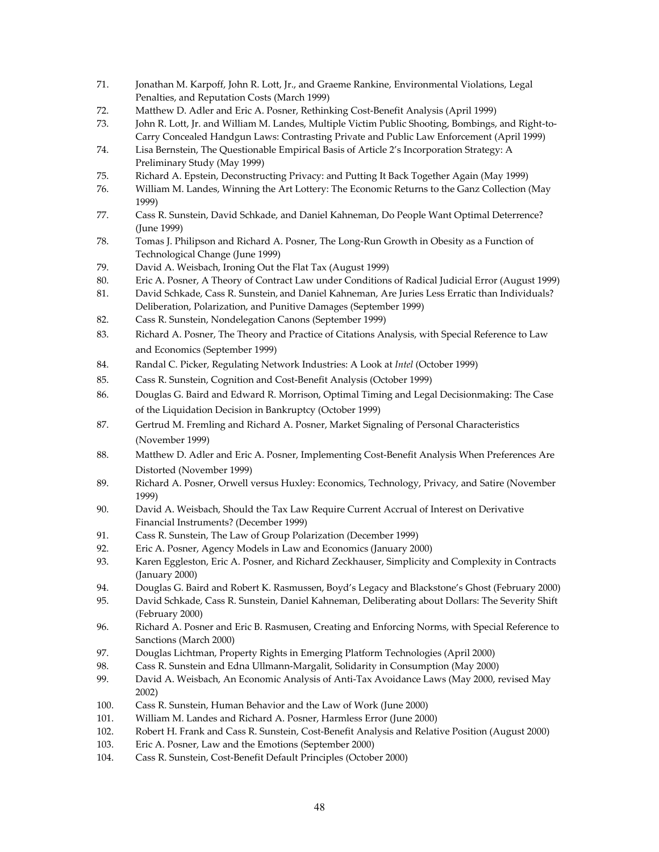- 71. Jonathan M. Karpoff, John R. Lott, Jr., and Graeme Rankine, Environmental Violations, Legal Penalties, and Reputation Costs (March 1999)
- 72. Matthew D. Adler and Eric A. Posner, Rethinking Cost‐Benefit Analysis (April 1999)
- 73. John R. Lott, Jr. and William M. Landes, Multiple Victim Public Shooting, Bombings, and Right-to-Carry Concealed Handgun Laws: Contrasting Private and Public Law Enforcement (April 1999)
- 74. Lisa Bernstein, The Questionable Empirical Basis of Article 2's Incorporation Strategy: A Preliminary Study (May 1999)
- 75. Richard A. Epstein, Deconstructing Privacy: and Putting It Back Together Again (May 1999)
- 76. William M. Landes, Winning the Art Lottery: The Economic Returns to the Ganz Collection (May 1999)
- 77. Cass R. Sunstein, David Schkade, and Daniel Kahneman, Do People Want Optimal Deterrence? (June 1999)
- 78. Tomas J. Philipson and Richard A. Posner, The Long‐Run Growth in Obesity as a Function of Technological Change (June 1999)
- 79. David A. Weisbach, Ironing Out the Flat Tax (August 1999)
- 80. Eric A. Posner, A Theory of Contract Law under Conditions of Radical Judicial Error (August 1999)
- 81. David Schkade, Cass R. Sunstein, and Daniel Kahneman, Are Juries Less Erratic than Individuals? Deliberation, Polarization, and Punitive Damages (September 1999)
- 82. Cass R. Sunstein, Nondelegation Canons (September 1999)
- 83. Richard A. Posner, The Theory and Practice of Citations Analysis, with Special Reference to Law and Economics (September 1999)
- 84. Randal C. Picker, Regulating Network Industries: A Look at *Intel* (October 1999)
- 85. Cass R. Sunstein, Cognition and Cost-Benefit Analysis (October 1999)
- 86. Douglas G. Baird and Edward R. Morrison, Optimal Timing and Legal Decisionmaking: The Case of the Liquidation Decision in Bankruptcy (October 1999)
- 87. Gertrud M. Fremling and Richard A. Posner, Market Signaling of Personal Characteristics (November 1999)
- 88. Matthew D. Adler and Eric A. Posner, Implementing Cost-Benefit Analysis When Preferences Are Distorted (November 1999)
- 89. Richard A. Posner, Orwell versus Huxley: Economics, Technology, Privacy, and Satire (November 1999)
- 90. David A. Weisbach, Should the Tax Law Require Current Accrual of Interest on Derivative Financial Instruments? (December 1999)
- 91. Cass R. Sunstein, The Law of Group Polarization (December 1999)
- 92. Eric A. Posner, Agency Models in Law and Economics (January 2000)
- 93. Karen Eggleston, Eric A. Posner, and Richard Zeckhauser, Simplicity and Complexity in Contracts (January 2000)
- 94. Douglas G. Baird and Robert K. Rasmussen, Boyd's Legacy and Blackstone's Ghost (February 2000)
- 95. David Schkade, Cass R. Sunstein, Daniel Kahneman, Deliberating about Dollars: The Severity Shift (February 2000)
- 96. Richard A. Posner and Eric B. Rasmusen, Creating and Enforcing Norms, with Special Reference to Sanctions (March 2000)
- 97. Douglas Lichtman, Property Rights in Emerging Platform Technologies (April 2000)
- 98. Cass R. Sunstein and Edna Ullmann-Margalit, Solidarity in Consumption (May 2000)
- 99. David A. Weisbach, An Economic Analysis of Anti-Tax Avoidance Laws (May 2000, revised May 2002)
- 100. Cass R. Sunstein, Human Behavior and the Law of Work (June 2000)
- 101. William M. Landes and Richard A. Posner, Harmless Error (June 2000)
- 102. Robert H. Frank and Cass R. Sunstein, Cost-Benefit Analysis and Relative Position (August 2000)
- 103. Eric A. Posner, Law and the Emotions (September 2000)
- 104. Cass R. Sunstein, Cost-Benefit Default Principles (October 2000)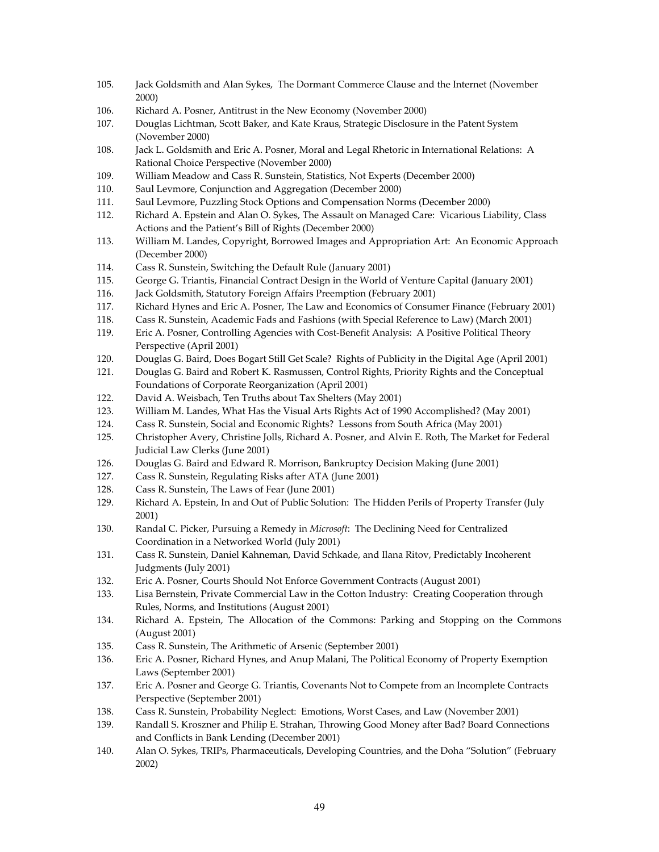- 105. Jack Goldsmith and Alan Sykes, The Dormant Commerce Clause and the Internet (November 2000)
- 106. Richard A. Posner, Antitrust in the New Economy (November 2000)
- 107. Douglas Lichtman, Scott Baker, and Kate Kraus, Strategic Disclosure in the Patent System (November 2000)
- 108. Jack L. Goldsmith and Eric A. Posner, Moral and Legal Rhetoric in International Relations: A Rational Choice Perspective (November 2000)
- 109. William Meadow and Cass R. Sunstein, Statistics, Not Experts (December 2000)
- 110. Saul Levmore, Conjunction and Aggregation (December 2000)
- 111. Saul Levmore, Puzzling Stock Options and Compensation Norms (December 2000)
- 112. Richard A. Epstein and Alan O. Sykes, The Assault on Managed Care: Vicarious Liability, Class Actions and the Patient's Bill of Rights (December 2000)
- 113. William M. Landes, Copyright, Borrowed Images and Appropriation Art: An Economic Approach (December 2000)
- 114. Cass R. Sunstein, Switching the Default Rule (January 2001)
- 115. George G. Triantis, Financial Contract Design in the World of Venture Capital (January 2001)
- 116. Jack Goldsmith, Statutory Foreign Affairs Preemption (February 2001)
- 117. Richard Hynes and Eric A. Posner, The Law and Economics of Consumer Finance (February 2001)
- 118. Cass R. Sunstein, Academic Fads and Fashions (with Special Reference to Law) (March 2001)
- 119. Eric A. Posner, Controlling Agencies with Cost-Benefit Analysis: A Positive Political Theory Perspective (April 2001)
- 120. Douglas G. Baird, Does Bogart Still Get Scale? Rights of Publicity in the Digital Age (April 2001)
- 121. Douglas G. Baird and Robert K. Rasmussen, Control Rights, Priority Rights and the Conceptual Foundations of Corporate Reorganization (April 2001)
- 122. David A. Weisbach, Ten Truths about Tax Shelters (May 2001)
- 123. William M. Landes, What Has the Visual Arts Rights Act of 1990 Accomplished? (May 2001)
- 124. Cass R. Sunstein, Social and Economic Rights? Lessons from South Africa (May 2001)
- 125. Christopher Avery, Christine Jolls, Richard A. Posner, and Alvin E. Roth, The Market for Federal Judicial Law Clerks (June 2001)
- 126. Douglas G. Baird and Edward R. Morrison, Bankruptcy Decision Making (June 2001)
- 127. Cass R. Sunstein, Regulating Risks after ATA (June 2001)
- 128. Cass R. Sunstein, The Laws of Fear (June 2001)
- 129. Richard A. Epstein, In and Out of Public Solution: The Hidden Perils of Property Transfer (July 2001)
- 130. Randal C. Picker, Pursuing a Remedy in *Microsoft*: The Declining Need for Centralized Coordination in a Networked World (July 2001)
- 131. Cass R. Sunstein, Daniel Kahneman, David Schkade, and Ilana Ritov, Predictably Incoherent Judgments (July 2001)
- 132. Eric A. Posner, Courts Should Not Enforce Government Contracts (August 2001)
- 133. Lisa Bernstein, Private Commercial Law in the Cotton Industry: Creating Cooperation through Rules, Norms, and Institutions (August 2001)
- 134. Richard A. Epstein, The Allocation of the Commons: Parking and Stopping on the Commons (August 2001)
- 135. Cass R. Sunstein, The Arithmetic of Arsenic (September 2001)
- 136. Eric A. Posner, Richard Hynes, and Anup Malani, The Political Economy of Property Exemption Laws (September 2001)
- 137. Eric A. Posner and George G. Triantis, Covenants Not to Compete from an Incomplete Contracts Perspective (September 2001)
- 138. Cass R. Sunstein, Probability Neglect: Emotions, Worst Cases, and Law (November 2001)
- 139. Randall S. Kroszner and Philip E. Strahan, Throwing Good Money after Bad? Board Connections and Conflicts in Bank Lending (December 2001)
- 140. Alan O. Sykes, TRIPs, Pharmaceuticals, Developing Countries, and the Doha "Solution" (February 2002)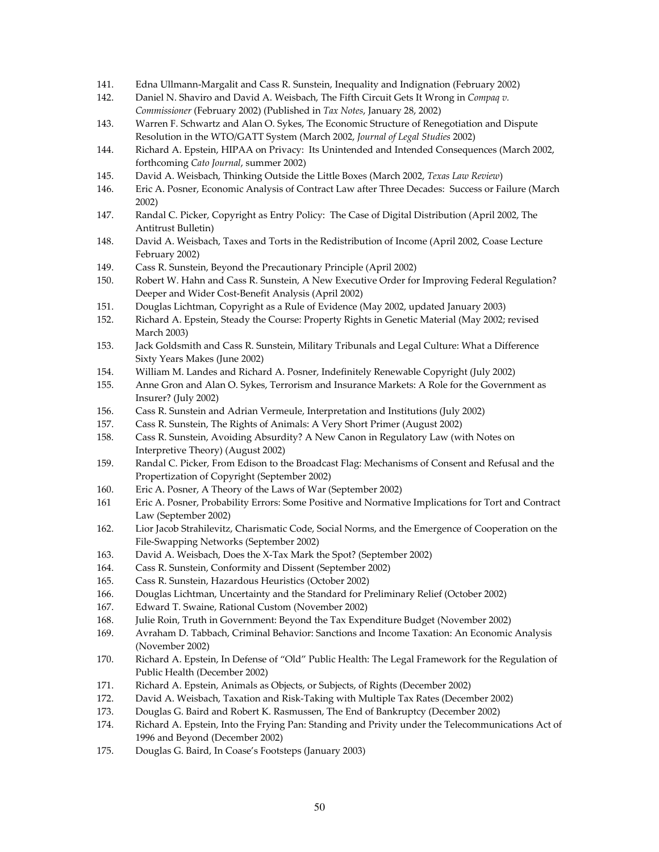- 141. Edna Ullmann‐Margalit and Cass R. Sunstein, Inequality and Indignation (February 2002)
- 142. Daniel N. Shaviro and David A. Weisbach, The Fifth Circuit Gets It Wrong in *Compaq v. Commissioner* (February 2002) (Published in *Tax Notes*, January 28, 2002)
- 143. Warren F. Schwartz and Alan O. Sykes, The Economic Structure of Renegotiation and Dispute Resolution in the WTO/GATT System (March 2002, *Journal of Legal Studies* 2002)
- 144. Richard A. Epstein, HIPAA on Privacy: Its Unintended and Intended Consequences (March 2002, forthcoming *Cato Journal*, summer 2002)
- 145. David A. Weisbach, Thinking Outside the Little Boxes (March 2002, *Texas Law Review*)
- 146. Eric A. Posner, Economic Analysis of Contract Law after Three Decades: Success or Failure (March 2002)
- 147. Randal C. Picker, Copyright as Entry Policy: The Case of Digital Distribution (April 2002, The Antitrust Bulletin)
- 148. David A. Weisbach, Taxes and Torts in the Redistribution of Income (April 2002, Coase Lecture February 2002)
- 149. Cass R. Sunstein, Beyond the Precautionary Principle (April 2002)
- 150. Robert W. Hahn and Cass R. Sunstein, A New Executive Order for Improving Federal Regulation? Deeper and Wider Cost‐Benefit Analysis (April 2002)
- 151. Douglas Lichtman, Copyright as a Rule of Evidence (May 2002, updated January 2003)
- 152. Richard A. Epstein, Steady the Course: Property Rights in Genetic Material (May 2002; revised March 2003)
- 153. Jack Goldsmith and Cass R. Sunstein, Military Tribunals and Legal Culture: What a Difference Sixty Years Makes (June 2002)
- 154. William M. Landes and Richard A. Posner, Indefinitely Renewable Copyright (July 2002)
- 155. Anne Gron and Alan O. Sykes, Terrorism and Insurance Markets: A Role for the Government as Insurer? (July 2002)
- 156. Cass R. Sunstein and Adrian Vermeule, Interpretation and Institutions (July 2002)
- 157. Cass R. Sunstein, The Rights of Animals: A Very Short Primer (August 2002)
- 158. Cass R. Sunstein, Avoiding Absurdity? A New Canon in Regulatory Law (with Notes on Interpretive Theory) (August 2002)
- 159. Randal C. Picker, From Edison to the Broadcast Flag: Mechanisms of Consent and Refusal and the Propertization of Copyright (September 2002)
- 160. Eric A. Posner, A Theory of the Laws of War (September 2002)
- 161 Eric A. Posner, Probability Errors: Some Positive and Normative Implications for Tort and Contract Law (September 2002)
- 162. Lior Jacob Strahilevitz, Charismatic Code, Social Norms, and the Emergence of Cooperation on the File‐Swapping Networks (September 2002)
- 163. David A. Weisbach, Does the X‐Tax Mark the Spot? (September 2002)
- 164. Cass R. Sunstein, Conformity and Dissent (September 2002)
- 165. Cass R. Sunstein, Hazardous Heuristics (October 2002)
- 166. Douglas Lichtman, Uncertainty and the Standard for Preliminary Relief (October 2002)
- 167. Edward T. Swaine, Rational Custom (November 2002)
- 168. Julie Roin, Truth in Government: Beyond the Tax Expenditure Budget (November 2002)
- 169. Avraham D. Tabbach, Criminal Behavior: Sanctions and Income Taxation: An Economic Analysis (November 2002)
- 170. Richard A. Epstein, In Defense of "Old" Public Health: The Legal Framework for the Regulation of Public Health (December 2002)
- 171. Richard A. Epstein, Animals as Objects, or Subjects, of Rights (December 2002)
- 172. David A. Weisbach, Taxation and Risk‐Taking with Multiple Tax Rates (December 2002)
- 173. Douglas G. Baird and Robert K. Rasmussen, The End of Bankruptcy (December 2002)
- 174. Richard A. Epstein, Into the Frying Pan: Standing and Privity under the Telecommunications Act of 1996 and Beyond (December 2002)
- 175. Douglas G. Baird, In Coase's Footsteps (January 2003)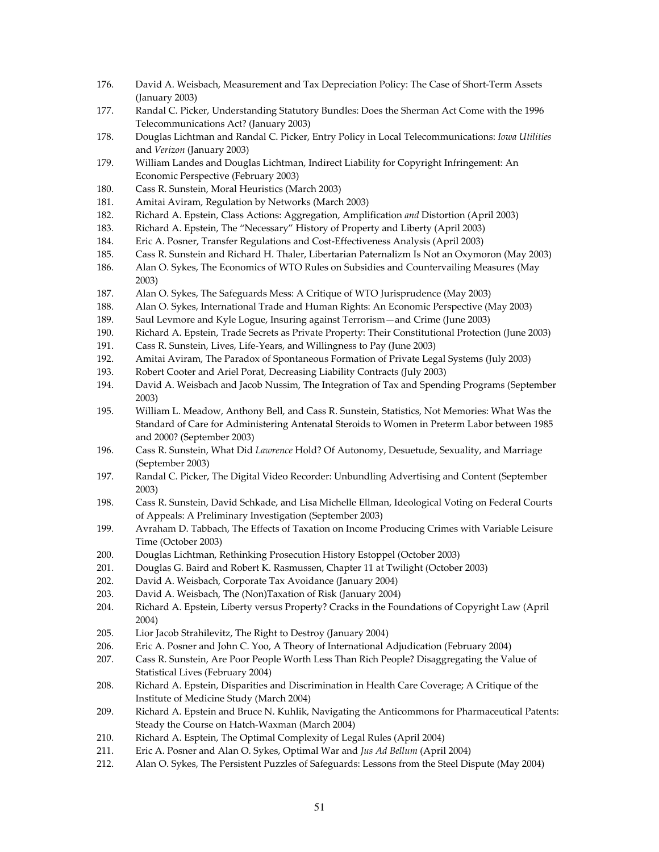- 176. David A. Weisbach, Measurement and Tax Depreciation Policy: The Case of Short‐Term Assets (January 2003)
- 177. Randal C. Picker, Understanding Statutory Bundles: Does the Sherman Act Come with the 1996 Telecommunications Act? (January 2003)
- 178. Douglas Lichtman and Randal C. Picker, Entry Policy in Local Telecommunications: *Iowa Utilities* and *Verizon* (January 2003)
- 179. William Landes and Douglas Lichtman, Indirect Liability for Copyright Infringement: An Economic Perspective (February 2003)
- 180. Cass R. Sunstein, Moral Heuristics (March 2003)
- 181. Amitai Aviram, Regulation by Networks (March 2003)
- 182. Richard A. Epstein, Class Actions: Aggregation, Amplification *and* Distortion (April 2003)
- 183. Richard A. Epstein, The "Necessary" History of Property and Liberty (April 2003)
- 184. Eric A. Posner, Transfer Regulations and Cost‐Effectiveness Analysis (April 2003)
- 185. Cass R. Sunstein and Richard H. Thaler, Libertarian Paternalizm Is Not an Oxymoron (May 2003)
- 186. Alan O. Sykes, The Economics of WTO Rules on Subsidies and Countervailing Measures (May 2003)
- 187. Alan O. Sykes, The Safeguards Mess: A Critique of WTO Jurisprudence (May 2003)
- 188. Alan O. Sykes, International Trade and Human Rights: An Economic Perspective (May 2003)
- 189. Saul Levmore and Kyle Logue, Insuring against Terrorism—and Crime (June 2003)
- 190. Richard A. Epstein, Trade Secrets as Private Property: Their Constitutional Protection (June 2003)
- 191. Cass R. Sunstein, Lives, Life-Years, and Willingness to Pay (June 2003)
- 192. Amitai Aviram, The Paradox of Spontaneous Formation of Private Legal Systems (July 2003)
- 193. Robert Cooter and Ariel Porat, Decreasing Liability Contracts (July 2003)
- 194. David A. Weisbach and Jacob Nussim, The Integration of Tax and Spending Programs (September 2003)
- 195. William L. Meadow, Anthony Bell, and Cass R. Sunstein, Statistics, Not Memories: What Was the Standard of Care for Administering Antenatal Steroids to Women in Preterm Labor between 1985 and 2000? (September 2003)
- 196. Cass R. Sunstein, What Did *Lawrence* Hold? Of Autonomy, Desuetude, Sexuality, and Marriage (September 2003)
- 197. Randal C. Picker, The Digital Video Recorder: Unbundling Advertising and Content (September 2003)
- 198. Cass R. Sunstein, David Schkade, and Lisa Michelle Ellman, Ideological Voting on Federal Courts of Appeals: A Preliminary Investigation (September 2003)
- 199. Avraham D. Tabbach, The Effects of Taxation on Income Producing Crimes with Variable Leisure Time (October 2003)
- 200. Douglas Lichtman, Rethinking Prosecution History Estoppel (October 2003)
- 201. Douglas G. Baird and Robert K. Rasmussen, Chapter 11 at Twilight (October 2003)
- 202. David A. Weisbach, Corporate Tax Avoidance (January 2004)
- 203. David A. Weisbach, The (Non)Taxation of Risk (January 2004)
- 204. Richard A. Epstein, Liberty versus Property? Cracks in the Foundations of Copyright Law (April 2004)
- 205. Lior Jacob Strahilevitz, The Right to Destroy (January 2004)
- 206. Eric A. Posner and John C. Yoo, A Theory of International Adjudication (February 2004)
- 207. Cass R. Sunstein, Are Poor People Worth Less Than Rich People? Disaggregating the Value of Statistical Lives (February 2004)
- 208. Richard A. Epstein, Disparities and Discrimination in Health Care Coverage; A Critique of the Institute of Medicine Study (March 2004)
- 209. Richard A. Epstein and Bruce N. Kuhlik, Navigating the Anticommons for Pharmaceutical Patents: Steady the Course on Hatch‐Waxman (March 2004)
- 210. Richard A. Esptein, The Optimal Complexity of Legal Rules (April 2004)
- 211. Eric A. Posner and Alan O. Sykes, Optimal War and *Jus Ad Bellum* (April 2004)
- 212. Alan O. Sykes, The Persistent Puzzles of Safeguards: Lessons from the Steel Dispute (May 2004)